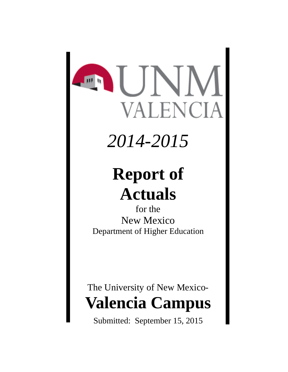# **INN REAL PROPERTY** ENCIA

## *2014-2015*

## **Report of Actuals**

for the New Mexico Department of Higher Education

## The University of New Mexico-**Valencia Campus**

Submitted: September 15, 2015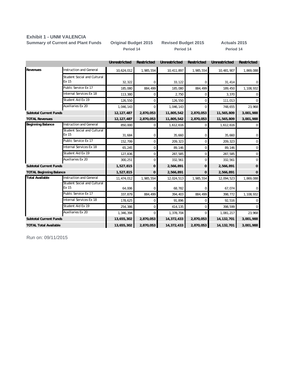#### **Exhibit 1 - UNM VALENCIA**

**Summary of Current and Plant Funds Original Budget 2015 Revised Budget 2015 Actuals 2015**

**Period 14 Period 14 Period 14**

|                                |                                             | <b>Unrestricted</b> | Restricted | Unrestricted | <b>Restricted</b> | Unrestricted | Restricted     |
|--------------------------------|---------------------------------------------|---------------------|------------|--------------|-------------------|--------------|----------------|
| <b>Revenues</b>                | <b>Instruction and General</b>              | 10,624,012          | 1,985,554  | 10,411,897   | 1,985,554         | 10,481,907   | 1,869,088      |
|                                | Student Social and Cultural<br>Ex 15        | 32,322              | 0          | 33,122       | 0                 | 31,414       | $\overline{0}$ |
|                                | Public Service Ex 17                        | 185.080             | 884,499    | 185,080      | 884,499           | 189,450      | 1,108,932      |
|                                | Internal Services Ex 18                     | 113,380             | 0          | 2,750        | 0                 | 3,370        | $\Omega$       |
|                                | Student Aid Ex 19                           | 126,550             | 0          | 126,550      | 0                 | 111,013      | $\mathbf 0$    |
|                                | Auxiliaries Ex 20                           | 1,046,143           | $\Omega$   | 1,046,143    | $\Omega$          | 748,655      | 23,968         |
| <b>Subtotal Current Funds</b>  |                                             | 12, 127, 487        | 2,870,053  | 11,805,542   | 2,870,053         | 11,565,809   | 3,001,988      |
| <b>TOTAL Revenues</b>          |                                             | 12, 127, 487        | 2,870,053  | 11,805,542   | 2,870,053         | 11,565,809   | 3,001,988      |
| <b>Beginning Balance</b>       | Instruction and General                     | 850,000             | 0          | 1,612,616    | 0                 | 1,612,616    | $\Omega$       |
|                                | <b>Student Social and Cultural</b><br>Ex 15 | 31,684              | 0          | 35,660       | 0                 | 35,660       | $\mathbf 0$    |
|                                | Public Service Ex 17                        | 152,799             | 0          | 209,323      | 0                 | 209,323      | $\mathbf 0$    |
|                                | Internal Services Ex 18                     | 65,245              | 0          | 89,146       | 0                 | 89,146       | $\mathbf 0$    |
|                                | Student Aid Ex 19                           | 127,836             | 0          | 287,585      | 0                 | 287,585      | $\mathbf 0$    |
|                                | Auxiliaries Ex 20                           | 300,251             | $\Omega$   | 332,561      | 0                 | 332,561      | $\Omega$       |
| <b>Subtotal Current Funds</b>  |                                             | 1,527,815           | 0          | 2,566,891    | 0                 | 2,566,891    | $\mathbf{0}$   |
| <b>TOTAL Beginning Balance</b> |                                             | 1,527,815           | 0          | 2,566,891    | 0                 | 2,566,891    | $\mathbf 0$    |
| <b>Total Available</b>         | <b>Instruction and General</b>              | 11,474,012          | 1,985,554  | 12,024,513   | 1,985,554         | 12,094,523   | 1,869,088      |
|                                | Student Social and Cultural<br>Ex 15        | 64,006              | O          | 68,782       | 0                 | 67,074       | $\overline{0}$ |
|                                | Public Service Ex 17                        | 337,879             | 884,499    | 394,403      | 884,499           | 398,772      | 1,108,932      |
|                                | Internal Services Ex 18                     | 178,625             | $\Omega$   | 91,896       | 0                 | 92,516       | $\Omega$       |
|                                | Student Aid Ex 19                           | 254,386             | $\Omega$   | 414,135      | 0                 | 398,599      | 0              |
|                                | <b>Auxiliaries Ex 20</b>                    | 1,346,394           | $\Omega$   | 1,378,704    | $\Omega$          | 1,081,217    | 23,968         |
| <b>Subtotal Current Funds</b>  |                                             | 13,655,302          | 2,870,053  | 14,372,433   | 2,870,053         | 14, 132, 701 | 3,001,988      |
| <b>TOTAL Total Available</b>   |                                             | 13,655,302          | 2,870,053  | 14,372,433   | 2,870,053         | 14, 132, 701 | 3,001,988      |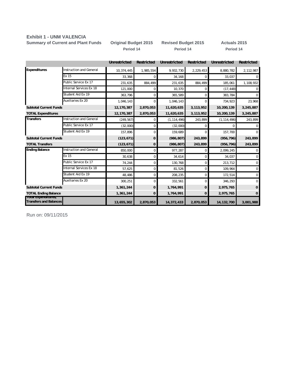#### **Exhibit 1 - UNM VALENCIA**

**Period 14 Period 14 Period 14 Summary of Current and Plant Funds Original Budget 2015 Revised Budget 2015 Actuals 2015**

|                                                       |                         | <b>Unrestricted</b> | Restricted  | Unrestricted  | Restricted  | <b>Unrestricted</b> | Restricted   |
|-------------------------------------------------------|-------------------------|---------------------|-------------|---------------|-------------|---------------------|--------------|
| Expenditures                                          | nstruction and General  | 10,374,445          | 1,985,554   | 9,932,730     | 2,229,453   | 8,880,782           | 2,112,987    |
|                                                       | Ex 15                   | 33,368              | 0           | 34,168        | $\Omega$    | 33,037              | 0            |
|                                                       | Public Service Ex 17    | 231,635             | 884,499     | 231,635       | 884,499     | 185,061             | 1,108,932    |
|                                                       | Internal Services Ex 18 | 121,000             | 0           | 10,370        | 0           | (17, 448)           | 0            |
|                                                       | Student Aid Ex 19       | 363,796             | $\mathbf 0$ | 365,589       | $\mathbf 0$ | 383,784             | $\mathbf 0$  |
|                                                       | Auxiliaries Ex 20       | 1,046,143           | 0           | 1,046,143     | $\Omega$    | 734,923             | 23,968       |
| <b>Subtotal Current Funds</b>                         |                         | 12,170,387          | 2,870,053   | 11,620,635    | 3,113,952   | 10,200,139          | 3,245,887    |
| <b>TOTAL Expenditures</b>                             |                         | 12,170,387          | 2,870,053   | 11,620,635    | 3,113,952   | 10,200,139          | 3,245,887    |
| <b>Transfers</b>                                      | nstruction and General  | (249, 567)          | $\Omega$    | (1, 114, 496) | 243,899     | (1, 114, 496)       | 243,899      |
|                                                       | Public Service Ex 17    | (32,000)            | 0           | (32,000)      | $\Omega$    | 0                   | 0            |
|                                                       | Student Aid Ex 19       | 157,896             | 0           | 159,689       | $\Omega$    | 157,700             | $\Omega$     |
| <b>Subtotal Current Funds</b>                         |                         | (123, 671)          | 0           | (986, 807)    | 243,899     | (956, 796)          | 243,899      |
| <b>TOTAL Transfers</b>                                |                         | (123, 671)          | 0           | (986, 807)    | 243,899     | (956, 796)          | 243,899      |
| <b>Ending Balance</b>                                 | nstruction and General  | 850,000             | $\Omega$    | 977,287       | $\Omega$    | 2,099,245           | $\mathbf{0}$ |
|                                                       | Ex 15                   | 30,638              | 0           | 34,614        | $\Omega$    | 34,037              | $\mathbf 0$  |
|                                                       | Public Service Ex 17    | 74,244              | 0           | 130,768       | 0           | 213,712             | $\mathbf 0$  |
|                                                       | nternal Services Ex 18  | 57,625              | $\mathbf 0$ | 81,526        | $\mathbf 0$ | 109,964             | $\mathbf 0$  |
|                                                       | Student Aid Ex 19       | 48,486              | 0           | 208,235       | $\Omega$    | 172,514             | $\mathbf 0$  |
|                                                       | Auxiliaries Ex 20       | 300,251             | $\Omega$    | 332,561       | $\Omega$    | 346,293             | $\mathbf 0$  |
| <b>Subtotal Current Funds</b>                         |                         | 1,361,244           | 0           | 1,764,991     | 0           | 2,975,765           | 0            |
| <b>TOTAL Ending Balance</b>                           |                         | 1,361,244           | 0           | 1,764,991     | 0           | 2,975,765           | 0            |
| Tutal Experientules,<br><b>Transfers and Balances</b> |                         | 13,655,302          | 2,870,053   | 14,372,433    | 2,870,053   | 14, 132, 700        | 3,001,988    |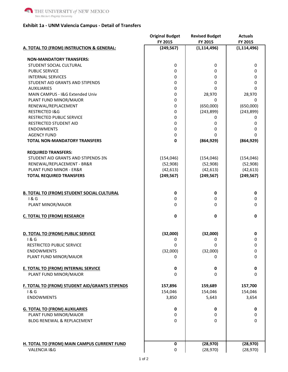#### **Exhibit 1a - UNM Valencia Campus - Detail of Transfers**

|                                                   | <b>Original Budget</b><br>FY 2015 | <b>Revised Budget</b><br>FY 2015 | <b>Actuals</b><br>FY 2015 |
|---------------------------------------------------|-----------------------------------|----------------------------------|---------------------------|
| A. TOTAL TO (FROM) INSTRUCTION & GENERAL:         | (249, 567)                        | (1, 114, 496)                    | (1, 114, 496)             |
| <b>NON-MANDATORY TRANSFERS:</b>                   |                                   |                                  |                           |
| STUDENT SOCIAL CULTURAL                           | 0                                 | 0                                | 0                         |
| <b>PUBLIC SERVICE</b>                             | 0                                 | 0                                | 0                         |
| <b>INTERNAL SERVICES</b>                          | 0                                 | 0                                | 0                         |
| STUDENT AID GRANTS AND STIPENDS                   | 0                                 | 0                                | 0                         |
| <b>AUXILIARIES</b>                                | 0                                 | 0                                | 0                         |
| MAIN CAMPUS - I&G Extended Univ                   | 0                                 | 28,970                           | 28,970                    |
| PLANT FUND MINOR/MAJOR                            | 0                                 | 0                                | 0                         |
| RENEWAL/REPLACEMENT                               | 0                                 | (650,000)                        | (650,000)                 |
| <b>RESTRICTED I&amp;G</b>                         | 0                                 | (243, 899)                       | (243, 899)                |
| <b>RESTRICTED PUBLIC SERVICE</b>                  | 0                                 | 0                                | 0                         |
| <b>RESTRICTED STUDENT AID</b>                     | 0                                 | 0                                | 0                         |
| <b>ENDOWMENTS</b>                                 | 0                                 | 0                                | 0                         |
| <b>AGENCY FUND</b>                                | 0                                 | $\Omega$                         | 0                         |
| <b>TOTAL NON-MANDATORY TRANSFERS</b>              | 0                                 | (864, 929)                       | (864, 929)                |
|                                                   |                                   |                                  |                           |
| <b>REQUIRED TRANSFERS:</b>                        |                                   |                                  |                           |
| STUDENT AID GRANTS AND STIPENDS-3%                | (154, 046)                        | (154, 046)                       | (154, 046)                |
| RENEWAL/REPLACEMENT - BR&R                        | (52,908)                          | (52,908)                         | (52,908)                  |
| <b>PLANT FUND MINOR - ER&amp;R</b>                | (42, 613)                         | (42, 613)                        | (42, 613)                 |
| <b>TOTAL REQUIRED TRANSFERS</b>                   | (249, 567)                        | (249, 567)                       | (249, 567)                |
| <b>B. TOTAL TO (FROM) STUDENT SOCIAL CULTURAL</b> | 0                                 | 0                                | 0                         |
| 1&G                                               | 0                                 | 0                                | 0                         |
| PLANT MINOR/MAJOR                                 | $\Omega$                          | $\Omega$                         | 0                         |
| <b>C. TOTAL TO (FROM) RESEARCH</b>                | 0                                 | 0                                | 0                         |
| D. TOTAL TO (FROM) PUBLIC SERVICE                 | (32,000)                          | (32,000)                         | 0                         |
| 1 & G                                             | 0                                 | 0                                | 0                         |
| RESTRICTED PUBLIC SERVICE                         | $\Omega$                          | $\mathbf 0$                      | 0                         |
| <b>ENDOWMENTS</b>                                 | (32,000)                          | (32,000)                         | 0                         |
| PLANT FUND MINOR/MAJOR                            | 0                                 | 0                                | 0                         |
| <b>E. TOTAL TO (FROM) INTERNAL SERVICE</b>        | 0                                 | 0                                | $\mathbf 0$               |
| PLANT FUND MINOR/MAJOR                            | 0                                 | 0                                | $\mathbf 0$               |
| F. TOTAL TO (FROM) STUDENT AID/GRANTS STIPENDS    | 157,896                           | 159,689                          | 157,700                   |
| 1&6                                               | 154,046                           | 154,046                          | 154,046                   |
| <b>ENDOWMENTS</b>                                 | 3,850                             | 5,643                            | 3,654                     |
| <b>G. TOTAL TO (FROM) AUXILARIES</b>              | 0                                 | 0                                | 0                         |
| PLANT FUND MINOR/MAJOR                            | 0                                 | 0                                | 0                         |
| <b>BLDG RENEWAL &amp; REPLACEMENT</b>             | 0                                 | 0                                | $\mathbf 0$               |
|                                                   |                                   |                                  |                           |
| H. TOTAL TO (FROM) MAIN CAMPUS CURRENT FUND       | 0                                 | (28, 970)                        | (28, 970)                 |
| VALENCIA I&G                                      | 0                                 | (28, 970)                        | (28, 970)                 |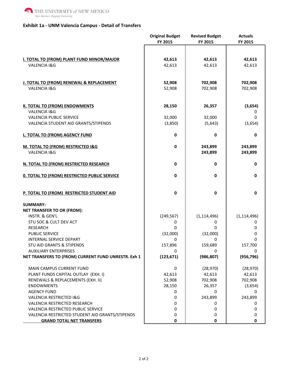

#### **Exhibit 1a - UNM Valencia Campus - Detail of Transfers**

|                                                     | <b>Original Budget</b> | <b>Revised Budget</b> | <b>Actuals</b> |
|-----------------------------------------------------|------------------------|-----------------------|----------------|
|                                                     | FY 2015                | FY 2015               | FY 2015        |
|                                                     |                        |                       |                |
|                                                     |                        |                       |                |
| I. TOTAL TO (FROM) PLANT FUND MINOR/MAJOR           | 42,613                 | 42,613                | 42,613         |
| VALENCIA I&G                                        | 42,613                 | 42,613                | 42,613         |
|                                                     |                        |                       |                |
|                                                     |                        |                       |                |
| J. TOTAL TO (FROM) RENEWAL & REPLACEMENT            | 52,908                 | 702,908               | 702,908        |
| VALENCIA I&G                                        | 52,908                 | 702,908               | 702,908        |
|                                                     |                        |                       |                |
| <b>K. TOTAL TO (FROM) ENDOWMENTS</b>                | 28,150                 | 26,357                | (3,654)        |
| VALENCIA I&G                                        |                        |                       | 0              |
| <b>VALENCIA PUBLIC SERVICE</b>                      | 32,000                 | 32,000                | 0              |
| VALENCIA STUDENT AID GRANTS/STIPENDS                | (3,850)                | (5,643)               | (3,654)        |
|                                                     |                        |                       |                |
| L. TOTAL TO (FROM) AGENCY FUND                      | 0                      | 0                     | 0              |
|                                                     |                        |                       |                |
| M. TOTAL TO (FROM) RESTRICTED I&G                   | 0                      | 243,899               | 243,899        |
| VALENCIA I&G                                        |                        | 243,899               | 243,899        |
|                                                     |                        |                       |                |
| N. TOTAL TO (FROM) RESTRICTED RESEARCH              | 0                      | 0                     | 0              |
|                                                     |                        |                       |                |
| <b>0. TOTAL TO (FROM) RESTRICTED PUBLIC SERVICE</b> | 0                      | 0                     | $\bf{0}$       |
|                                                     |                        |                       |                |
|                                                     |                        |                       |                |
| P. TOTAL TO (FROM) RESTRICTED STUDENT AID           | 0                      | 0                     | 0              |
|                                                     |                        |                       |                |
| <b>SUMMARY:</b>                                     |                        |                       |                |
| <b>NET TRANSFER TO OR (FROM):</b>                   |                        |                       |                |
| INSTR. & GEN'L                                      | (249, 567)             | (1, 114, 496)         | (1, 114, 496)  |
| STU SOC & CULT DEV ACT                              | 0                      | 0                     | 0              |
| <b>RESEARCH</b>                                     | 0                      | 0                     | 0              |
| PUBLIC SERVICE                                      | (32,000)               | (32,000)              | 0              |
| INTERNAL SERVICE DEPART                             | 0                      | 0                     | 0              |
| STU AID GRANTS & STIPENDS                           | 157,896                | 159,689               | 157,700        |
| <b>AUXILIARY ENTERPRISES</b>                        | 0                      | 0                     | 0              |
| NET TRANSFERS TO (FROM) CURRENT FUND UNRESTR. Exh 1 | (123, 671)             | (986, 807)            | (956, 796)     |
|                                                     |                        |                       |                |
| MAIN CAMPUS CURRENT FUND                            | 0                      | (28, 970)             | (28, 970)      |
| PLANT FUNDS CAPITAL OUTLAY (EXH. I)                 | 42,613                 | 42,613                | 42,613         |
| RENEWALS & REPLACEMENTS (EXH. II)                   | 52,908                 | 702,908               | 702,908        |
| <b>ENDOWMENTS</b>                                   | 28,150                 | 26,357                | (3,654)        |
| <b>AGENCY FUND</b>                                  | 0                      | 0                     | 0              |
| <b>VALENCIA RESTRICTED I&amp;G</b>                  | 0                      | 243,899               | 243,899        |
| VALENCIA RESTRICTED RESEARCH                        | 0                      | 0                     | 0              |
| VALENCIA RESTRICTED PUBLIC SERVICE                  | 0                      | 0                     | 0              |
| VALENCIA RESTRICTED STUDENT AID GRANTS/STIPENDS     | 0                      | 0                     | 0              |
| <b>GRAND TOTAL NET TRANSFERS</b>                    | 0                      | 0                     | 0              |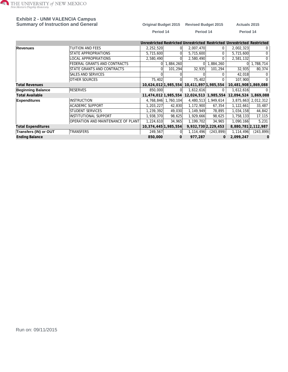

### **Exhibit 2 - UNM VALENCIA Campus**

| <b>Summary of Instruction and General</b> |           | Original Budget 2015 Revised Budget 2015 | <b>Actuals 2015</b> |
|-------------------------------------------|-----------|------------------------------------------|---------------------|
|                                           | Period 14 | Period 14                                | Period 14           |

|                           |                                           |                      |             |                                           |                     | Unrestricted Restricted Unrestricted Restricted Unrestricted Restricted |                     |
|---------------------------|-------------------------------------------|----------------------|-------------|-------------------------------------------|---------------------|-------------------------------------------------------------------------|---------------------|
| Revenues                  | TUITION AND FEES                          | 2,252,520            |             | 2,007,470                                 | 0                   | 2,002,323                                                               | 0                   |
|                           | STATE APPROPRIATIONS                      | 5,715,600            |             | 5,715,600                                 | 0                   | 5,715,600                                                               | 0                   |
|                           | LOCAL APPROPRIATIONS                      | 2,580,490            | $\Omega$    | 2,580,490                                 | 0                   | 2,581,132                                                               | 0                   |
|                           | FEDERAL GRANTS AND CONTRACTS              | 01                   | ا384,260, ا | $\Omega$                                  | 1,884,260           | $\Omega$                                                                | 1,788,714           |
|                           | STATE GRANTS AND CONTRACTS                |                      | 101,294     | 32,935                                    | 101,294             | 32,935                                                                  | 80,374              |
|                           | <b>SALES AND SERVICES</b>                 |                      |             |                                           |                     | 42,018                                                                  |                     |
|                           | <b>OTHER SOURCES</b>                      | 75,402               |             | 75,402                                    |                     | 107,900                                                                 | <sup>0</sup>        |
| <b>Total Revenues</b>     |                                           | 10,624,012 1,985,554 |             | 10,411,897 1,985,554                      |                     | 10,481,908 1,869,088                                                    |                     |
| <b>Beginning Balance</b>  | <b>RESERVES</b>                           | 850,000              | $\Omega$    | 1,612,616                                 | 0                   | 1,612,616                                                               |                     |
| <b>Total Available</b>    |                                           |                      |             | 11,474,012 1,985,554 12,024,513 1,985,554 |                     | 12,094,524 1,869,088                                                    |                     |
| <b>Expenditures</b>       | IINSTRUCTION                              | 4,768,846            | 1,760,104   |                                           | 4,480,513 1,949,614 |                                                                         | 3,875,663 2,012,312 |
|                           | <b>ACADEMIC SUPPORT</b>                   | 1,203,227            | 42,830      | 1,172,900                                 | 67,354              | 1,122,661                                                               | 33,487              |
|                           | <b>STUDENT SERVICES</b>                   | 1,239,392            | 49,030      | 1,149,949                                 | 78,895              | 1,034,158                                                               | 44,842              |
|                           | INSTITUTIONAL SUPPORT                     | 1,938,370            | 98,625      | 1,929,666                                 | 98,625              | 1,758,133                                                               | 17,115              |
|                           | <b>OPERATION AND MAINTENANCE OF PLANT</b> | 1,224,610            | 34,965      | 1,199,702                                 | 34,965              | 1,090,166                                                               | 5,231               |
| <b>Total Expenditures</b> |                                           | 10,374,445 1,985,554 |             |                                           | 9,932,730 2,229,453 |                                                                         | 8,880,781 2,112,987 |
| Transfers (IN) or OUT     | <b>TRANSFERS</b>                          | 249,567              | $\Omega$    | 1,114,496                                 | (243, 899)          | 1,114,496                                                               | (243, 899)          |
| <b>Ending Balance</b>     |                                           | 850,000              | 0           | 977,287                                   | O                   | 2,099,247                                                               | $\Omega$            |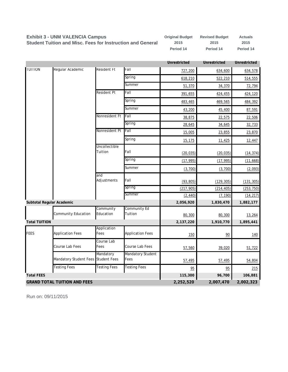#### **Exhibit 3 - UNM VALENCIA Campus**

**Original Budget Revised Budget Actuals 2015 2015 2015 Period 14 Period 14 Period 14 Student Tuition and Misc. Fees for Instruction and General**

|                           |                                     |                          |                                | <b>Unrestricted</b> | <b>Unrestricted</b> | <b>Unrestricted</b> |
|---------------------------|-------------------------------------|--------------------------|--------------------------------|---------------------|---------------------|---------------------|
| <b>TUITION</b>            | Regular Academic                    | Resident Ft              | Fall                           | 727,200             | 634,600             | 634,578             |
|                           |                                     |                          | Spring                         | 618,210             | 522,210             | 514,555             |
|                           |                                     |                          | Summer                         | 51,370              | 34,370              | 72,794              |
|                           |                                     | <b>Resident Pt</b>       | Fall                           | 391,655             | 424,455             | 424,120             |
|                           |                                     |                          | Spring                         | 483,465             | 469,565             | 484,392             |
|                           |                                     |                          | Summer                         | 43,200              | 45,400              | 87,591              |
|                           |                                     | Nonresident Ft           | Fall                           | 38,875              | 22,575              | 22,506              |
|                           |                                     |                          | Spring                         | 28,645              | 34,645              | 32,733              |
|                           |                                     | Nonresident Pt           | Fall                           | 15,005              | 23,855              | 23,870              |
|                           |                                     |                          | Spring                         | 15,175              | 11,425              | 12,447              |
|                           |                                     | Uncollectible<br>Tuition | Fall                           | (20, 035)           | (20, 035)           | (14, 374)           |
|                           |                                     |                          | Spring                         | (17, 995)           | (17, 995)           | (11, 668)           |
|                           |                                     |                          | Summer                         | (3,700)             | (3,700)             | (2,093)             |
|                           |                                     | and<br>Adjustments       | Fall                           | (93, 805)           | (129, 305)          | (131, 305)          |
|                           |                                     |                          | Spring                         | (217, 905)          | (214, 405)          | (253, 750)          |
|                           |                                     |                          | Summer                         | (2, 440)            | (7, 190)            | (14, 217)           |
| Subtotal Regular Academic |                                     |                          |                                | 2,056,920           | 1,830,470           | 1,882,177           |
|                           | Community Education                 | Community<br>Education   | <b>Community Ed</b><br>Tuition | 80,300              | 80,300              | 13,264              |
| <b>Total TUITION</b>      |                                     |                          |                                | 2,137,220           | 1,910,770           | 1,895,441           |
| <b>FEES</b>               | <b>Application Fees</b>             | Application<br>Fees      | <b>Application Fees</b>        | <u>150</u>          | 90                  | <u>140</u>          |
|                           | Course Lab Fees                     | Course Lab<br>Fees       | Course Lab Fees                | 57,560              | 39,020              | 51,722              |
|                           | Mandatory Student Fees Student Fees | Mandatory                | Mandatory Student<br>Fees      | 57,495              | 57,495              | 54,804              |
|                           | <b>Testing Fees</b>                 | <b>Testing Fees</b>      | <b>Testing Fees</b>            | 95                  | 95                  | 215                 |
| <b>Total FEES</b>         |                                     |                          |                                | 115,300             | 96,700              | 106,881             |
|                           | <b>GRAND TOTAL TUITION AND FEES</b> |                          |                                | 2,252,520           | 2,007,470           | 2,002,323           |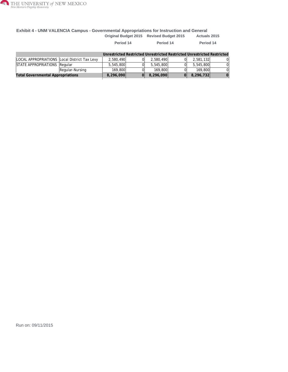

#### **Exhibit 4 - UNM VALENCIA Campus - Governmental Appropriations for Instruction and General Original Budget 2015 Revised Budget 2015 Actuals 2015**

|                                                                         |                 | Period 14 |  | Period 14 |  | Period 14 |  |  |  |
|-------------------------------------------------------------------------|-----------------|-----------|--|-----------|--|-----------|--|--|--|
| Unrestricted Restricted Unrestricted Restricted Unrestricted Restricted |                 |           |  |           |  |           |  |  |  |
| LOCAL APPROPRIATIONS Local District Tax Levy                            |                 | 2.580.490 |  | 2,580,490 |  | 2,581,132 |  |  |  |
| STATE APPROPRIATIONS Regular                                            |                 | 5.545.800 |  | 5.545.800 |  | 5,545,800 |  |  |  |
|                                                                         | Regular-Nursing | 169,800   |  | 169,800   |  | 169.800   |  |  |  |
| <b>Total Governmental Appropriations</b>                                |                 | 8,296,090 |  | 8,296,090 |  | 8,296,732 |  |  |  |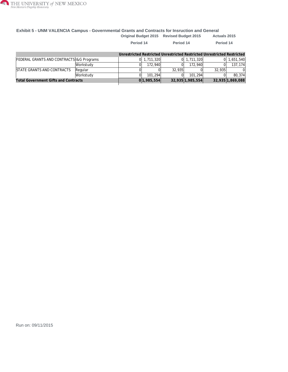

#### **Exhibit 5 - UNM VALENCIA Campus - Governmental Grants and Contracts for Insruction and General Original Budget 2015 Revised Budget 2015 Actuals 2015**

|                                             |                  | Period 14 |                 | Period 14 |                  | Period 14                                                               |                  |
|---------------------------------------------|------------------|-----------|-----------------|-----------|------------------|-------------------------------------------------------------------------|------------------|
|                                             |                  |           |                 |           |                  | Unrestricted Restricted Unrestricted Restricted Unrestricted Restricted |                  |
| FEDERAL GRANTS AND CONTRACTS 1& G Programs  |                  |           | $0$   1.711.320 |           | $0$ 1,711,320    |                                                                         | 1,651,540        |
|                                             | <b>Workstudv</b> |           | 172.940         |           | 172.940          |                                                                         | 137.174          |
| <b>ISTATE GRANTS AND CONTRACTS</b>          | Regular          |           |                 | 32.935    |                  | 32.935                                                                  |                  |
|                                             | <b>Workstudy</b> |           | 101.294         |           | 101.294          |                                                                         | 80.374           |
| <b>Total Government Gifts and Contracts</b> |                  |           | 0 1,985,554     |           | 32,935 1,985,554 |                                                                         | 32,935 1,869,088 |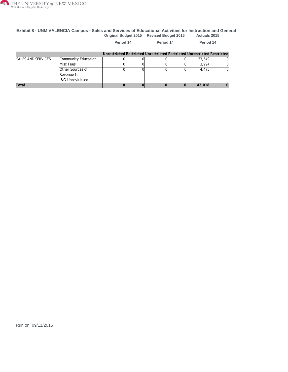

#### **Exhibit 8 - UNM VALENCIA Campus - Sales and Services of Educational Activities for Instruction and General Original Budget 2015 Revised Budget 2015 Actuals 2015**

|                           |                                                            | Period 14 |  | Period 14                                                               |  | Period 14 |  |
|---------------------------|------------------------------------------------------------|-----------|--|-------------------------------------------------------------------------|--|-----------|--|
|                           |                                                            |           |  | Unrestricted Restricted Unrestricted Restricted Unrestricted Restricted |  |           |  |
| <b>SALES AND SERVICES</b> | Community Education                                        |           |  |                                                                         |  | 33,549    |  |
|                           | Misc Fees                                                  |           |  |                                                                         |  | 3.994     |  |
|                           | <b>Other Sources of</b><br>Revenue for<br>I&G-Unrestricted |           |  |                                                                         |  | 4.475     |  |
| Total                     |                                                            |           |  |                                                                         |  | 42,018    |  |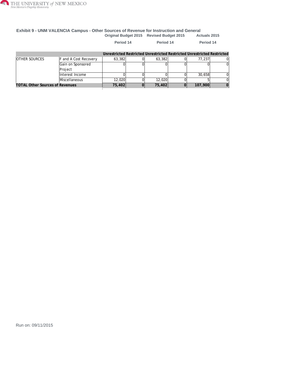

#### **Exhibit 9 - UNM VALENCIA Campus - Other Sources of Revenue for Instruction and General Original Budget 2015 Revised Budget 2015 Actuals 2015**

|                                        |                              | Period 14 | Period 14                                                               |  | Period 14 |  |
|----------------------------------------|------------------------------|-----------|-------------------------------------------------------------------------|--|-----------|--|
|                                        |                              |           | Unrestricted Restricted Unrestricted Restricted Unrestricted Restricted |  |           |  |
| OTHER SOURCES                          | <b>F</b> and A Cost Recovery | 63,382    | 63,382                                                                  |  | 77.237    |  |
|                                        | Gain on Sponsored            |           |                                                                         |  |           |  |
|                                        | Project                      |           |                                                                         |  |           |  |
|                                        | Interest Income              |           |                                                                         |  | 30.658    |  |
|                                        | Miscellaneous                | 12,020    | 12,020                                                                  |  |           |  |
| <b>TOTAL Other Sources of Revenues</b> |                              | 75,402    | 75,402                                                                  |  | 107,900   |  |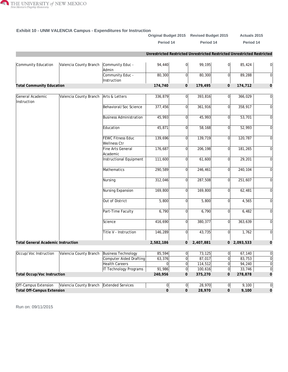

|                                           |                        |                                          |              |                | Original Budget 2015 Revised Budget 2015                                |                | Actuals 2015  |                |
|-------------------------------------------|------------------------|------------------------------------------|--------------|----------------|-------------------------------------------------------------------------|----------------|---------------|----------------|
|                                           |                        |                                          | Period 14    |                | Period 14                                                               |                | Period 14     |                |
|                                           |                        |                                          |              |                | Unrestricted Restricted Unrestricted Restricted Unrestricted Restricted |                |               |                |
| Community Education                       | Valencia County Branch | Community Educ -<br>Admin                | 94,440       | $\overline{0}$ | 99,195                                                                  | 0              | 85,424        | 0              |
|                                           |                        | Community Educ -<br>Instruction          | 80,300       | $\overline{0}$ | 80,300                                                                  | $\Omega$       | 89,288        | 0              |
| <b>Total Community Education</b>          |                        |                                          | 174,740      | $\overline{0}$ | 179,495                                                                 | $\mathbf{0}$   | 174,712       | $\overline{O}$ |
| General Academic                          | Valencia County Branch | Arts & Letters                           | 336,879      | 0l             | 393,816                                                                 | $\Omega$       | 366,029       | 0              |
| Instruction                               |                        | Behavioral/Soc Science                   | 377,456      | $\overline{0}$ | 361,916                                                                 | $\Omega$       | 358,917       | 0              |
|                                           |                        | <b>Business Administration</b>           | 45,993       | $\Omega$       | 45,993                                                                  | $\Omega$       | 53,701        | 0              |
|                                           |                        | Education                                | 45,871       | 0              | 58,168                                                                  | $\Omega$       | 52,993        | 0              |
|                                           |                        | <b>FEWC Fitness Educ</b><br>Wellness Ctr | 139,696      | $\overline{0}$ | 139,719                                                                 | $\overline{0}$ | 120,787       | 0              |
|                                           |                        | Fine Arts General<br>Academic            | 176,687      | $\overline{0}$ | 206,198                                                                 | $\Omega$       | 181,265       | 0              |
|                                           |                        | Instructional Equipment                  | 111,600      | $\overline{0}$ | 61,600                                                                  | $\Omega$       | 29,201        | 0              |
|                                           |                        | Mathematics                              | 290,589      | <sub>0</sub>   | 246,461                                                                 | $\Omega$       | 240,104       | 0              |
|                                           |                        | Nursing                                  | 312,046      | $\overline{0}$ | 287,508                                                                 | $\Omega$       | 251,607       | 0              |
|                                           |                        | Nursing Expansion                        | 169,800      | $\overline{0}$ | 169,800                                                                 | 0              | 62,481        | 0              |
|                                           |                        | Out of District                          | 5,800        | $\Omega$       | 5,800                                                                   | $\Omega$       | 4,565         | 0              |
|                                           |                        | Part-Time Faculty                        | 6,790        | $\overline{0}$ | 6,790                                                                   | $\Omega$       | 6,482         | 0              |
|                                           |                        | Science                                  | 416,690      | $\overline{0}$ | 380,377                                                                 | $\overline{0}$ | 363,639       | 0              |
|                                           |                        | Title V - Instruction                    | 146,289      | $\overline{0}$ | 43,735                                                                  | $\overline{0}$ | 1,762         | 0              |
| <b>Total General Academic Instruction</b> |                        |                                          | 2,582,186    | 0              | 2,407,881                                                               |                | $0$ 2,093,533 | $\overline{O}$ |
| Occup/Voc Instruction                     | Valencia County Branch | <b>Business Technology</b>               | 85,594       | $\mathbf 0$    | 73,125                                                                  | $\overline{0}$ | 67,140        | 0              |
|                                           |                        | <b>Computer Aided Drafting</b>           | 63,376       | $\mathbf 0$    | 87,017                                                                  | $\overline{0}$ | 83,753        | $\overline{0}$ |
|                                           |                        | <b>Health Careers</b>                    | 0            | $\overline{0}$ | 114,512                                                                 | $\overline{0}$ | 94,240        | 0              |
|                                           |                        | <b>IT Technology Programs</b>            | 91,986       | $\overline{0}$ | 100,616                                                                 | $\overline{0}$ | 33,746        | $\overline{0}$ |
| Total Occup/Voc Instruction               |                        |                                          | 240,956      | 0              | 375,270                                                                 | 0              | 278,878       | $\mathbf{O}$   |
|                                           |                        |                                          |              |                |                                                                         |                |               |                |
| Off-Campus Extension                      | Valencia County Branch | Extended Services                        | 0            | $\overline{0}$ | 28,970                                                                  | 0              | 9,100         | 0              |
| <b>Total Off-Campus Extension</b>         |                        |                                          | $\mathsf{O}$ | $\mathsf{O}$   | 28,970                                                                  | $\mathbf 0$    | 9,100         | $\mathbf{O}$   |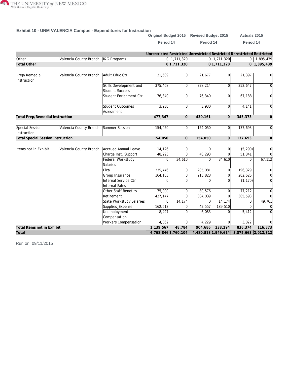

|                                          |                                       |                                                  |                                                                         |                    | Original Budget 2015 Revised Budget 2015 |                | Actuals 2015                            |                 |
|------------------------------------------|---------------------------------------|--------------------------------------------------|-------------------------------------------------------------------------|--------------------|------------------------------------------|----------------|-----------------------------------------|-----------------|
|                                          |                                       |                                                  | Period 14                                                               |                    | Period 14                                |                | Period 14                               |                 |
|                                          |                                       |                                                  | Unrestricted Restricted Unrestricted Restricted Unrestricted Restricted |                    |                                          |                |                                         |                 |
| Other                                    | Valencia County Branch   I&G Programs |                                                  |                                                                         | $0 \mid 1,711,320$ |                                          | $0$ 1,711,320  |                                         | $0$   1,895,439 |
| <b>Total Other</b>                       |                                       |                                                  |                                                                         | 01,711,320         |                                          | 01,711,320     |                                         | 0 1,895,439     |
| Prep/Remedial<br>Instruction             | Valencia County Branch                | Adult Educ Ctr                                   | 21,609                                                                  |                    | 21,677                                   | 0              | 21,397                                  | 0               |
|                                          |                                       | Skills Development and<br><b>Student Success</b> | 375,468                                                                 | $\Omega$           | 328,214                                  | $\overline{0}$ | 252,647                                 | 0               |
|                                          |                                       | Student Enrichment Ctr                           | 76,340                                                                  | $\Omega$           | 76,340                                   | $\overline{0}$ | 67,188                                  | 0               |
|                                          |                                       | <b>Student Outcomes</b><br>Assessment            | 3,930                                                                   | $\Omega$           | 3,930                                    | $\overline{0}$ | 4,141                                   | 0               |
| <b>Total Prep/Remedial Instruction</b>   |                                       |                                                  | 477,347                                                                 | $\overline{O}$     | 430,161                                  | $\overline{O}$ | 345,373                                 | $\mathbf 0$     |
| Special Session<br>Instruction           | Valencia County Branch                | Summer Session                                   | 154,050                                                                 | $\Omega$           | 154,050                                  | $\overline{0}$ | 137,693                                 | $\overline{0}$  |
| <b>Total Special Session Instruction</b> |                                       |                                                  | 154,050                                                                 | $\overline{O}$     | 154,050                                  | $\overline{O}$ | 137,693                                 | $\mathbf 0$     |
| Items not in Exhibit                     | Valencia County Branch                | Accrued Annual Leave                             | 14,126                                                                  | $\overline{0}$     | $\Omega$                                 | $\overline{0}$ | (5, 290)                                | $\overline{0}$  |
|                                          |                                       | Charge Inst. Support                             | 48,293                                                                  | $\Omega$           | 48,293                                   | $\Omega$       | 51,841                                  | $\Omega$        |
|                                          |                                       | Federal Workstudy<br>Salaries                    | $\Omega$                                                                | 34,610             | $\Omega$                                 | 34,610         | $\Omega$                                | 67, 112         |
|                                          |                                       | Fica                                             | 235,446                                                                 | $\Omega$           | 205,081                                  | $\overline{0}$ | 196,329                                 | 0               |
|                                          |                                       | Group Insurance                                  | 164,183                                                                 | $\Omega$           | 213,828                                  | $\Omega$       | 202,626                                 | 0               |
|                                          |                                       | Internal Service Ctr<br><b>Internal Sales</b>    | $\Omega$                                                                | $\Omega$           | $\Omega$                                 | $\Omega$       | (1, 170)                                | $\overline{0}$  |
|                                          |                                       | <b>Other Staff Benefits</b>                      | 75,000                                                                  | $\Omega$           | 80,576                                   | $\Omega$       | 77,212                                  | 0               |
|                                          |                                       | Retirement                                       | 427,147                                                                 | $\Omega$           | 304,039                                  | $\Omega$       | 305,593                                 | 0               |
|                                          |                                       | State Workstudy Salaries                         | $\Omega$                                                                | 14,174             | $\Omega$                                 | 14,174         | $\Omega$                                | 49,761          |
|                                          |                                       | Supplies_Expense                                 | 162,513                                                                 | $\Omega$           | 42,557                                   | 189,510        | $\Omega$                                | 0               |
|                                          |                                       | Unemployment<br>Compensation                     | 8,497                                                                   |                    | 6,083                                    | $\overline{0}$ | 5,412                                   | $\Omega$        |
|                                          |                                       | Workers Compensation                             | 4,362                                                                   | $\overline{0}$     | 4,229                                    | 0              | 3,822                                   | 0               |
| Total Items not in Exhibit               |                                       |                                                  | 1,139,567                                                               | 48,784             | 904,686                                  | 238,294        | 836,374                                 | 116,873         |
| Total                                    |                                       |                                                  | 4,768,846 1,760,104                                                     |                    |                                          |                | 4,480,513 1,949,614 3,875,663 2,012,312 |                 |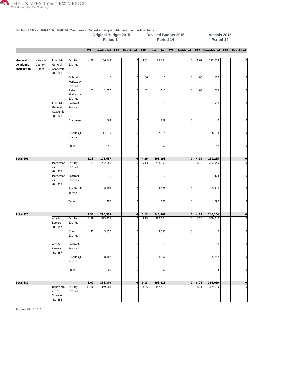

|                                    |                              |                                                   |                                  |       | <b>Original Budget 2015</b><br>Period 14             |                  |      | <b>Revised Budget 2015</b><br>Period 14 |                |      | Actuals 2015<br>Period 14 |                |
|------------------------------------|------------------------------|---------------------------------------------------|----------------------------------|-------|------------------------------------------------------|------------------|------|-----------------------------------------|----------------|------|---------------------------|----------------|
|                                    |                              |                                                   |                                  |       | FTE Unrestricted FTE Restricted FTE Unrestricted FTE |                  |      |                                         | Restricted     |      | FTE Unrestricted FTE      | Restricted     |
| General<br>Academic<br>Instruction | Valencia<br>County<br>Branch | Fine Arts<br>General<br>Academic<br><b>BU 101</b> | Faculty<br>Salaries              | 4.30  | 156,243                                              | 0                | 4.31 | 185,754                                 | 0              | 4.02 | 171,373                   | $\overline{0}$ |
|                                    |                              |                                                   | Federal<br>Workstudy<br>Salaries |       | $\overline{0}$                                       | $\overline{0}$   | .06  | 0                                       | $\overline{0}$ | .05  | 802                       | $\overline{0}$ |
|                                    |                              |                                                   | State<br>Workstudy<br>Salaries   | .03   | 1,610                                                | $\overline{0}$   | .02  | 1,610                                   | $\overline{0}$ | .03  | 455                       | $\overline{0}$ |
|                                    |                              | Fine Arts<br>General<br>Academic<br><b>BU 101</b> | Contract<br>Services             |       | $\overline{0}$                                       | $\mathbf 0$      |      | $\Omega$                                | $\overline{0}$ |      | 1,750                     | 0              |
|                                    |                              |                                                   | Equipment                        |       | 869                                                  | $\mathbf 0$      |      | 869                                     | $\overline{0}$ |      | $\mathbf 0$               | 0              |
|                                    |                              |                                                   | Supplies_E<br>xpense             |       | 17,915                                               | $\mathbf 0$      |      | 17,915                                  | $\overline{0}$ |      | 6,833                     | $\overline{0}$ |
|                                    |                              |                                                   | Travel                           |       | 50                                                   | $\mathbf 0$      |      | 50                                      | $\overline{0}$ |      | 52                        | 0              |
| Total 101                          |                              |                                                   |                                  | 4.33  | 176,687                                              | 0                | 4.39 | 206,198                                 | $\circ$        | 4.10 | 181,265                   | $\circ$        |
|                                    |                              | Mathemati<br>CS<br>-BU 325                        | Faculty<br>Salaries              | 7.31  | 282,281                                              | $\Omega$         | 5.13 | 238,153                                 | $\overline{0}$ | 4.79 | 232,745                   | $\overline{0}$ |
|                                    |                              | Mathemati<br>CS<br>-BU 325                        | Contract<br>Services             |       | $\overline{0}$                                       | $\mathbf 0$      |      | $\Omega$                                | $\overline{0}$ |      | 1,124                     | 0              |
|                                    |                              |                                                   | Supplies_E<br>xpense             |       | 8,208                                                | $\mathbf 0$      |      | 8,208                                   | $\overline{0}$ |      | 5,746                     | 0              |
|                                    |                              |                                                   | Travel                           |       | 100                                                  | $\mathbf 0$      |      | 100                                     | $\overline{0}$ |      | 490                       | $\overline{0}$ |
| Total 325                          |                              |                                                   |                                  | 7.31  | 290,589                                              | 0                | 5.13 | 246,461                                 | $\overline{0}$ | 4.79 | 240,104                   | $\circ$        |
|                                    |                              | Arts &<br>Letters<br>-BU 387                      | Faculty<br>Salaries              | 7.79  | 325,127                                              | $\overline{0}$   | 9.13 | 382,064                                 | $\overline{0}$ | 8.25 | 359,442                   | $\overline{0}$ |
|                                    |                              |                                                   | Other<br>Salaries                | .21   | 3,350                                                | $\mathbf 0$      |      | 3,350                                   | $\overline{0}$ |      | $\mathbf 0$               | 0              |
|                                    |                              | Arts &<br>Letters<br>-BU 387                      | Contract<br>Services             |       | 0                                                    | 0                |      | 0                                       | 0              |      | 1,000                     | 0              |
|                                    |                              |                                                   | Supplies_E<br>xpense             |       | 8,102                                                | $\boldsymbol{0}$ |      | 8,102                                   | $\mathbf{0}$   |      | 5,582                     | 0              |
|                                    |                              |                                                   | Travel                           |       | 300                                                  | $\mathbf 0$      |      | 300                                     | 0              |      | $\sqrt{4}$                | 0              |
| Total 387                          |                              |                                                   |                                  | 8.00  | 336,879                                              | 0                | 9.13 | 393,816                                 | 0              | 8.25 | 366,029                   | 0              |
|                                    |                              | Behavioral<br>/Soc<br>Science<br>-BU 388          | Faculty<br>Salaries              | 11.36 | 369,203                                              | $\mathbf 0$      | 8.05 | 352,513                                 | $\overline{0}$ | 7.41 | 329,419                   | 0              |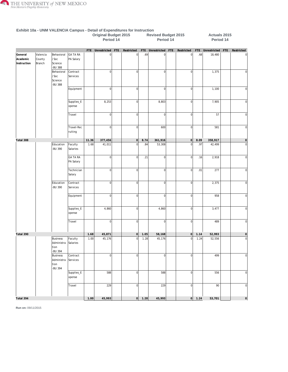

|                                    |                              |                                                           |                              |       | <b>Original Budget 2015</b><br>Period 14 |            |                 |      | <b>Revised Budget 2015</b><br>Period 14 |                |      | Actuals 2015<br>Period 14 |     |              |
|------------------------------------|------------------------------|-----------------------------------------------------------|------------------------------|-------|------------------------------------------|------------|-----------------|------|-----------------------------------------|----------------|------|---------------------------|-----|--------------|
|                                    |                              |                                                           |                              |       | FTE Unrestricted                         | <b>FTE</b> | Restricted      |      | FTE Unrestricted FTE                    | Restricted     |      | FTE Unrestricted          | FTE | Restricted   |
| General<br>Academic<br>Instruction | Valencia<br>County<br>Branch | Behavioral<br>/Soc<br>Science<br>-BU 388                  | GA TA RA<br>PA Salary        |       | $\overline{0}$                           |            | $\vert 0 \vert$ | .69  | $\overline{0}$                          | 0              | .68  | 18,480                    |     | 0            |
|                                    |                              | Behavioral<br>/Soc<br>Science<br>-BU 388                  | Contract<br>Services         |       | 0                                        |            | 0               |      | $\overline{0}$                          | $\overline{0}$ |      | 1,375                     |     | $\mathbf 0$  |
|                                    |                              |                                                           | Equipment                    |       | 0                                        |            | $\sigma$        |      | $\overline{0}$                          | $\overline{0}$ |      | 1,100                     |     | 0            |
|                                    |                              |                                                           | Supplies_E<br>xpense         |       | 8,253                                    |            | $\overline{0}$  |      | 8,803                                   | $\overline{0}$ |      | 7,905                     |     | 0            |
|                                    |                              |                                                           | Travel                       |       | 0                                        |            | $\overline{0}$  |      | $\overline{0}$                          | 0              |      | 57                        |     | 0            |
|                                    |                              |                                                           | Travel-Rec<br>ruiting        |       | 0                                        |            | $\overline{0}$  |      | 600                                     | $\overline{0}$ |      | 581                       |     | <sup>0</sup> |
| Total 388                          |                              |                                                           |                              | 11.36 | 377,456                                  |            | 0               | 8.74 | 361,916                                 | 0              | 8.09 | 358,917                   |     | 0            |
|                                    |                              | Education<br>-BU 390                                      | Faculty<br>Salaries          | 1.68  | 41,011                                   |            | $\overline{0}$  | .84  | 53,308                                  | $\overline{0}$ | .97  | 42,499                    |     | 0            |
|                                    |                              |                                                           | <b>GA TA RA</b><br>PA Salary |       | 0                                        |            | $\overline{0}$  | .21  | $\overline{0}$                          | $\overline{0}$ | .16  | 2,918                     |     | 0            |
|                                    |                              |                                                           | Technician<br>Salary         |       | 0                                        |            | $\overline{0}$  |      | $\overline{0}$                          | 0              | .01  | 277                       |     | $\mathbf 0$  |
|                                    |                              | Education<br>-BU 390                                      | Contract<br>Services         |       | 0                                        |            | $\overline{0}$  |      | $\overline{0}$                          | $\overline{0}$ |      | 2,375                     |     | 0            |
|                                    |                              |                                                           | Equipment                    |       | 0                                        |            | $\mathbf 0$     |      | $\overline{0}$                          | $\overline{0}$ |      | 958                       |     | 0            |
|                                    |                              |                                                           | Supplies_E<br>xpense         |       | 4,860                                    |            | $\overline{0}$  |      | 4,860                                   | $\mathbf 0$    |      | 3,477                     |     | 0            |
|                                    |                              |                                                           | Travel                       |       | 0                                        |            | $\mathbf 0$     |      | $\overline{0}$                          | $\mathbf 0$    |      | 489                       |     | 0            |
| Total 390                          |                              |                                                           |                              | 1.68  | 45,871                                   |            | $\Omega$        | 1.05 | 58,168                                  | 0              | 1.14 | 52,993                    |     | 0            |
|                                    |                              | <b>Business</b><br>Administra Salaries<br>tion<br>-BU 394 | Faculty                      | 1.00  | 45,176                                   |            | 0               | 1.28 | 45,176                                  | 0              | 1.24 | 52,556                    |     | 0            |
|                                    |                              | <b>Business</b><br>Administra<br>tion<br>-BU 394          | Contract<br>Services         |       | 0                                        |            | $\overline{0}$  |      | 0                                       | 0              |      | 499                       |     | 0            |
|                                    |                              |                                                           | Supplies_E<br>xpense         |       | 588                                      |            | $\overline{0}$  |      | 588                                     | $\overline{0}$ |      | 556                       |     | 0            |
|                                    |                              |                                                           | Travel                       |       | 229                                      |            | $\overline{0}$  |      | 229                                     | $\overline{0}$ |      | 90                        |     | 0            |
| Total 394                          |                              |                                                           |                              | 1.00  | 45,993                                   |            | 0               | 1.28 | 45,993                                  | 0              | 1.24 | 53,701                    |     | 0            |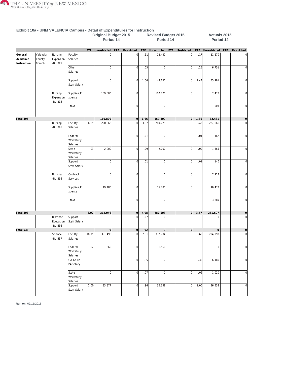

|                                    |                              |                                  |                                  |       | <b>Original Budget 2015</b><br>Period 14 |            |                 |      | <b>Revised Budget 2015</b><br>Period 14 |     |                |      | Actuals 2015<br>Period 14 |     |                     |
|------------------------------------|------------------------------|----------------------------------|----------------------------------|-------|------------------------------------------|------------|-----------------|------|-----------------------------------------|-----|----------------|------|---------------------------|-----|---------------------|
|                                    |                              |                                  |                                  |       | FTE Unrestricted                         | <b>FTE</b> | Restricted      | FTE  | Unrestricted                            | FTE | Restricted     |      | FTE Unrestricted          | FTE | Restricted          |
| General<br>Academic<br>Instruction | Valencia<br>County<br>Branch | Nursing<br>Expansion<br>-BU 395  | Faculty<br>Salaries              |       | $\overline{0}$                           |            | $\vert 0 \vert$ | .11  | 12,430                                  |     | 0              | .17  | 11,270                    |     |                     |
|                                    |                              |                                  | Other<br>Salaries                |       | $\overline{0}$                           |            | $\mathbf 0$     | .05  | $\overline{0}$                          |     | $\overline{0}$ | .25  | 6,751                     |     | 0                   |
|                                    |                              |                                  | Support<br>Staff Salary          |       | 0                                        |            | $\overline{0}$  | 1.50 | 49,650                                  |     | 0              | 1.44 | 35,981                    |     | $\mathbf 0$         |
|                                    |                              | Nursing<br>Expansion<br>-BU 395  | Supplies_E<br>xpense             |       | 169,800                                  |            | $\overline{0}$  |      | 107,720                                 |     | 0              |      | 7,478                     |     | <sup>0</sup>        |
|                                    |                              |                                  | Travel                           |       | 0                                        |            | $\overline{0}$  |      | 0                                       |     | 0              |      | 1,001                     |     | 0                   |
| Total 395                          |                              |                                  |                                  |       | 169,800                                  |            | $\vert 0 \vert$ | 1.66 | 169,800                                 |     | 0              | 1.86 | 62,481                    |     | $\mathsf{O}\xspace$ |
|                                    |                              | Nursing<br>-BU 396               | Faculty<br>Salaries              | 6.89  | 290,866                                  |            | $\overline{0}$  | 3.97 | 269,728                                 |     | $\overline{0}$ | 3.46 | 227,666                   |     | $\mathbf 0$         |
|                                    |                              |                                  | Federal<br>Workstudy<br>Salaries |       | $\overline{0}$                           |            | $\overline{0}$  | .01  | $\overline{0}$                          |     | $\overline{0}$ | .01  | 162                       |     | $\mathbf 0$         |
|                                    |                              |                                  | State<br>Workstudy<br>Salaries   | .03   | 2,000                                    |            | $\overline{0}$  | .09  | 2,000                                   |     | $\overline{0}$ | .09  | 1,365                     |     | 0                   |
|                                    |                              |                                  | Support<br><b>Staff Salary</b>   |       | 0                                        |            | $\overline{0}$  | .01  | $\overline{0}$                          |     | $\overline{0}$ | .01  | 140                       |     | 0                   |
|                                    |                              | Nursing<br>-BU 396               | Contract<br>Services             |       | 0                                        |            | 0               |      | $\overline{0}$                          |     | $\overline{0}$ |      | 7,913                     |     | $\pmb{0}$           |
|                                    |                              |                                  | Supplies_E<br>xpense             |       | 19,180                                   |            | $\mathbf 0$     |      | 15,780                                  |     | $\mathbf 0$    |      | 10,473                    |     | $\mathbf 0$         |
|                                    |                              |                                  | Travel                           |       | 0                                        |            | $\overline{0}$  |      | $\Omega$                                |     | $\overline{0}$ |      | 3,889                     |     | 0                   |
| Total 396                          |                              |                                  |                                  | 6.92  | 312,046                                  |            | 0               | 4.08 | 287,508                                 |     | 0              | 3.57 | 251,607                   |     | 0                   |
|                                    |                              | Distance<br>Education<br>-BU 536 | Support<br>Staff Salary          |       | $\overline{0}$                           |            | $\overline{0}$  | .02  | $\Omega$                                |     | $\Omega$       |      | $\mathbf 0$               |     | $\mathbf 0$         |
| Total 536                          |                              |                                  |                                  |       | $\vert$ 0                                |            | 0               | .02  | $\circ$                                 |     | 0              |      | $\mathsf{O}\xspace$       |     | 0                   |
|                                    |                              | Science<br>-BU 537               | Faculty<br>Salaries              | 10.79 | 351,498                                  |            | $\overline{0}$  | 7.31 | 312,704                                 |     | $\mathbf 0$    | 6.68 | 294,993                   |     | $\mathbf 0$         |
|                                    |                              |                                  | Federal<br>Workstudy<br>Salaries | .02   | 1,560                                    |            | $\overline{0}$  |      | 1,560                                   |     | $\overline{0}$ |      | $\mathsf 0$               |     | 0                   |
|                                    |                              |                                  | <b>GA TA RA</b><br>PA Salary     |       | 0                                        |            | $\overline{0}$  | .35  | $\mathbf{0}$                            |     | $\overline{0}$ | .30  | 6,480                     |     | <sup>o</sup>        |
|                                    |                              |                                  | State<br>Workstudy<br>Salaries   |       | 0                                        |            | $\overline{0}$  | .07  | 0                                       |     | <sub>0</sub>   | .06  | 1,020                     |     | 0                   |
|                                    |                              |                                  | Support<br>Staff Salary          | 1.00  | 33,877                                   |            | $\overline{0}$  | .96  | 36,358                                  |     | 0              | 1.00 | 36,533                    |     | 0                   |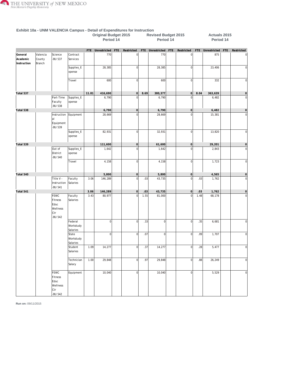

|                                    |                              |                                                              |                                  |       | <b>Original Budget 2015</b><br>Period 14 |     |                 |      | <b>Revised Budget 2015</b><br>Period 14 |              |      | Actuals 2015<br>Period 14 |     |                |
|------------------------------------|------------------------------|--------------------------------------------------------------|----------------------------------|-------|------------------------------------------|-----|-----------------|------|-----------------------------------------|--------------|------|---------------------------|-----|----------------|
|                                    |                              |                                                              |                                  |       | FTE Unrestricted                         | FTE | Restricted      |      | FTE Unrestricted FTE                    | Restricted   |      | FTE Unrestricted          | FTE | Restricted     |
| General<br>Academic<br>Instruction | Valencia<br>County<br>Branch | Science<br>-BU 537                                           | Contract<br>Services             |       | 770                                      |     | 0               |      | 770                                     | $\bf 0$      |      | 875                       |     | $\mathbf 0$    |
|                                    |                              |                                                              | Supplies_E<br>xpense             |       | 28,385                                   |     | 0               |      | 28,385                                  | <sup>o</sup> |      | 23,406                    |     | 0              |
|                                    |                              |                                                              | Travel                           |       | 600                                      |     | 0               |      | 600                                     | $\mathbf 0$  |      | 332                       |     | <sub>0</sub>   |
| Total 537                          |                              |                                                              |                                  | 11.81 | 416,690                                  |     | 0               | 8.69 | 380,377                                 | 0            | 8.04 | 363,639                   |     | 0              |
|                                    |                              | Part-Time<br>Faculty<br>-BU 538                              | Supplies_E<br>xpense             |       | 6,790                                    |     | $\Omega$        |      | 6,790                                   | $\Omega$     |      | 6,482                     |     | $\mathbf 0$    |
| Total 538                          |                              |                                                              |                                  |       | 6,790                                    |     | $\circ$         |      | 6,790                                   | 0            |      | 6,482                     |     | 0              |
|                                    |                              | Instruction Equipment<br>al<br>Equipment<br>-BU 539          |                                  |       | 28,669                                   |     | $\overline{0}$  |      | 28,669                                  | $\Omega$     |      | 15,381                    |     | $\mathbf 0$    |
|                                    |                              |                                                              | Supplies_E<br>xpense             |       | 82,931                                   |     | $\overline{0}$  |      | 32,931                                  | $\mathbf 0$  |      | 13,820                    |     | <sub>0</sub>   |
| Total 539                          |                              |                                                              |                                  |       | 111,600                                  |     | $\circ$         |      | 61,600                                  | 0            |      | 29,201                    |     | 0              |
|                                    |                              | Out of<br>District<br>-BU 540                                | Supplies_E<br>xpense             |       | 1,642                                    |     | $\overline{0}$  |      | 1,642                                   | $\Omega$     |      | 2,843                     |     | $\mathbf 0$    |
|                                    |                              |                                                              | Travel                           |       | 4,158                                    |     | $\overline{0}$  |      | 4,158                                   | 0            |      | 1,723                     |     | 0              |
| Total 540                          |                              |                                                              |                                  |       | 5,800                                    |     | 0               |      | 5,800                                   | 0            |      | 4,565                     |     | 0              |
|                                    |                              | Title V -<br>Instruction<br>-BU 541                          | Faculty<br>Salaries              | 3.06  | 146,289                                  |     | $\overline{0}$  | .03  | 43,735                                  | $\mathbf 0$  | .03  | 1,762                     |     | $\mathbf 0$    |
| Total 541                          |                              |                                                              |                                  | 3.06  | 146,289                                  |     | 0               | .03  | 43,735                                  | 0            | .03  | 1,762                     |     | 0              |
|                                    |                              | <b>FEWC</b><br>Fitness<br>Educ<br>Wellness<br>Ctr<br>-BU 542 | Faculty<br>Salaries              | 3.43  | 80,977                                   |     | 0               | 1.55 | 81,000                                  | <sup>o</sup> | 1.48 | 68,178                    |     | <sub>0</sub>   |
|                                    |                              |                                                              | Federal<br>Workstudy<br>Salaries |       | 0                                        |     | 0               | .33  | $\overline{0}$                          | <sup>o</sup> | .35  | 6,681                     |     | $\mathbf 0$    |
|                                    |                              |                                                              | State<br>Workstudy<br>Salaries   |       | 0                                        |     | $\overline{0}$  | .07  | $\overline{0}$                          | $\Omega$     | .09  | 1,707                     |     | 0              |
|                                    |                              |                                                              | Student<br>Salaries              | 1.09  | 14,277                                   |     | $\vert 0 \vert$ | .37  | 14,277                                  | 0            | .28  | 5,477                     |     | 0              |
|                                    |                              |                                                              | Technician<br>Salary             | 1.00  | 29,848                                   |     | 0               | .97  | 29,848                                  | 0            | .88  | 26,249                    |     | 0              |
|                                    |                              | <b>FEWC</b><br>Fitness<br>Educ<br>Wellness<br>Ctr<br>-BU 542 | Equipment                        |       | 10,040                                   |     | 0               |      | 10,040                                  | <sup>o</sup> |      | 5,529                     |     | $\overline{0}$ |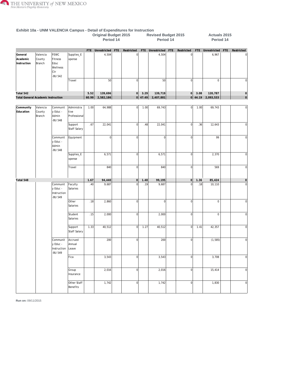

|                                           |                              |                                                              |                                    |       | <b>EXHIBIL TVd - ONIVI VALENCIA Campus - Detail Of Experiencies for instruction</b><br><b>Original Budget 2015</b><br>Period 14 |                |           | <b>Revised Budget 2015</b><br>Period 14 |     |              |           | Actuals 2015<br>Period 14 |     |                |
|-------------------------------------------|------------------------------|--------------------------------------------------------------|------------------------------------|-------|---------------------------------------------------------------------------------------------------------------------------------|----------------|-----------|-----------------------------------------|-----|--------------|-----------|---------------------------|-----|----------------|
|                                           |                              |                                                              |                                    |       | FTE Unrestricted FTE                                                                                                            | Restricted     |           | FTE Unrestricted                        | FTE | Restricted   |           | FTE Unrestricted          | FTE | Restricted     |
| General<br>Academic<br>Instruction        | Valencia<br>County<br>Branch | <b>FEWC</b><br>Fitness<br>Educ<br>Wellness<br>Ctr<br>-BU 542 | Supplies_E<br>xpense               |       | 4,504                                                                                                                           | 0              |           | 4,504                                   |     | $\mathbf 0$  |           | 6,967                     |     |                |
|                                           |                              |                                                              | Travel                             |       | 50                                                                                                                              | 0              |           | 50                                      |     | <sub>0</sub> |           | $\mathsf 0$               |     | 0              |
| Total 542                                 |                              |                                                              |                                    | 5.52  | 139,696                                                                                                                         | 0              | 3.29      | 139,719                                 |     | 0            | 3.08      | 120,787                   |     | $\circ$        |
| <b>Total General Academic Instruction</b> |                              |                                                              |                                    | 60.99 | 2,582,186                                                                                                                       |                | 0   47.49 | 2,407,881                               |     |              | $0$ 44.19 | 2,093,533                 |     | $\circ$        |
|                                           |                              |                                                              |                                    |       |                                                                                                                                 |                |           |                                         |     |              |           |                           |     |                |
| Community<br>Education                    | Valencia<br>County<br>Branch | Communit<br>y Educ -<br>Admin<br>-BU 548                     | Administra<br>tive<br>Professional | 1.00  | 64,988                                                                                                                          | 0              | 1.00      | 69,743                                  |     | <sup>o</sup> | 1.00      | 69,743                    |     | 0              |
|                                           |                              |                                                              | Support<br>Staff Salary            | .67   | 22,041                                                                                                                          | $\overline{0}$ | .48       | 22,041                                  |     | <sup>o</sup> | .36       | 12,643                    |     | $\mathbf 0$    |
|                                           |                              | Communit<br>y Educ -<br>Admin<br>-BU 548                     | Equipment                          |       | 0                                                                                                                               | $\overline{0}$ |           | $\overline{0}$                          |     | $\mathbf 0$  |           | 99                        |     | $\overline{0}$ |
|                                           |                              |                                                              | Supplies_E<br>xpense               |       | 6,571                                                                                                                           | 0              |           | 6,571                                   |     | 0            |           | 2,370                     |     | $\overline{0}$ |
|                                           |                              |                                                              | Travel                             |       | 840                                                                                                                             | $\overline{0}$ |           | 840                                     |     | $\mathbf 0$  |           | 569                       |     | $\mathbf 0$    |
| Total 548                                 |                              |                                                              |                                    | 1.67  | 94,440                                                                                                                          | 0              | 1.48      | 99,195                                  |     | 0            | 1.36      | 85,424                    |     | 0              |
|                                           |                              | Communit<br>y Educ -<br>Instruction<br>-BU 549               | Faculty<br>Salaries                | .40   | 9,687                                                                                                                           | $\overline{0}$ | .19       | 9,687                                   |     | $\mathbf 0$  | .18       | 10,110                    |     | $\mathbf 0$    |
|                                           |                              |                                                              | Other<br>Salaries                  | .18   | 2,860                                                                                                                           | $\overline{0}$ |           | $\Omega$                                |     | $\mathbf 0$  |           | $\mathbf 0$               |     | $\Omega$       |
|                                           |                              |                                                              | Student<br>Salaries                | .15   | 2,000                                                                                                                           | $\overline{0}$ |           | 2,000                                   |     | <sub>0</sub> |           | $\mathsf 0$               |     | $\mathbf{0}$   |
|                                           |                              |                                                              | Support<br>Staff Salary            | 1.33  | 40,512                                                                                                                          | 0              | 1.27      | 40,512                                  |     | 0            | 1.41      | 42,357                    |     | $\Omega$       |
|                                           |                              | Communit<br>y Educ -<br>Instruction<br>-BU 549               | Accrued<br>Annual<br>Leave         |       | 200                                                                                                                             | 0              |           | 200                                     |     | $\mathbf{0}$ |           | (1, 585)                  |     | <sup>0</sup>   |
|                                           |                              |                                                              | Fica                               |       | 3,543                                                                                                                           | 0              |           | 3,543                                   |     | 0            |           | 3,708                     |     | 0              |
|                                           |                              |                                                              | Group<br>Insurance                 |       | 2,016                                                                                                                           | 0              |           | 2,016                                   |     | 0            |           | 15,414                    |     | 0              |
|                                           |                              |                                                              | Other Staff<br>Benefits            |       | 1,742                                                                                                                           | 0              |           | 1,742                                   |     | 0            |           | 1,830                     |     | 0              |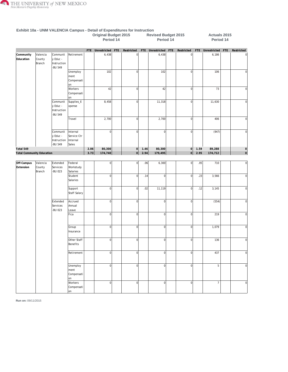

|                                  |                              |                                                |                                              |            | <b>Original Budget 2015</b><br>Period 14 |     |                 |      | <b>Revised Budget 2015</b><br>Period 14 |     |                |      | Actuals 2015<br>Period 14 |     |                |
|----------------------------------|------------------------------|------------------------------------------------|----------------------------------------------|------------|------------------------------------------|-----|-----------------|------|-----------------------------------------|-----|----------------|------|---------------------------|-----|----------------|
|                                  |                              |                                                |                                              | <b>FTE</b> | Unrestricted                             | FTE | Restricted      |      | FTE Unrestricted                        | FTE | Restricted     | FTE  | Unrestricted              | FTE | Restricted     |
| Community<br>Education           | Valencia<br>County<br>Branch | Communit<br>y Educ -<br>Instruction<br>-BU 549 | Retirement                                   |            | 6,438                                    |     | $\overline{0}$  |      | 6,438                                   |     | $\overline{0}$ |      | 6,186                     |     | 0              |
|                                  |                              |                                                | Unemploy<br>ment<br>Compensati<br>lon        |            | 102                                      |     | $\mathbf 0$     |      | 102                                     |     | $\overline{0}$ |      | 106                       |     | $\overline{0}$ |
|                                  |                              |                                                | Workers<br>Compensati<br>on                  |            | 42                                       |     | $\bf 0$         |      | 42                                      |     | $\overline{0}$ |      | 73                        |     | $\pmb{0}$      |
|                                  |                              | Communit<br>y Educ -<br>Instruction<br>-BU 549 | Supplies_E<br>xpense                         |            | 8,458                                    |     | $\bf 0$         |      | 11,318                                  |     | $\overline{0}$ |      | 11,630                    |     | $\overline{0}$ |
|                                  |                              |                                                | Travel                                       |            | 2,700                                    |     | $\mathbf 0$     |      | 2,700                                   |     | $\overline{0}$ |      | 406                       |     | $\bf 0$        |
|                                  |                              | Communit<br>y Educ -<br>Instruction<br>-BU 549 | Internal<br>Service Ctr<br>Internal<br>Sales |            | 0                                        |     | $\mathbf 0$     |      | 0                                       |     | $\overline{0}$ |      | (947)                     |     | $\overline{0}$ |
| Total 549                        |                              |                                                |                                              | 2.06       | 80,300                                   |     | $\circ$         | 1.46 | 80,300                                  |     | $\overline{0}$ | 1.59 | 89,288                    |     | 0              |
| <b>Total Community Education</b> |                              |                                                |                                              | 3.73       | 174,740                                  |     | $\overline{0}$  | 2.94 | 179,495                                 |     | $\overline{O}$ | 2.95 | 174,712                   |     | 0              |
|                                  |                              |                                                |                                              |            |                                          |     |                 |      |                                         |     |                |      |                           |     |                |
| Off-Campus<br>Extension          | Valencia<br>County<br>Branch | Extended<br>Services<br>-BU 023                | Federal<br>Workstudy<br>Salaries             |            | $\mathbf 0$                              |     | $\mathbf 0$     | .06  | 6,300                                   |     | $\overline{0}$ | .05  | 710                       |     | <sub>0</sub>   |
|                                  |                              |                                                | Student<br>Salaries                          |            | 0                                        |     | $\mathbf 0$     | .14  | 0                                       |     | $\overline{0}$ | .23  | 3,566                     |     | $\overline{0}$ |
|                                  |                              |                                                | Support<br>Staff Salary                      |            | 0                                        |     | $\overline{0}$  | .02  | 11,119                                  |     | $\overline{0}$ | .12  | 3,145                     |     | $\overline{0}$ |
|                                  |                              | Extended<br>Services<br>-BU 023                | Accrued<br>Annual<br>Leave                   |            | 0                                        |     | $\mathbf 0$     |      | 0                                       |     | $\overline{0}$ |      | (554)                     |     | $\overline{0}$ |
|                                  |                              |                                                | Fica                                         |            | $\overline{0}$                           |     | $\mathbf 0$     |      | $\mathbf{0}$                            |     | $\overline{0}$ |      | 219                       |     | $\mathbf 0$    |
|                                  |                              |                                                | Group<br>Insurance                           |            | 0                                        |     | $\bf 0$         |      | 0                                       |     | $\overline{0}$ |      | 1,079                     |     | $\overline{0}$ |
|                                  |                              |                                                | Other Staff<br>Benefits                      |            | 0                                        |     | $\mathbf 0$     |      | 0                                       |     | $\overline{0}$ |      | 136                       |     | $\overline{0}$ |
|                                  |                              |                                                | Retirement                                   |            | 0                                        |     | $\overline{0}$  |      | 0                                       |     | $\overline{0}$ |      | 437                       |     | 0              |
|                                  |                              |                                                | Unemploy<br>ment<br>Compensati<br>lon        |            | 0                                        |     | $\mathbf 0$     |      | 0                                       |     | $\overline{0}$ |      | $\sqrt{5}$                |     | 0              |
|                                  |                              |                                                | Workers<br>Compensati<br>on                  |            | 0                                        |     | $\vert 0 \vert$ |      | 0                                       |     | $\overline{0}$ |      | $\overline{7}$            |     | 0              |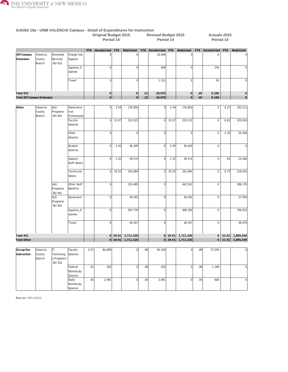

|                                   |                              |                                             |                                    |      | Exhibit 10a - UNM VALENCIA Campus - Detail of Expenditures for Instruction<br><b>Original Budget 2015</b><br>Period 14 |       |                   |            | <b>Revised Budget 2015</b><br>Period 14 |       |                   |     | Actuals 2015<br>Period 14 |      |                         |
|-----------------------------------|------------------------------|---------------------------------------------|------------------------------------|------|------------------------------------------------------------------------------------------------------------------------|-------|-------------------|------------|-----------------------------------------|-------|-------------------|-----|---------------------------|------|-------------------------|
|                                   |                              |                                             |                                    |      | FTE Unrestricted                                                                                                       | FTE   | Restricted        | <b>FTE</b> | Unrestricted FTE                        |       | Restricted        |     | FTE Unrestricted          | FTE  | Restricted              |
| Off-Campus<br>Extension           | Valencia<br>County<br>Branch | Extended<br>Services<br><b>BU 023</b>       | Charge Inst.<br>Support            |      | $\Omega$                                                                                                               |       | $\overline{0}$    |            | 10,000                                  |       | 0                 |     | $\mathsf 0$               |      | $\mathbf{0}$            |
|                                   |                              |                                             | Supplies_E<br>xpense               |      | 0                                                                                                                      |       | $\overline{0}$    |            | 400                                     |       | 0                 |     | 256                       |      | $\mathbf{0}$            |
|                                   |                              |                                             | Travel                             |      | $\Omega$                                                                                                               |       | 0                 |            | 1,151                                   |       | <sub>0</sub>      |     | 93                        |      | $\overline{0}$          |
| Total 023                         |                              |                                             |                                    |      | 0                                                                                                                      |       | $\vert 0 \vert$   | .22        | 28,970                                  |       | 0                 | .40 | 9,100                     |      | 0                       |
| <b>Total Off-Campus Extension</b> |                              |                                             |                                    |      | 0                                                                                                                      |       | 0                 | 22         | 28,970                                  |       | $\circ$           | .40 | 9,100                     |      | 0                       |
|                                   |                              |                                             |                                    |      |                                                                                                                        |       |                   |            |                                         |       |                   |     |                           |      |                         |
| Other                             | Valencia<br>County<br>Branch | <b>I&amp;G</b><br>Programs<br><b>BU 441</b> | Administra<br>tive<br>Professional |      | 0                                                                                                                      | 3.54  | 176,850           |            | $\Omega$                                | 3.54  | 176,850           |     | $\mathsf 0$               | 4.27 | 193,511                 |
|                                   |                              |                                             | Faculty<br>Salaries                |      | $\overline{0}$                                                                                                         | 12.07 | 253,515           |            | $\overline{0}$                          | 12.07 | 253,515           |     | $\mathsf 0$               | 6.82 | 325,919                 |
|                                   |                              |                                             | Other<br>Salaries                  |      | 0                                                                                                                      |       | $\overline{0}$    |            | $\overline{0}$                          |       | <sub>0</sub>      |     | $\mathsf 0$               | 2.76 | 50,450                  |
|                                   |                              |                                             | Student<br>Salaries                |      | $\overline{0}$                                                                                                         | 2.43  | 46,420            |            | $\overline{0}$                          | 2.43  | 46,420            |     | $\mathbf 0$               |      |                         |
|                                   |                              |                                             | Support<br><b>Staff Salary</b>     |      | 0                                                                                                                      | 1.32  | 39,574            |            | $\Omega$                                | 1.32  | 39,574            |     | $\mathsf{0}$              | .93  | 24,360                  |
|                                   |                              |                                             | Technician<br>Salary               |      | $\circ$                                                                                                                | 10.55 | 263,864           |            | 0                                       | 10.55 | 263,864           |     | $\mathsf 0$               | 6.73 | 218,935                 |
|                                   |                              | <b>1&amp;G</b><br>Programs<br>-BU 441       | Other Staff<br>Benefits            |      | 0                                                                                                                      |       | 253,405           |            | $\overline{0}$                          |       | 442,915           |     | $\mathsf 0$               |      | 306,176                 |
|                                   |                              | I&G<br>Programs<br><b>BU 441</b>            | Equipment                          |      | 0                                                                                                                      |       | 39,565            |            | $\overline{0}$                          |       | 39,565            |     | $\mathsf 0$               |      | 27,056                  |
|                                   |                              |                                             | Supplies_E<br>xpense               |      | $\overline{0}$                                                                                                         |       | 597,770           |            | $\Omega$                                |       | 408,260           |     | $\mathsf 0$               |      | 709,553                 |
|                                   |                              |                                             | Travel                             |      | 0                                                                                                                      |       | 40,357            |            | $\overline{0}$                          |       | 40,357            |     | $\mathbf 0$               |      | 39,479                  |
| Total 441                         |                              |                                             |                                    |      |                                                                                                                        |       | 0 29.91 1,711,320 |            |                                         |       | 0 29.91 1,711,320 |     |                           |      | $0$   21.51   1,895,439 |
| Total Other                       |                              |                                             |                                    |      |                                                                                                                        |       | 0 29.91 1,711,320 |            |                                         |       | 0 29.91 1,711,320 |     |                           |      | $0$   21.51   1,895,439 |
| Occup/Voc<br>Instruction          | Valencia<br>County           | IT.<br>Technolog                            | Faculty<br>Salaries                | 3.07 | 84,699                                                                                                                 |       | $\overline{0}$    | .96        | 93,329                                  |       | ol                | .89 | 27,359                    |      | 0                       |
|                                   | Branch                       | y Programs<br><b>BU 332</b>                 | Federal                            | .01  | 420                                                                                                                    |       | $\overline{0}$    | .08        | 420                                     |       | 0                 | .08 | 1,189                     |      | 0                       |
|                                   |                              |                                             | Workstudy<br>Salaries              |      |                                                                                                                        |       |                   |            |                                         |       |                   |     |                           |      |                         |
|                                   |                              |                                             | State                              | .05  | 2,991                                                                                                                  |       | 0                 | .05        | 2,991                                   |       | 0                 | .04 | 606                       |      | 0                       |

**Run on:** 09/11/2015

Workstudy Salaries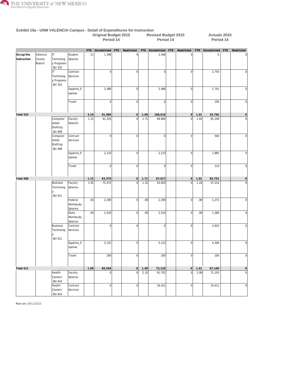

|                          |                              |                                               |                                  |      | <b>Original Budget 2015</b><br>Period 14 |     |                  |      | <b>Revised Budget 2015</b><br>Period 14 |     |                |      | Actuals 2015<br>Period 14 |     |                |
|--------------------------|------------------------------|-----------------------------------------------|----------------------------------|------|------------------------------------------|-----|------------------|------|-----------------------------------------|-----|----------------|------|---------------------------|-----|----------------|
|                          |                              |                                               |                                  | FTE  | Unrestricted                             | FTE | Restricted       |      | FTE Unrestricted                        | FTE | Restricted     | FTE  | Unrestricted              | FTE | Restricted     |
| Occup/Voc<br>Instruction | Valencia<br>County<br>Branch | İП<br>Technolog<br>y Programs<br>-BU 332      | Student<br>Salaries              | .11  | 1,390                                    |     | $\mathbf 0$      |      | 1,390                                   |     | $\overline{0}$ |      | $\mathsf{O}\xspace$       |     | 0              |
|                          |                              | IT.<br>Technolog<br>y Programs<br>-BU 332     | Contract<br>Services             |      | $\overline{0}$                           |     | 0                |      | 0                                       |     | $\overline{0}$ |      | 2,750                     |     | $\mathbf 0$    |
|                          |                              |                                               | Supplies_E<br>xpense             |      | 2,486                                    |     | $\mathbf 0$      |      | 2,486                                   |     | $\overline{0}$ |      | 1,741                     |     | 0              |
|                          |                              |                                               | Travel                           |      | $\overline{0}$                           |     | $\mathbf 0$      |      | $\Omega$                                |     | $\overline{0}$ |      | 100                       |     | $\overline{0}$ |
| Total 332                |                              |                                               |                                  | 3.24 | 91,986                                   |     | 0                | 1.09 | 100,616                                 |     | 0              | 1.01 | 33,746                    |     | 0              |
|                          |                              | Computer<br>Aided<br>Drafting<br>-BU 408      | Faculty<br>Salaries              | 1.12 | 61,243                                   |     | $\overline{0}$   | 1.71 | 84,884                                  |     | $\overline{0}$ | 1.62 | 81,249                    |     | $\overline{0}$ |
|                          |                              | Computer<br>Aided<br>Drafting<br>-BU 408      | Contract<br>Services             |      | $\overline{0}$                           |     | $\mathbf 0$      |      | $\Omega$                                |     | $\overline{0}$ |      | 500                       |     | 0              |
|                          |                              |                                               | Supplies_E<br>xpense             |      | 2,133                                    |     | $\mathbf 0$      |      | 2,133                                   |     | $\overline{0}$ |      | 1,885                     |     | $\overline{0}$ |
|                          |                              |                                               | Travel                           |      | $\overline{0}$                           |     | $\mathbf 0$      |      | $\overline{0}$                          |     | $\overline{0}$ |      | 119                       |     | $\overline{0}$ |
| Total 408                |                              |                                               |                                  | 1.12 | 63,376                                   |     | $\circ$          | 1.71 | 87,017                                  |     | 0              | 1.62 | 83,753                    |     | 0              |
|                          |                              | <b>Business</b><br>Technolog<br>lУ<br>-BU 411 | Faculty<br>Salaries              | 1.92 | 75,472                                   |     | $\mathbf 0$      | 1.32 | 63,003                                  |     | $\mathbf 0$    | 1.24 | 57,214                    |     | $\mathbf 0$    |
|                          |                              |                                               | Federal<br>Workstudy<br>Salaries | .03  | 2,290                                    |     | $\mathbf 0$      | .08  | 2,290                                   |     | $\overline{0}$ | .08  | 1,272                     |     | $\overline{0}$ |
|                          |                              |                                               | State<br>Workstudy<br>Salaries   | .04  | 2,510                                    |     | $\vert 0 \vert$  | .09  | 2,510                                   |     | $\overline{0}$ | .09  | 1,589                     |     | 0              |
|                          |                              | <b>Business</b><br>Technolog<br>V<br>-BU 411  | Contract<br>Services             |      | $\overline{0}$                           |     | $\mathbf 0$      |      | $\Omega$                                |     | $\overline{0}$ |      | 2,625                     |     | 0              |
|                          |                              |                                               | Supplies_E<br>xpense             |      | 5,122                                    |     | $\mathbf{0}$     |      | 5, 122                                  |     | <sup>o</sup>   |      | 4,340                     |     | $\circ$        |
|                          |                              |                                               | Travel                           |      | 200                                      |     | $\mathbf{0}$     |      | 200                                     |     | $\mathbf{0}$   |      | 100                       |     | 0              |
| Total 411                |                              |                                               |                                  | 1.99 | 85,594                                   |     | 0                | 1.49 | 73,125                                  |     | 0              | 1.41 | 67,140                    |     | $\circ$        |
|                          |                              | Health<br>Careers<br>-BU 414                  | Faculty<br>Salaries              |      | $\overline{0}$                           |     | $\overline{0}$   | 2.32 | 91,701                                  |     | $\overline{0}$ | 2.08 | 71,103                    |     | 0              |
|                          |                              | Health<br>Careers<br><b>BU 414</b>            | Contract<br>Services             |      | $\overline{0}$                           |     | $\boldsymbol{0}$ |      | 19,411                                  |     | $\mathbf{0}$   |      | 19,411                    |     | 0              |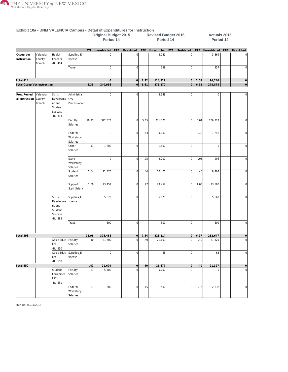

| <b>EXHIBIL TVA - ONIM VALENCIA CAMPUS - Detail Of Experientines for mistruction</b> |                              |                                                                              |                                    |       | <b>Original Budget 2015</b><br>Period 14 |                |      | <b>Revised Budget 2015</b><br>Period 14 |            |             |      | Actuals 2015<br>Period 14 |     |                     |
|-------------------------------------------------------------------------------------|------------------------------|------------------------------------------------------------------------------|------------------------------------|-------|------------------------------------------|----------------|------|-----------------------------------------|------------|-------------|------|---------------------------|-----|---------------------|
|                                                                                     |                              |                                                                              |                                    |       | FTE Unrestricted FTE                     | Restricted     |      | FTE Unrestricted                        | <b>FTE</b> | Restricted  |      | FTE Unrestricted          | FTE | Restricted          |
| Occup/Voc<br>Instruction                                                            | Valencia<br>County<br>Branch | Health<br>Careers<br>-BU 414                                                 | Supplies_E<br>xpense               |       | $\Omega$                                 | $\mathbf 0$    |      | 3,041                                   |            | $\bf 0$     |      | 3,369                     |     |                     |
|                                                                                     |                              |                                                                              | Travel                             |       | $\overline{0}$                           | $\overline{0}$ |      | 359                                     |            | $\circ$     |      | 357                       |     | $\mathbf 0$         |
| Total 414                                                                           |                              |                                                                              |                                    |       | $\mathbf 0$                              | 0              | 2.32 | 114,512                                 |            | 0           | 2.08 | 94,240                    |     | $\mathsf{O}\xspace$ |
| <b>Total Occup/Voc Instruction</b>                                                  |                              |                                                                              |                                    | 6.35  | 240,956                                  | 0              | 6.61 | 375,270                                 |            | 0           | 6.12 | 278,878                   |     | $\mathsf{O}\xspace$ |
|                                                                                     |                              |                                                                              |                                    |       |                                          |                |      |                                         |            |             |      |                           |     |                     |
| Prep/Remedi<br>al Instruction                                                       | Valencia<br>County<br>Branch | <b>Skills</b><br>Developme<br>nt and<br>Student<br><b>Success</b><br>-BU 393 | Administra<br>tive<br>Professional |       | $\overline{0}$                           | $\Omega$       |      | 3,348                                   |            | $\mathbf 0$ |      | $\mathsf 0$               |     | $\Omega$            |
|                                                                                     |                              |                                                                              | Faculty<br>Salaries                | 10.21 | 322,373                                  | $\Omega$       | 5.65 | 271,771                                 |            | 0           | 5.04 | 206,327                   |     | $\mathbf 0$         |
|                                                                                     |                              |                                                                              | Federal<br>Workstudy<br>Salaries   |       | $\overline{0}$                           | $\mathbf 0$    | .43  | 9,000                                   |            | 0           | .42  | 7,248                     |     | $\mathbf 0$         |
|                                                                                     |                              |                                                                              | Other<br>Salaries                  | .11   | 1,800                                    | $\mathbf 0$    |      | 1,800                                   |            | $\mathbf 0$ |      | $\mathbf 0$               |     | $\mathbf 0$         |
|                                                                                     |                              |                                                                              | State<br>Workstudy<br>Salaries     |       | $\overline{0}$                           | $\overline{0}$ | .05  | 2,000                                   |            | 0           | .05  | 996                       |     | $\mathbf 0$         |
|                                                                                     |                              |                                                                              | Student<br>Salaries                | 1.64  | 21,470                                   | 0              | .44  | 10,470                                  |            | 0           | .46  | 8,407                     |     | $\mathbf 0$         |
|                                                                                     |                              |                                                                              | Support<br>Staff Salary            | 1.00  | 23,452                                   | $\overline{0}$ | .97  | 23,452                                  |            | 0           | 1.00 | 23,500                    |     | $\mathbf 0$         |
|                                                                                     |                              | <b>Skills</b><br>Developme<br>nt and<br>Student<br>Success<br><b>BU 393</b>  | Supplies_E<br>xpense               |       | 5,873                                    | $\overline{0}$ |      | 5,873                                   |            | $\circ$     |      | 5,660                     |     | $\mathbf 0$         |
|                                                                                     |                              |                                                                              | Travel                             |       | 500                                      | $\mathbf 0$    |      | 500                                     |            | $\mathbf 0$ |      | 509                       |     | $\mathbf 0$         |
| Total 393                                                                           |                              |                                                                              |                                    | 12.96 | 375,468                                  | 0              | 7.54 | 328,214                                 |            | 0           | 6.97 | 252,647                   |     | $\mathsf{O}\xspace$ |
|                                                                                     |                              | Adult Educ Faculty<br>Ctr<br>-BU 550                                         | Salaries                           | .40   | 21,609                                   | 0              | 40   | 21,609                                  |            | 0           | .40  | 21,329                    |     | $\overline{0}$      |
|                                                                                     |                              | Adult Educ<br>Ctr<br>-BU 550                                                 | Supplies_E<br>xpense               |       | $\overline{0}$                           | $\overline{0}$ |      | 68                                      |            | 0           |      | 68                        |     | $\mathbf 0$         |
| Total 550                                                                           |                              |                                                                              |                                    | .40   | 21,609                                   | 0              | .40  | 21,677                                  |            | 0           | .40  | 21,397                    |     | $\mathsf{O}\xspace$ |
|                                                                                     |                              | Student<br>Enrichmen<br>t Ctr<br>-BU 551                                     | Faculty<br>Salaries                | .23   | 5,700                                    | $\Omega$       |      | 5,700                                   |            | $\mathbf 0$ |      | $\mathsf 0$               |     | $\mathbf 0$         |
|                                                                                     |                              |                                                                              | Federal<br>Workstudy<br>Salaries   | .01   | 500                                      | 0              | .15  | 500                                     |            | 0           | .16  | 2,832                     |     | $\overline{0}$      |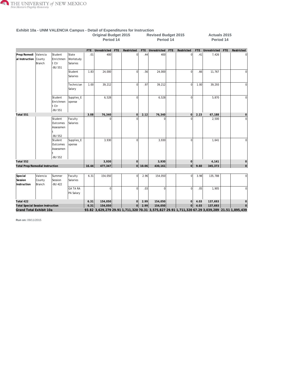

|                                          |                                                                                                          |                                             |                                |       | <b>Original Budget 2015</b><br>Period 14 |            |                |           | <b>Revised Budget 2015</b><br>Period 14 |            |                |            | <b>Actuals 2015</b><br>Period 14                                                                |     |                |
|------------------------------------------|----------------------------------------------------------------------------------------------------------|---------------------------------------------|--------------------------------|-------|------------------------------------------|------------|----------------|-----------|-----------------------------------------|------------|----------------|------------|-------------------------------------------------------------------------------------------------|-----|----------------|
|                                          |                                                                                                          |                                             |                                |       | FTE Unrestricted                         | <b>FTE</b> | Restricted     |           | FTE Unrestricted                        | <b>FTE</b> | Restricted     | <b>FTE</b> | Unrestricted                                                                                    | FTE | Restricted     |
| Prep/Remedi<br>al Instruction            | Valencia<br>County<br>Branch                                                                             | Student<br>Enrichmen<br>t Ctr<br>-BU 551    | State<br>Workstudy<br>Salaries | .01   | 400                                      |            | 0              | .44       | 400                                     |            | $\overline{0}$ | .41        | 7,426                                                                                           |     |                |
|                                          |                                                                                                          |                                             | Student<br>Salaries            | 1.83  | 24,000                                   |            | $\overline{0}$ | .56       | 24,000                                  |            | $\Omega$       | .66        | 11,767                                                                                          |     | 0              |
|                                          |                                                                                                          |                                             | Technician<br>Salary           | 1.00  | 39,212                                   |            | $\overline{0}$ | .97       | 39,212                                  |            | $\overline{0}$ | 1.00       | 39,293                                                                                          |     | $\overline{0}$ |
|                                          | Student<br>Supplies_E<br>Enrichmen<br>xpense<br>t Ctr<br>-BU 551<br>Student<br>Outcomes                  |                                             |                                |       | 6,528                                    |            | $\Omega$       |           | 6,528                                   |            | $\Omega$       |            | 5,870                                                                                           |     | $\overline{0}$ |
| Total 551                                |                                                                                                          |                                             |                                | 3.08  | 76,340                                   |            | 0              | 2.12      | 76,340                                  |            | $\overline{0}$ | 2.23       | 67,188                                                                                          |     | $\circ$        |
|                                          |                                                                                                          | Assessmen<br>-BU 552                        | Faculty<br>Salaries            |       | $\Omega$                                 |            |                |           |                                         |            | $\Omega$       |            | 2,500                                                                                           |     | $\mathbf{0}$   |
|                                          |                                                                                                          | Student<br>Outcomes<br>Assessmen<br>-BU 552 | Supplies_E<br>xpense           |       | 3,930                                    |            | $\Omega$       |           | 3,930                                   |            | $\Omega$       |            | 1,641                                                                                           |     | <sup>0</sup>   |
| Total 552                                |                                                                                                          |                                             |                                |       | 3,930                                    |            | $\overline{0}$ |           | 3,930                                   |            | $\Omega$       |            | 4,141                                                                                           |     | $\circ$        |
|                                          |                                                                                                          |                                             |                                | 16.44 | 477,347                                  |            |                | $0$ 10.06 | 430,161                                 |            | $\overline{0}$ | 9.60       | 345,373                                                                                         |     | 0              |
| Special<br>Session                       | <b>Total Prep/Remedial Instruction</b><br>Valencia<br>Summer<br>Faculty<br>County<br>Session<br>Salaries |                                             |                                |       | 154,050                                  |            | $\overline{0}$ | 2.96      | 154,050                                 |            | $\overline{0}$ | 3.98       | 135,788                                                                                         |     | $\mathbf{0}$   |
| Instruction                              | Branch<br><b>BU 422</b><br><b>GA TA RA</b><br>PA Salary                                                  |                                             |                                |       | $\overline{0}$                           |            | $\overline{0}$ | .03       | $\Omega$                                |            | $\overline{0}$ | .05        | 1,905                                                                                           |     | $\overline{0}$ |
| Total 422                                |                                                                                                          |                                             |                                | 6.31  | 154,050                                  |            | 0              | 2.99      | 154,050                                 |            | $\overline{0}$ | 4.03       | 137,693                                                                                         |     | $\circ$        |
| <b>Total Special Session Instruction</b> |                                                                                                          |                                             |                                | 6.31  | 154,050                                  |            | $\mathsf{O}$   | 2.99      | 154,050                                 |            | 0              | 4.03       | 137,693                                                                                         |     |                |
| Grand Total Exhibit 10a                  |                                                                                                          |                                             |                                |       |                                          |            |                |           |                                         |            |                |            | 93.82 3,629,279 29.91 1,711,320 70.31 3,575,827 29.91 1,711,320 67.29 3,039,289 21.51 1,895,439 |     |                |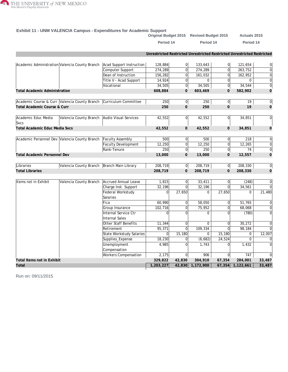

#### **Exhibit 11 - UNM VALENCIA Campus - Expenditures for Academic Support**

|                                       |                                                                    |                                 |                                                                         |                | Original Budget 2015 Revised Budget 2015 |                | <b>Actuals 2015</b> |                 |
|---------------------------------------|--------------------------------------------------------------------|---------------------------------|-------------------------------------------------------------------------|----------------|------------------------------------------|----------------|---------------------|-----------------|
|                                       |                                                                    |                                 | Period 14                                                               |                | Period 14                                |                | Period 14           |                 |
|                                       |                                                                    |                                 | Unrestricted Restricted Unrestricted Restricted Unrestricted Restricted |                |                                          |                |                     |                 |
|                                       | Academic Administration Valencia County Branch                     | Acad Support Instruction        | 128,884                                                                 | 0              | 133,643                                  | $\overline{0}$ | 121,654             | 0               |
|                                       |                                                                    | Computer Support                | 274,289                                                                 | $\Omega$       | 274,289                                  | $\overline{0}$ | 263,752             | $\overline{0}$  |
|                                       |                                                                    | Dean of Instruction             | 156,282                                                                 | $\overline{0}$ | 161,032                                  | $\overline{0}$ | 162,952             | $\overline{0}$  |
|                                       |                                                                    | Title V - Acad Support          | 14,924                                                                  | $\Omega$       | $\Omega$                                 | $\overline{0}$ | $\Omega$            | $\overline{0}$  |
|                                       |                                                                    | Vocational                      | 34,505                                                                  | 0              | 34,505                                   | 0              | 34,544              | $\overline{0}$  |
| <b>Total Academic Administration</b>  |                                                                    |                                 | 608,884                                                                 | $\overline{O}$ | 603,469                                  | $\overline{O}$ | 582,902             | $\mathbf{O}$    |
|                                       |                                                                    |                                 |                                                                         |                |                                          |                |                     |                 |
|                                       | Academic Course & Curr Valencia County Branch Curriculum Committee |                                 | 250                                                                     | 0              | 250                                      | 0              | 19                  | $\overline{0}$  |
| Total Academic Course & Curr          |                                                                    |                                 | 250                                                                     | $\overline{O}$ | 250                                      | $\overline{0}$ | 19                  | $\mathbf 0$     |
| Academic Educ Media<br><b>Svcs</b>    | Valencia County Branch Audio Visual Services                       |                                 | 42,552                                                                  | 0l             | 42,552                                   | 0              | 34,851              | $\overline{0}$  |
| <b>Total Academic Educ Media Svcs</b> |                                                                    |                                 | 42,552                                                                  | $\overline{0}$ | 42,552                                   | $\overline{O}$ | 34,851              | $\mathbf 0$     |
|                                       |                                                                    |                                 |                                                                         |                |                                          |                |                     |                 |
|                                       | Academic Personnel Dev Valencia County Branch                      | Faculty Assembly                | 500                                                                     | $\Omega$       | 500                                      | $\Omega$       | 218                 | 0               |
|                                       |                                                                    | <b>Faculty Development</b>      | 12,250                                                                  | 0              | 12,250                                   | 0              | 12,265              | $\overline{0}$  |
|                                       |                                                                    | Rank-Tenure                     | 250                                                                     | 0              | 250                                      | 0              | 74                  | $\overline{0}$  |
| <b>Total Academic Personnel Dev</b>   |                                                                    |                                 | 13,000                                                                  | $\overline{0}$ | 13,000                                   | $\overline{O}$ | 12,557              | $\mathbf 0$     |
|                                       |                                                                    |                                 |                                                                         |                |                                          |                |                     |                 |
| Libraries                             | Valencia County Branch   Branch Main Library                       |                                 | 208,719                                                                 | 0              | 208,719                                  | 0              | 208,330             | $\overline{0}$  |
| <b>Total Libraries</b>                |                                                                    |                                 | 208,719                                                                 | $\mathbf{O}$   | 208,719                                  | $\mathbf 0$    | 208,330             | $\mathbf 0$     |
|                                       |                                                                    |                                 |                                                                         |                |                                          |                |                     |                 |
| Items not in Exhibit                  | Valencia County Branch                                             | Accrued Annual Leave            | 1,815                                                                   | 0              | 33,411                                   | 0              | (248)               | 0               |
|                                       |                                                                    | Charge Inst. Support            | 32, 196                                                                 | $\Omega$       | 32,196                                   | $\Omega$       | 34,561              | $\overline{0}$  |
|                                       |                                                                    | Federal Workstudy               | 0                                                                       | 27,650         | 0                                        | 27,650         | $\mathbf 0$         | 21,480          |
|                                       |                                                                    | Salaries                        |                                                                         |                |                                          |                |                     |                 |
|                                       |                                                                    | Fica                            | 60,990                                                                  | <sup>0</sup>   | 58,050                                   | $\overline{0}$ | 51,765              | $\vert 0 \vert$ |
|                                       |                                                                    | Group Insurance                 | 102,716                                                                 | $\Omega$       | 75,952                                   | $\overline{0}$ | 68,068              | $\overline{0}$  |
|                                       |                                                                    | Internal Service Ctr            | $\Omega$                                                                | $\Omega$       | $\Omega$                                 | $\Omega$       | (780)               | $\overline{0}$  |
|                                       |                                                                    | <b>Internal Sales</b>           |                                                                         |                |                                          |                |                     |                 |
|                                       |                                                                    | Other Staff Benefits            | 11,344                                                                  | $\Omega$       | $\Omega$                                 | $\Omega$       | 30,272              | $\overline{0}$  |
|                                       |                                                                    | Retirement                      | 95,371                                                                  | $\Omega$       | 109,334                                  | $\overline{0}$ | 98,184              | $\Omega$        |
|                                       |                                                                    | <b>State Workstudy Salaries</b> | $\Omega$                                                                | 15, 180        | $\Omega$                                 | 15,180         | $\Omega$            | 12,007          |
|                                       |                                                                    | Supplies_Expense                | 18,230                                                                  | 0              | (6,682)                                  | 24,524         | $\Omega$            | $\overline{0}$  |
|                                       |                                                                    | Unemployment                    | 4,985                                                                   | $\Omega$       | 1.743                                    | $\Omega$       | 1,432               | $\Omega$        |
|                                       |                                                                    | Compensation                    |                                                                         |                |                                          |                |                     |                 |
|                                       |                                                                    | Workers Compensation            | 2,175                                                                   | 0l             | 906                                      | $\Omega$       | 747                 | 0               |
| Total Items not in Exhibit            |                                                                    |                                 | 329,822                                                                 | 42,830         | 304,910                                  | 67,354         | 284,001             | 33,487          |
| Total                                 |                                                                    |                                 | 1,203,227                                                               |                | 42,830 1,172,900                         |                | 67,354 1,122,661    | 33,487          |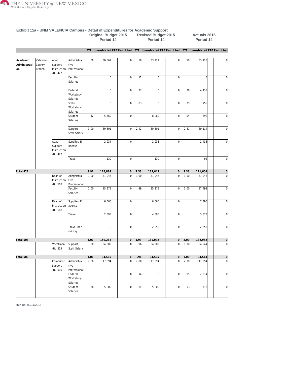

|                                 |                              |                                                 |                                    |                  | Period 14 |                |      | Period 14      |                 |      | Period 14                                                                                       |                     |
|---------------------------------|------------------------------|-------------------------------------------------|------------------------------------|------------------|-----------|----------------|------|----------------|-----------------|------|-------------------------------------------------------------------------------------------------|---------------------|
|                                 |                              |                                                 |                                    |                  |           |                |      |                |                 |      | FTE Unrestricted FTE Restricted FTE Unrestricted FTE Restricted FTE Unrestricted FTE Restricted |                     |
|                                 |                              |                                                 |                                    |                  |           |                |      |                |                 |      |                                                                                                 |                     |
| Academic<br>Administrati<br>lon | Valencia<br>County<br>Branch | Acad<br>Support<br>Instruction<br><b>BU 427</b> | Administra<br>tive<br>Professional | .50 <sub>1</sub> | 30,869    | $\overline{0}$ | .50  | 33,127         | 0               | .50  | 33,128                                                                                          | $\overline{0}$      |
|                                 |                              |                                                 | Faculty<br>Salaries                |                  | 0         | $\overline{0}$ | .11  | $\overline{0}$ | $\overline{0}$  |      | $\overline{0}$                                                                                  | $\mathbf 0$         |
|                                 |                              |                                                 | Federal<br>Workstudy<br>Salaries   |                  | 0         | $\overline{0}$ | .27  | $\overline{0}$ | 0               | .28  | 4,435                                                                                           | $\mathbf 0$         |
|                                 |                              |                                                 | State<br>Workstudy<br>Salaries     |                  | 0         | $\overline{0}$ | .03  | $\overline{0}$ | $\mathbf 0$     | .05  | 756                                                                                             | 0                   |
|                                 |                              |                                                 | Student<br>Salaries                | .42              | 5,560     | $\overline{0}$ |      | 8,060          | $\vert 0 \vert$ | .04  | 690                                                                                             | $\overline{0}$      |
|                                 |                              |                                                 | Support<br>Staff Salary            | 3.00             | 89,391    | $\overline{0}$ | 2.42 | 89,391         | 0               | 2.51 | 80,114                                                                                          | $\mathbf 0$         |
|                                 |                              | Acad<br>Support<br>Instruction<br>-BU 427       | Supplies_E<br>xpense               |                  | 2,934     | $\overline{0}$ |      | 2,935          | 0               |      | 2,438                                                                                           | $\overline{0}$      |
|                                 |                              |                                                 | Travel                             |                  | 130       | $\overline{0}$ |      | 130            | 0               |      | 92                                                                                              | $\overline{0}$      |
| Total 427                       |                              |                                                 |                                    | 3.92             | 128,884   | $\circ$        | 3.33 | 133,643        | 0               | 3.38 | 121,654                                                                                         | $\mathsf{O}\xspace$ |
|                                 |                              | Dean of<br>Instruction<br>-BU 508               | Administra<br>tive<br>Professional | 1.00             | 51,946    | $\overline{0}$ | 1.00 | 51,946         | 0               | 1.00 | 51,946                                                                                          | $\overline{0}$      |
|                                 |                              |                                                 | Faculty<br>Salaries                | 2.00             | 95,275    | $\overline{0}$ | .99  | 95,275         | 0               | 1.00 | 97,492                                                                                          | $\mathbf 0$         |
|                                 |                              | Dean of<br>Instruction<br>-BU 508               | Supplies_E<br>xpense               |                  | 6,666     | $\overline{0}$ |      | 6,666          | $\mathbf 0$     |      | 7,390                                                                                           | $\mathbf 0$         |
|                                 |                              |                                                 | Travel                             |                  | 2,395     | $\overline{0}$ |      | 4,895          | $\overline{0}$  |      | 3,873                                                                                           | $\mathbf 0$         |
|                                 |                              |                                                 | Travel-Rec<br>ruiting              |                  | 0         | $\overline{0}$ |      | 2,250          | $\overline{0}$  |      | 2,250                                                                                           | $\mathbf 0$         |
| Total 508                       |                              |                                                 |                                    | 3.00             | 156,282   | $\overline{0}$ | 1.99 | 161,032        | 0               | 2.00 | 162,952                                                                                         | $\mathsf{O}\xspace$ |
|                                 |                              | Vocational<br><b>BU 509</b>                     | Support<br>Staff Salary            | 1.00             | 34,505    | $\mathbf 0$    | .96  | 34,505         | $\mathbf 0$     | 1.00 | 34,544                                                                                          | $\overline{0}$      |
| Total 509                       |                              |                                                 |                                    | 1.00             | 34,505    | 0              | .96  | 34,505         | 0               | 1.00 | 34,544                                                                                          | 0                   |
|                                 |                              | Computer<br>Support<br>-BU 510                  | Administra<br>tive<br>Professional | 2.00             | 117,094   | $\overline{0}$ | 2.00 | 117,094        | $\overline{0}$  | 2.00 | 117,094                                                                                         | $\overline{0}$      |
|                                 |                              |                                                 | Federal<br>Workstudy<br>Salaries   |                  | 0         | 0              | .14  | 0              | $\circ$         | .15  | 2,214                                                                                           | $\overline{0}$      |
|                                 |                              |                                                 | Student<br>Salaries                | .38              | 5,000     | $\overline{0}$ | .04  | 5,000          | 0               | .03  | 716                                                                                             | $\overline{0}$      |

#### **Exhibit 11a - UNM VALENCIA Campus - Detail of Expenditures for Academic Support Original Budget 2015 Revised Budget 2015 Actuals 2015**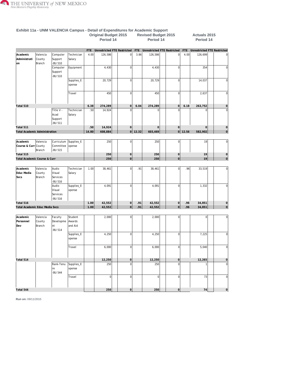

|                                           |                              |                                         |                              |            | Period 14                   |                |             | Period 14                   |                |            | Period 14                   |                |
|-------------------------------------------|------------------------------|-----------------------------------------|------------------------------|------------|-----------------------------|----------------|-------------|-----------------------------|----------------|------------|-----------------------------|----------------|
|                                           |                              |                                         |                              | <b>FTE</b> | Unrestricted FTE Restricted |                | FTE         | Unrestricted FTE Restricted |                | <b>FTE</b> | Unrestricted FTE Restricted |                |
| Academic<br>Administrati<br><sub>on</sub> | Valencia<br>County<br>Branch | Computer<br>Support<br><b>BU 510</b>    | Technician<br>Salary         | 4.00       | 126,586                     | $\overline{0}$ | 3.86        | 126,586                     | $\Omega$       | 4.00       | 126,699                     | $\Omega$       |
|                                           |                              | Computer<br>Support<br>-BU 510          | Equipment                    |            | 4,430                       | $\overline{0}$ |             | 4,430                       | $\mathbf 0$    |            | 354                         | $\Omega$       |
|                                           |                              |                                         | Supplies_E<br>xpense         |            | 20,729                      | $\mathbf{0}$   |             | 20,729                      | $\overline{0}$ |            | 14,037                      | $\Omega$       |
|                                           |                              |                                         | Travel                       |            | 450                         | $\Omega$       |             | 450                         | $\Omega$       |            | 2,637                       | $\Omega$       |
| Total 510                                 |                              |                                         |                              | 6.38       | 274,289                     | $\Omega$       | 6.04        | 274,289                     | $\Omega$       | 6.18       | 263,752                     | $\circ$        |
|                                           |                              | Title V -<br>Acad<br>Support<br>-BU 511 | Technician<br>Salary         | .50        | 14,924                      | $\Omega$       |             | $\Omega$                    | $\sqrt{ }$     |            | $\Omega$                    | 0              |
| Total 511                                 |                              |                                         |                              | .50        | 14,924                      | $\Omega$       |             | $\mathbf{O}$                | $\Omega$       |            | $\mathbf 0$                 | $\circ$        |
| <b>Total Academic Administration</b>      |                              |                                         |                              | 14.80      | 608,884                     |                | $0$   12.32 | 603,469                     | $\overline{0}$ | 12.56      | 582,902                     | $\overline{0}$ |
| Academic<br>Course & Curr County          | Valencia<br>Branch           | Curriculum<br>Committee<br>-BU 515      | Supplies_E<br>xpense         |            | 250                         | $\mathbf{0}$   |             | 250                         | $\mathbf 0$    |            | 19                          | 0              |
| Total 515                                 |                              |                                         |                              |            | 250                         | 0              |             | 250                         | $\circ$        |            | 19                          | $\circ$        |
| Total Academic Course & Curr              |                              |                                         |                              |            | 250                         | $\overline{0}$ |             | 250                         | 0              |            | 19                          | $\overline{0}$ |
| Academic<br>Educ Media<br><b>Svcs</b>     | Valencia<br>County<br>Branch | Audio<br>Visual<br>Services<br>-BU 516  | Technician<br>Salary         | 1.00       | 38,461                      | $\mathbf{0}$   | .91         | 38,461                      | $\Omega$       | .96        | 33,519                      | 0              |
|                                           |                              | Audio<br>Visual<br>Services<br>-BU 516  | Supplies_E<br>xpense         |            | 4,091                       | $\mathbf{0}$   |             | 4,091                       | $\overline{0}$ |            | 1,332                       | 0              |
| Total 516                                 |                              |                                         |                              | 1.00       | 42,552                      | $\Omega$       | .91         | 42,552                      | $\Omega$       | .96        | 34,851                      | $\circ$        |
| Total Academic Educ Media Svcs            |                              |                                         |                              | 1.00       | 42,552                      | $\overline{0}$ | .91         | 42,552                      | $\overline{0}$ | .96        | 34,851                      | $\Omega$       |
| Academic<br>Personnel<br>Dev              | Valencia<br>County<br>Branch | Faculty<br>Developme<br>nt<br>-BU 514   | Student<br>Awards<br>and Aid |            | 2,000                       | $\Omega$       |             | 2,000                       | $\overline{0}$ |            | $\overline{0}$              | $\Omega$       |
|                                           |                              |                                         | Supplies_E<br>xpense         |            | 4,250                       | $\Omega$       |             | 4,250                       | $\overline{0}$ |            | 7,225                       | $\Omega$       |
|                                           |                              |                                         | Travel                       |            | 6,000                       | $\Omega$       |             | 6,000                       | $\mathbf 0$    |            | 5,040                       | $\Omega$       |

**Total 514 12,250 0 12,250 0 12,265 0**

Rank-Tenu |Supplies\_E | | [250](/ibi_apps/WFServlet.ibfs?IBIF_webapp=/ibi_apps&IBIC_server=EDASERVE&IBIWF_msgviewer=OFF&IBIAPP_app=f_finance%20f_finance_shared%20f_accounts_receivable%20f_finance_freeze%20hr_finance%20student_shared%20f_upload_data%20baseapp&WF_STYLE=IBFS:/FILE/IBI_HTML_DIR/javaassist/intl/EN/combine_templates/ENSilver_Medium1%2Esty&&IBIMR_drill=IBFS,RUNFEX,IBIF_ex,true&IBIF_ex=/WFC/Repository/Finance_Domain/FEX/FMRSTRA_DrillDown_Report_Processor_Grp2%2Efex&CLICKED_ON=&WFFMT=PDF&Campus=VALENCIA&Exhibits=11a&PROGRAM=P11%25&BUD_CAT=Academic%20Personnel%20Dev&ORG_DESC=Valencia%20County%20Branch&BUD_CODE=544&BUD_DESC=Rank-Tenure&ACCT_DESC1=Other%20Expense&ACCT_DESC3=Supplies_Expense&Column=6&Fisc_Yr1=2015&Fisc_Yr2=2015&Fisc_Yr3=2015&Fisc_Pr1=14&Fisc_Pr2=14&Fisc_Pr3=14&Phase1=ORIGNL&Phase2=REVISE&Phase3=ACTUAL&unrestricted=06&restricted=16&db_in_use=ODSP) | | 0| | 250 | | 0| | [1](/ibi_apps/WFServlet.ibfs?IBIF_webapp=/ibi_apps&IBIC_server=EDASERVE&IBIWF_msgviewer=OFF&IBIAPP_app=f_finance%20f_finance_shared%20f_accounts_receivable%20f_finance_freeze%20hr_finance%20student_shared%20f_upload_data%20baseapp&WF_STYLE=IBFS:/FILE/IBI_HTML_DIR/javaassist/intl/EN/combine_templates/ENSilver_Medium1%2Esty&&IBIMR_drill=IBFS,RUNFEX,IBIF_ex,true&IBIF_ex=/WFC/Repository/Finance_Domain/FEX/FMRSTRA_DrillDown_Report_Processor_Grp2%2Efex&CLICKED_ON=&WFFMT=PDF&Campus=VALENCIA&Exhibits=11a&PROGRAM=P11%25&BUD_CAT=Academic%20Personnel%20Dev&ORG_DESC=Valencia%20County%20Branch&BUD_CODE=544&BUD_DESC=Rank-Tenure&ACCT_DESC1=Other%20Expense&ACCT_DESC3=Supplies_Expense&Column=10&Fisc_Yr1=2015&Fisc_Yr2=2015&Fisc_Yr3=2015&Fisc_Pr1=14&Fisc_Pr2=14&Fisc_Pr3=14&Phase1=ORIGNL&Phase2=REVISE&Phase3=ACTUAL&unrestricted=06&restricted=16&db_in_use=ODSP) | 0

Travel | | 0 | 0 | 0 | 0 | [73](/ibi_apps/WFServlet.ibfs?IBIF_webapp=/ibi_apps&IBIC_server=EDASERVE&IBIWF_msgviewer=OFF&IBIAPP_app=f_finance%20f_finance_shared%20f_accounts_receivable%20f_finance_freeze%20hr_finance%20student_shared%20f_upload_data%20baseapp&WF_STYLE=IBFS:/FILE/IBI_HTML_DIR/javaassist/intl/EN/combine_templates/ENSilver_Medium1%2Esty&&IBIMR_drill=IBFS,RUNFEX,IBIF_ex,true&IBIF_ex=/WFC/Repository/Finance_Domain/FEX/FMRSTRA_DrillDown_Report_Processor_Grp2%2Efex&CLICKED_ON=&WFFMT=PDF&Campus=VALENCIA&Exhibits=11a&PROGRAM=P11%25&BUD_CAT=Academic%20Personnel%20Dev&ORG_DESC=Valencia%20County%20Branch&BUD_CODE=544&BUD_DESC=Rank-Tenure&ACCT_DESC1=Other%20Expense&ACCT_DESC3=Travel&Column=10&Fisc_Yr1=2015&Fisc_Yr2=2015&Fisc_Yr3=2015&Fisc_Pr1=14&Fisc_Pr2=14&Fisc_Pr3=14&Phase1=ORIGNL&Phase2=REVISE&Phase3=ACTUAL&unrestricted=06&restricted=16&db_in_use=ODSP) | 0

#### **Exhibit 11a - UNM VALENCIA Campus - Detail of Expenditures for Academic Support Original Budget 2015 Revised Budget 2015 Actuals 2015**

**Total 544 250 0 250 0 74 0**

**Run on:** 09/11/2015

re xpense -BU 544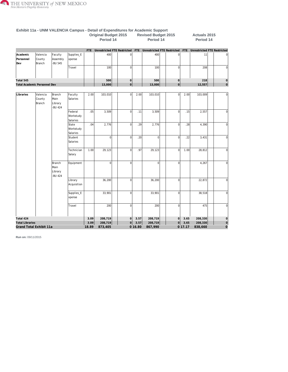

|                              |                                     |                                      |                                  | Original Budget 2015<br>Period 14 |                                 |                | <b>Revised Budget 2015</b><br>Period 14 |                                 |                | Actuals 2015<br>Period 14 |                                    |                |
|------------------------------|-------------------------------------|--------------------------------------|----------------------------------|-----------------------------------|---------------------------------|----------------|-----------------------------------------|---------------------------------|----------------|---------------------------|------------------------------------|----------------|
|                              |                                     |                                      |                                  |                                   | FTE Unrestricted FTE Restricted |                |                                         | FTE Unrestricted FTE Restricted |                | FTE                       | <b>Unrestricted FTE Restricted</b> |                |
| Academic<br>Personnel<br>Dev | Valencia<br>County<br>Branch        | Faculty<br>Assembly<br>-BU 545       | Supplies_E<br>xpense             |                                   | 400                             | $\overline{0}$ |                                         | 400                             | $\mathbf 0$    |                           | 11                                 | $\mathbf 0$    |
|                              |                                     |                                      | Travel                           |                                   | 100                             | $\overline{0}$ |                                         | 100                             | $\overline{0}$ |                           | 208                                | $\mathbf 0$    |
| Total 545                    |                                     |                                      |                                  |                                   | 500                             | 0              |                                         | 500                             | $\circ$        |                           | 218                                | $\mathbf 0$    |
|                              | <b>Total Academic Personnel Dev</b> |                                      |                                  |                                   | 13,000                          | $\overline{0}$ |                                         | 13,000                          | $\overline{0}$ |                           | 12,557                             | $\circ$        |
|                              |                                     |                                      |                                  |                                   |                                 |                |                                         |                                 |                |                           |                                    |                |
| Libraries                    | Valencia<br>County<br>Branch        | Branch<br>Main<br>Library<br>-BU 424 | Faculty<br>Salaries              | 2.00                              | 103,010                         | $\Omega$       | 2.00                                    | 103,010                         | $\Omega$       | 2.00                      | 103,009                            | $\overline{0}$ |
|                              |                                     |                                      | Federal<br>Workstudy<br>Salaries | .05                               | 3,509                           | 0              | .11                                     | 3,509                           | $\overline{0}$ | .15                       | 2,557                              | $\mathbf 0$    |
|                              |                                     |                                      | State<br>Workstudy<br>Salaries   | .04                               | 2,776                           | $\overline{0}$ | .29                                     | 2,776                           | $\Omega$       | .28                       | 4,390                              | $\mathbf 0$    |
|                              |                                     |                                      | Student<br>Salaries              |                                   | $\overline{0}$                  | $\overline{0}$ | .20                                     | $\overline{0}$                  | $\mathbf 0$    | .22                       | 3,431                              | $\mathbf 0$    |
|                              |                                     |                                      | Technician<br>Salary             | 1.00                              | 29,123                          | $\overline{0}$ | .97                                     | 29,123                          | $\overline{0}$ | 1.00                      | 28,812                             | $\overline{0}$ |
|                              |                                     | Branch<br>Main<br>Library<br>-BU 424 | Equipment                        |                                   | $\Omega$                        | $\overline{0}$ |                                         | $\overline{0}$                  | $\Omega$       |                           | 4,267                              | $\mathbf 0$    |
|                              |                                     |                                      | Library<br>Acquisition           |                                   | 36,200                          | $\overline{0}$ |                                         | 36,200                          | $\mathbf 0$    |                           | 22,872                             | $\mathbf 0$    |
|                              |                                     |                                      | Supplies_E<br>xpense             |                                   | 33,901                          | $\overline{0}$ |                                         | 33,901                          | $\overline{0}$ |                           | 38,518                             | $\mathbf 0$    |
|                              |                                     |                                      | Travel                           |                                   | 200                             | $\overline{0}$ |                                         | 200                             | $\overline{0}$ |                           | 475                                | $\mathbf 0$    |
| Total 424                    |                                     |                                      |                                  | 3.09                              | 208,719                         | 0              | 3.57                                    | 208,719                         | $\circ$        | 3.65                      | 208,330                            | $\mathbf 0$    |
| <b>Total Libraries</b>       |                                     |                                      |                                  | 3.09                              | 208,719                         | 0              | 3.57                                    | 208,719                         | 0              | 3.65                      | 208,330                            | $\circ$        |
|                              | Grand Total Exhibit 11a             |                                      |                                  | 18.89                             | 873,405                         |                | 0 16.80                                 | 867,990                         |                | 0 17.17                   | 838,660                            | $\mathbf 0$    |

#### **Exhibit 11a - UNM VALENCIA Campus - Detail of Expenditures for Academic Support Original Budget 2015 Revised Budget 2015 Actuals 2015**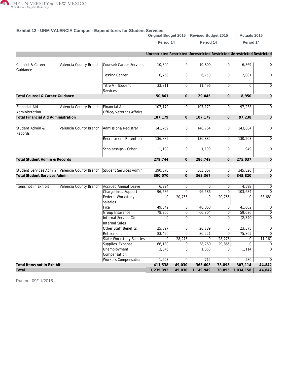

#### **Exhibit 12 - UNM VALENCIA Campus - Expenditures for Student Services**

|                                           |                                                                      |                                                |                                                                         |                    | Original Budget 2015 Revised Budget 2015 |                          | <b>Actuals 2015</b> |                     |
|-------------------------------------------|----------------------------------------------------------------------|------------------------------------------------|-------------------------------------------------------------------------|--------------------|------------------------------------------|--------------------------|---------------------|---------------------|
|                                           |                                                                      |                                                | Period 14                                                               |                    | Period 14                                |                          | Period 14           |                     |
|                                           |                                                                      |                                                | Unrestricted Restricted Unrestricted Restricted Unrestricted Restricted |                    |                                          |                          |                     |                     |
| Counsel & Career<br>Guidance              |                                                                      | Valencia County Branch Counsel/Career Services | 10,800                                                                  | $\Omega$           | 10,800                                   | 0                        | 6,869               | 0                   |
|                                           |                                                                      | <b>Testing Center</b>                          | 6,750                                                                   | <sup>0</sup>       | 6,750                                    | $\overline{0}$           | 2,081               | $\overline{0}$      |
|                                           |                                                                      | Title V - Student<br>Services                  | 33,311                                                                  | 0l                 | 11,496                                   | $\overline{0}$           | $\mathbf 0$         | 0                   |
| Total Counsel & Career Guidance           |                                                                      |                                                | 50,861                                                                  | $\Omega$           | 29,046                                   | $\Omega$                 | 8,950               | 0                   |
| <b>Financial Aid</b><br>Administration    | Valencia County Branch                                               | Financial Aids<br>Office/Veterans Affairs      | 107,179                                                                 | 0                  | 107,179                                  | 0                        | 97,238              | 0                   |
| <b>Total Financial Aid Administration</b> |                                                                      |                                                | 107,179                                                                 | $\overline{O}$     | 107,179                                  | $\overline{O}$           | 97,238              | $\mathsf{O}\xspace$ |
| Student Admin &<br>Records                | Valencia County Branch                                               | Admissions/Registrar                           | 141,759                                                                 | 0l                 | 148,764                                  | $\overline{0}$           | 143,884             | $\overline{0}$      |
|                                           |                                                                      | Recruitment-Retention                          | 136,885                                                                 | $\Omega$           | 136,885                                  | 0                        | 130,203             | 0                   |
|                                           |                                                                      | Scholarships - Other                           | 1,100                                                                   | $\Omega$           | 1,100                                    | $\overline{0}$           | 949                 | $\overline{0}$      |
| Total Student Admin & Records             |                                                                      |                                                | 279,744                                                                 | $\Omega$           | 286,749                                  | $\Omega$                 | 275,037             | $\mathbf 0$         |
|                                           | Student Services Admin Valencia County Branch Student Services Admin |                                                | 390,070                                                                 | <sub>0</sub>       | 363,367                                  | $\overline{0}$           | 345,820             | $\overline{0}$      |
| <b>Total Student Services Admin</b>       |                                                                      |                                                | 390,070                                                                 | $\overline{0}$     | 363,367                                  | $\overline{O}$           | 345,820             | $\mathbf{O}$        |
| Items not in Exhibit                      | Valencia County Branch                                               | Accrued Annual Leave                           | 6,224                                                                   | 0l                 | $\vert$                                  | $\overline{0}$           | 4,598               | 0                   |
|                                           |                                                                      | Charge Inst. Support                           | 96,586                                                                  | $\Omega$           | 96,586                                   | $\Omega$                 | 103,684             | $\Omega$            |
|                                           |                                                                      | Federal Workstudy<br>Salaries                  | $\Omega$                                                                | 20,755             | $\overline{0}$                           | 20,755                   | $\mathbf 0$         | 33,681              |
|                                           |                                                                      | Fica                                           | 49,642                                                                  | $\overline{0}$     | 46,868                                   | $\overline{0}$           | 41,002              | 0                   |
|                                           |                                                                      | Group Insurance                                | 78,700                                                                  | $\Omega$           | 66,304                                   | $\Omega$                 | 59,036              | 0                   |
|                                           |                                                                      | Internal Service Ctr<br><b>Internal Sales</b>  | $\Omega$                                                                | $\Omega$           | $\Omega$                                 | $\Omega$                 | (2, 340)            | $\overline{0}$      |
|                                           |                                                                      | Other Staff Benefits                           | 25,397                                                                  | $\Omega$           | 26,789                                   | $\Omega$                 | 23,575              | $\overline{0}$      |
|                                           |                                                                      | Retirement                                     | 83,420                                                                  | $\overline{0}$     | 86,221                                   | $\overline{0}$           | 75,865              | $\Omega$            |
|                                           |                                                                      | <b>State Workstudy Salaries</b>                | 0                                                                       | 28,275             | 0                                        | 28,275                   | $\mathbf 0$         | 11,161              |
|                                           |                                                                      | Supplies_Expense                               | 66,130                                                                  | $\Omega$           | 38,760                                   | 29,865                   | $\Omega$            | $\overline{0}$      |
|                                           |                                                                      | Unemployment                                   | 3,846                                                                   | $\Omega$           | 1,368                                    | $\Omega$                 | 1,114               | $\Omega$            |
|                                           |                                                                      | Compensation                                   |                                                                         |                    |                                          |                          |                     | $\Omega$            |
| Total Items not in Exhibit                |                                                                      | <b>Workers Compensation</b>                    | 1,593<br>411,538                                                        | $\Omega$<br>49,030 | 712<br>363,608                           | $\overline{0}$<br>78,895 | 580<br>307,114      | 44,842              |
| Total                                     |                                                                      |                                                | 1,239,392                                                               | 49,030             | 1,149,949                                | 78,895                   | 1,034,158           | 44,842              |
|                                           |                                                                      |                                                |                                                                         |                    |                                          |                          |                     |                     |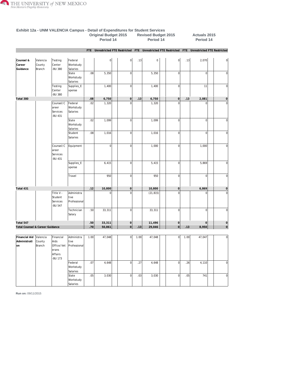

**Exhibit 12a - UNM VALENCIA Campus - Detail of Expenditures for Student Services**

|                                      |                              |                                             |                                    | <b>Original Budget 2015</b><br>Period 14 |                |  |                | <b>Revised Budget 2015</b><br>Period 14 |             |                     | <b>Actuals 2015</b><br>Period 14 |                |                                                                                             |
|--------------------------------------|------------------------------|---------------------------------------------|------------------------------------|------------------------------------------|----------------|--|----------------|-----------------------------------------|-------------|---------------------|----------------------------------|----------------|---------------------------------------------------------------------------------------------|
|                                      |                              |                                             |                                    | FTE                                      |                |  |                |                                         |             |                     |                                  |                | Unrestricted FTE Restricted FTE Unrestricted FTE Restricted FTE Unrestricted FTE Restricted |
| Counsel &<br>Career<br>Guidance      | Valencia<br>County<br>Branch | Testing<br>Center<br><b>BU 380</b>          | Federal<br>Workstudy<br>Salaries   |                                          | $\overline{0}$ |  | $\overline{0}$ | .13                                     | $\mathbf 0$ | $\overline{0}$      | .13                              | 2,070          | 0                                                                                           |
|                                      |                              |                                             | State<br>Workstudy<br>Salaries     | .08                                      | 5,350          |  | 0              |                                         | 5,350       | $\mathbf 0$         |                                  | $\overline{0}$ | $\vert$                                                                                     |
|                                      |                              | Testing<br>Center<br>-BU 380                | Supplies_E<br>xpense               |                                          | 1,400          |  | 0              |                                         | 1,400       | $\mathbf 0$         |                                  | 11             | $\mathbf 0$                                                                                 |
| Total 380                            |                              |                                             |                                    | .08                                      | 6,750          |  | 0              | .13                                     | 6,750       | $\mathsf{O}\xspace$ | .13                              | 2,081          | $\mathsf{O}\xspace$                                                                         |
|                                      |                              | Counsel/C<br>areer<br>Services<br>-BU 431   | Federal<br>Workstudy<br>Salaries   | .02                                      | 1,320          |  | $\overline{0}$ |                                         | 1,320       | $\mathbf 0$         |                                  | $\mathbf 0$    | $\bf 0$                                                                                     |
|                                      |                              |                                             | State<br>Workstudy<br>Salaries     | .02                                      | 1,099          |  | 0              |                                         | 1,099       | $\boldsymbol{0}$    |                                  | 0              | $\overline{0}$                                                                              |
|                                      |                              |                                             | Student<br>Salaries                | .08                                      | 1,016          |  | 0              |                                         | 1,016       | $\mathbf 0$         |                                  | 0              | $\vert$                                                                                     |
|                                      |                              | Counsel/C<br>areer<br>Services<br>-BU 431   | Equipment                          |                                          | $\overline{0}$ |  | 0              |                                         | 1,000       | $\overline{0}$      |                                  | 1,000          | $\overline{0}$                                                                              |
|                                      |                              |                                             | Supplies_E<br>xpense               |                                          | 6,415          |  | 0              |                                         | 5,415       | $\overline{0}$      |                                  | 5,869          | $\overline{0}$                                                                              |
|                                      |                              |                                             | Travel                             |                                          | 950            |  | 0              |                                         | 950         | $\overline{0}$      |                                  | $\overline{0}$ | $\overline{0}$                                                                              |
| Total 431                            |                              |                                             |                                    | .12                                      | 10,800         |  | 0              |                                         | 10,800      | $\mathsf{O}\xspace$ |                                  | 6,869          | $\overline{0}$                                                                              |
|                                      |                              | Title V -<br>Student<br>Services<br>-BU 547 | Administra<br>tive<br>Professional |                                          | $\Omega$       |  | $\overline{0}$ |                                         | (21, 815)   | $\mathbf 0$         |                                  | $\Omega$       | $\bf 0$                                                                                     |
|                                      |                              |                                             | Technician<br>Salary               | .50                                      | 33,311         |  | 0              |                                         | 33,311      | $\mathbf 0$         |                                  | $\overline{0}$ | $\mathbf 0$                                                                                 |
| Total 547                            |                              |                                             |                                    | .50                                      | 33,311         |  | 0              |                                         | 11,496      | $\mathbf 0$         |                                  | $\mathbf 0$    | $\mathsf{O}\xspace$                                                                         |
| Total Counsel & Career Guidance      |                              |                                             |                                    | .70                                      | 50,861         |  | 0              | .13                                     | 29,046      | $\overline{0}$      | .13                              | 8,950          | $\overline{0}$                                                                              |
| Financial Aid<br>Administrati<br> on | Valencia<br>County<br>Branch | Financial<br>Aids<br>Office/Vet<br>erans    | Administra<br>tive<br>Professional | 1.00                                     | 47,048         |  | $\mathbf{0}$   | 1.00                                    | 47,048      | $\mathbf 0$         | 1.00                             | 47,047         | $\overline{0}$                                                                              |
|                                      |                              | Affairs<br>-BU 173                          |                                    |                                          |                |  |                |                                         |             |                     |                                  |                |                                                                                             |
|                                      |                              |                                             | Federal<br>Workstudy<br>Salaries   | .07                                      | 4,648          |  | $\overline{0}$ | .27                                     | 4,648       | $\mathbf 0$         | .26                              | 4,110          | $\overline{0}$                                                                              |
|                                      |                              |                                             | State<br>Workstudy<br>Salaries     | .05                                      | 3,030          |  | 0              | .03                                     | 3,030       | $\overline{0}$      | .05                              | 741            | $\overline{0}$                                                                              |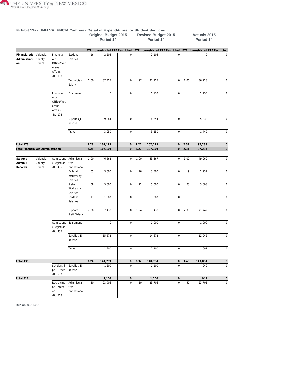

|                                      |                                     |                                                                |                                    |            | Unginai Duuget Zuib<br>Period 14 |                     |      | <b>ILEAISEA DUUYEL ZUTU</b><br>Period 14 |                |      | <b>AULUGIS ZU IJ</b><br>Period 14 |                     |
|--------------------------------------|-------------------------------------|----------------------------------------------------------------|------------------------------------|------------|----------------------------------|---------------------|------|------------------------------------------|----------------|------|-----------------------------------|---------------------|
|                                      |                                     |                                                                |                                    | <b>FTE</b> | Unrestricted FTE Restricted      |                     |      | FTE Unrestricted FTE Restricted          |                |      | FTE Unrestricted FTE Restricted   |                     |
| Financial Aid<br>Administrati<br>lon | Valencia<br>County<br>Branch        | Financial<br>Aids<br>Office/Vet<br>erans<br>Affairs<br>-BU 173 | Student<br>Salaries                | .16        | 2,104                            | 0                   |      | 2,104                                    | 0              |      | 0                                 |                     |
|                                      |                                     |                                                                | Technician<br>Salary               | 1.00       | 37,715                           | $\mathbf 0$         | .97  | 37,715                                   | $\overline{0}$ | 1.00 | 36,928                            | $\mathbf 0$         |
|                                      |                                     | Financial<br>Aids<br>Office/Vet<br>erans<br>Affairs<br>-BU 173 | Equipment                          |            | 0                                | $\mathbf 0$         |      | 1,130                                    | 0              |      | 1,130                             | $\overline{0}$      |
|                                      |                                     |                                                                | Supplies_E<br>xpense               |            | 9,384                            | $\mathbf 0$         |      | 8,254                                    | 0              |      | 5,832                             | $\mathbf 0$         |
|                                      |                                     |                                                                | Travel                             |            | 3,250                            | $\overline{0}$      |      | 3,250                                    | 0              |      | 1,449                             | $\overline{0}$      |
| Total 173                            |                                     |                                                                |                                    | 2.28       | 107,179                          | 0                   | 2.27 | 107,179                                  | 0              | 2.31 | 97,238                            | $\mathbf 0$         |
| Total Financial Aid Administration   |                                     |                                                                |                                    | 2.28       | 107,179                          | 0                   | 2.27 | 107,179                                  | $\overline{0}$ | 2.31 | 97,238                            | 0                   |
|                                      |                                     |                                                                |                                    |            |                                  |                     |      |                                          |                |      |                                   |                     |
| Student<br>Admin &<br>Records        | Valencia<br>County<br><b>Branch</b> | Admissions<br>/Registrar<br>-BU 435                            | Administra<br>tive<br>Professional | 1.00       | 46,562                           | $\vert 0 \vert$     | 1.00 | 53,567                                   | 0              | 1.00 | 49,969                            | $\overline{0}$      |
|                                      |                                     |                                                                | Federal<br>Workstudy<br>Salaries   | .05        | 3,500                            | $\mathbf 0$         | .16  | 3,500                                    | $\overline{0}$ | .19  | 2,931                             | $\mathbf 0$         |
|                                      |                                     |                                                                | State<br>Workstudy<br>Salaries     | .08        | 5,000                            | $\mathbf 0$         | .22  | 5,000                                    | $\overline{0}$ | .23  | 3,608                             | $\mathbf 0$         |
|                                      |                                     |                                                                | Student<br>Salaries                | .11        | 1,387                            | $\mathbf 0$         |      | 1,387                                    | $\overline{0}$ |      | $\overline{0}$                    | $\mathbf 0$         |
|                                      |                                     |                                                                | Support<br>Staff Salary            | 2.00       | 67,438                           | $\mathbf 0$         | 1.94 | 67,438                                   | 0              | 2.01 | 71,742                            | $\mathbf 0$         |
|                                      |                                     | Admissions<br>/Registrar<br>-BU 435                            | Equipment                          |            | 0                                | $\mathbf 0$         |      | 1,000                                    | 0              |      | 1,000                             | $\mathbf 0$         |
|                                      |                                     |                                                                | Supplies_E<br>xpense               |            | 15,672                           | $\mathbf 0$         |      | 14,672                                   | 0              |      | 12,942                            | $\bf 0$             |
|                                      |                                     |                                                                | Travel                             |            | 2,200                            | $\overline{0}$      |      | 2,200                                    | 0              |      | 1,692                             | $\overline{0}$      |
| Total 435                            |                                     |                                                                |                                    | 3.24       | 141,759                          | $\overline{0}$      | 3.32 | 148,764                                  | 0              | 3.43 | 143,884                           | $\circ$             |
|                                      |                                     | Scholarshi<br>ps - Other<br>-BU 517                            | Supplies_E<br>xpense               |            | 1,100                            | $\mathbf 0$         |      | 1,100                                    | $\mathbf 0$    |      | 949                               | $\mathbf 0$         |
| Total 517                            |                                     |                                                                |                                    |            | 1,100                            | $\mathsf{O}\xspace$ |      | 1,100                                    | $\overline{0}$ |      | 949                               | $\mathsf{O}\xspace$ |
|                                      |                                     | Recruitme<br>nt-Retenti<br>on<br>-BU 518                       | Administra<br>tive<br>Professional | .50        | 23,706                           | $\overline{0}$      | .50  | 23,706                                   | $\overline{0}$ | .50  | 23,705                            | $\mathbf 0$         |

**Exhibit 12a - UNM VALENCIA Campus - Detail of Expenditures for Student Services Original Budget 2015 Revised Budget 2015 Actuals 2015**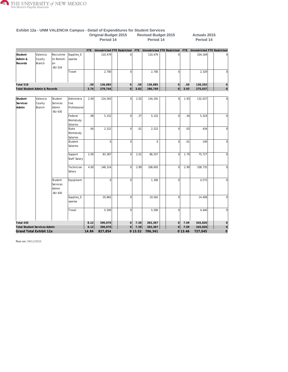

|                               |                               |                                                |                                    |         | Period 14                   |                |         | Period 14                          |                |         | Period 14   |                                    |
|-------------------------------|-------------------------------|------------------------------------------------|------------------------------------|---------|-----------------------------|----------------|---------|------------------------------------|----------------|---------|-------------|------------------------------------|
|                               |                               |                                                |                                    |         |                             |                |         |                                    |                |         |             |                                    |
|                               |                               |                                                |                                    | FTE     | Unrestricted FTE Restricted |                | FTE     | <b>Unrestricted FTE Restricted</b> |                | FTE     |             | <b>Unrestricted FTE Restricted</b> |
| Student<br>Admin &<br>Records | Valencia<br>County<br>Branch  | Recruitme<br>nt-Retenti<br>on<br><b>BU 518</b> | Supplies_E<br>xpense               |         | 110,479                     | $\overline{0}$ |         | 110,479                            | $\overline{0}$ |         | 104,169     | 0                                  |
|                               |                               |                                                | Travel                             |         | 2,700                       | $\overline{0}$ |         | 2,700                              | $\overline{0}$ |         | 2,329       | $\mathbf 0$                        |
| Total 518                     |                               |                                                |                                    | .50     | 136,885                     | $\Omega$       | .50     | 136,885                            | $\overline{0}$ | .50     | 130,203     | $\mathsf{O}\xspace$                |
|                               | Total Student Admin & Records |                                                |                                    | 3.74    | 279,744                     | $\overline{0}$ | 3.82    | 286,749                            | $\Omega$       | 3.93    | 275,037     | $\circ$                            |
|                               |                               |                                                |                                    |         |                             |                |         |                                    |                |         |             |                                    |
| Student<br>Services<br>Admin  | Valencia<br>County<br>Branch  | Student<br>Services<br>Admin<br><b>BU 430</b>  | Administra<br>tive<br>Professional | 2.00    | 124,563                     | $\overline{0}$ | 2.02    | 134,291                            | $\mathbf 0$    | 1.93    | 132,037     | $\mathbf 0$                        |
|                               |                               |                                                | Federal<br>Workstudy<br>Salaries   | .08     | 5,152                       | $\overline{0}$ | .37     | 5,152                              | $\mathbf 0$    | .34     | 5,324       | $\bf 0$                            |
|                               |                               |                                                | State<br>Workstudy<br>Salaries     | .04     | 2,312                       | $\overline{0}$ | .01     | 2,312                              | $\mathbf 0$    | .03     | 434         | $\mathbf 0$                        |
|                               |                               |                                                | Student<br>Salaries                |         | $\overline{0}$              | $\overline{0}$ |         | $\mathbf 0$                        | $\mathbf 0$    | .01     | 140         | $\mathbf 0$                        |
|                               |                               |                                                | Support<br>Staff Salary            | 2.00    | 83,367                      | $\overline{0}$ | 2.01    | 86,557                             | $\mathbf 0$    | 1.79    | 75,727      | $\mathbf 0$                        |
|                               |                               |                                                | Technician<br>Salary               | 4.00    | 148,314                     | $\overline{0}$ | 2.89    | 108,693                            | $\mathbf 0$    | 2.99    | 108,735     | $\Omega$                           |
|                               |                               | Student<br>Services<br>Admin<br>-BU 430        | Equipment                          |         | $\Omega$                    | $\overline{0}$ |         | 1,300                              | $\Omega$       |         | 4,575       | $\Omega$                           |
|                               |                               |                                                | Supplies_E<br>xpense               |         | 20,862                      | $\overline{0}$ |         | 19,562                             | $\mathbf 0$    |         | 14,408      | $\Omega$                           |
|                               |                               |                                                | Travel                             |         | 5,500                       | $\overline{0}$ |         | 5,500                              | $\mathbf 0$    |         | 4,440       | $\Omega$                           |
| Total 430                     |                               |                                                |                                    | 8.12    | 390,070                     | $\Omega$       | 7.30    | 363,367                            | $\overline{0}$ | 7.09    | 345,820     | $\mathbf 0$                        |
|                               | Total Student Services Admin  |                                                | 8.12                               | 390,070 | $\Omega$                    | 7.30           | 363,367 | 0                                  | 7.09           | 345,820 | $\mathsf O$ |                                    |
|                               | Grand Total Exhibit 12a       |                                                |                                    | 14.84   | 827,854                     |                | 013.52  | 786,341                            |                | 013.46  | 727,045     | $\mathbf 0$                        |

#### **Exhibit 12a - UNM VALENCIA Campus - Detail of Expenditures for Student Services Original Budget 2015 Revised Budget 2015 Actuals 2015**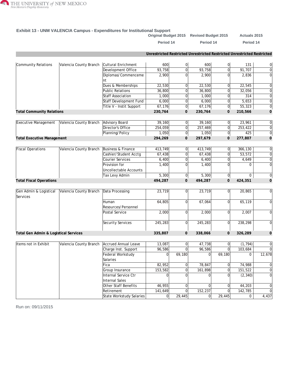

#### **Exhibit 13 - UNM VALENCIA Campus - Expenditures for Institutional Support**

| Period 14<br>Period 14<br>Unrestricted Restricted Unrestricted Restricted Unrestricted Restricted<br>600<br> 0 <br>Community Relations<br>Valencia County Branch<br>Cultural Enrichment<br> 0 <br>600<br>$\overline{0}$<br>93,758<br>93,758<br>Development Office<br>$\overline{0}$<br>91,707<br>2,900<br>0l<br>Diplomas/Commenceme<br>2,900<br>2,836<br>$\Omega$<br>nt<br>Dues & Memberships<br>22,530<br>22,530<br>22,545<br>0l<br>$\Omega$<br><b>Public Relations</b><br>36,800<br>36,800<br>0l<br>32,056<br>$\overline{0}$<br><b>Staff Association</b><br>1,000<br>1,000<br>$\overline{0}$<br>$\overline{0}$<br> 0 <br>Staff Development Fund<br>6,000<br> 0 <br>6,000<br>5,653<br>$\overline{0}$<br>Title V - Instit Support<br>67,176<br> 0 <br>67, 176<br>55,323<br><b>Total Community Relations</b><br>230,764<br>$\mathbf{0}$<br>230,764<br>$\mathbf{O}$<br>210,566<br>Advisory Board<br>Executive Management<br>Valencia County Branch<br>39,160<br>39,160<br>23,961<br>0l<br>$\overline{0}$<br>Director's Office<br>254,059<br>257,469<br>$\overline{0}$<br>253,422<br> 0 <br> 0 <br>1,050<br>Planning/Policy<br>1,050<br> 0 <br>294,269<br>297,679<br>$\mathbf{O}$<br>$\mathbf{O}$<br>277,807 | Period 14<br>131<br>314                                                                                                                                                     |
|-----------------------------------------------------------------------------------------------------------------------------------------------------------------------------------------------------------------------------------------------------------------------------------------------------------------------------------------------------------------------------------------------------------------------------------------------------------------------------------------------------------------------------------------------------------------------------------------------------------------------------------------------------------------------------------------------------------------------------------------------------------------------------------------------------------------------------------------------------------------------------------------------------------------------------------------------------------------------------------------------------------------------------------------------------------------------------------------------------------------------------------------------------------------------------------------------------------|-----------------------------------------------------------------------------------------------------------------------------------------------------------------------------|
|                                                                                                                                                                                                                                                                                                                                                                                                                                                                                                                                                                                                                                                                                                                                                                                                                                                                                                                                                                                                                                                                                                                                                                                                           | $\mathbf 0$<br>$\mathbf 0$<br>$\mathbf 0$<br>$\mathbf 0$<br>$\boldsymbol{0}$<br>$\mathbf 0$<br>$\mathbf 0$<br>$\mathbf 0$<br>$\mathbf 0$<br>$\mathbf 0$<br>$\boldsymbol{0}$ |
|                                                                                                                                                                                                                                                                                                                                                                                                                                                                                                                                                                                                                                                                                                                                                                                                                                                                                                                                                                                                                                                                                                                                                                                                           |                                                                                                                                                                             |
|                                                                                                                                                                                                                                                                                                                                                                                                                                                                                                                                                                                                                                                                                                                                                                                                                                                                                                                                                                                                                                                                                                                                                                                                           |                                                                                                                                                                             |
|                                                                                                                                                                                                                                                                                                                                                                                                                                                                                                                                                                                                                                                                                                                                                                                                                                                                                                                                                                                                                                                                                                                                                                                                           |                                                                                                                                                                             |
|                                                                                                                                                                                                                                                                                                                                                                                                                                                                                                                                                                                                                                                                                                                                                                                                                                                                                                                                                                                                                                                                                                                                                                                                           |                                                                                                                                                                             |
|                                                                                                                                                                                                                                                                                                                                                                                                                                                                                                                                                                                                                                                                                                                                                                                                                                                                                                                                                                                                                                                                                                                                                                                                           |                                                                                                                                                                             |
|                                                                                                                                                                                                                                                                                                                                                                                                                                                                                                                                                                                                                                                                                                                                                                                                                                                                                                                                                                                                                                                                                                                                                                                                           |                                                                                                                                                                             |
|                                                                                                                                                                                                                                                                                                                                                                                                                                                                                                                                                                                                                                                                                                                                                                                                                                                                                                                                                                                                                                                                                                                                                                                                           |                                                                                                                                                                             |
|                                                                                                                                                                                                                                                                                                                                                                                                                                                                                                                                                                                                                                                                                                                                                                                                                                                                                                                                                                                                                                                                                                                                                                                                           |                                                                                                                                                                             |
|                                                                                                                                                                                                                                                                                                                                                                                                                                                                                                                                                                                                                                                                                                                                                                                                                                                                                                                                                                                                                                                                                                                                                                                                           |                                                                                                                                                                             |
|                                                                                                                                                                                                                                                                                                                                                                                                                                                                                                                                                                                                                                                                                                                                                                                                                                                                                                                                                                                                                                                                                                                                                                                                           |                                                                                                                                                                             |
|                                                                                                                                                                                                                                                                                                                                                                                                                                                                                                                                                                                                                                                                                                                                                                                                                                                                                                                                                                                                                                                                                                                                                                                                           |                                                                                                                                                                             |
|                                                                                                                                                                                                                                                                                                                                                                                                                                                                                                                                                                                                                                                                                                                                                                                                                                                                                                                                                                                                                                                                                                                                                                                                           |                                                                                                                                                                             |
|                                                                                                                                                                                                                                                                                                                                                                                                                                                                                                                                                                                                                                                                                                                                                                                                                                                                                                                                                                                                                                                                                                                                                                                                           | 425<br>0                                                                                                                                                                    |
| <b>Total Executive Management</b>                                                                                                                                                                                                                                                                                                                                                                                                                                                                                                                                                                                                                                                                                                                                                                                                                                                                                                                                                                                                                                                                                                                                                                         | $\mathbf 0$                                                                                                                                                                 |
| <b>Fiscal Operations</b><br>Valencia County Branch<br>Business & Finance<br>413,749<br>413,749<br>$\overline{0}$<br>366,130<br> 0                                                                                                                                                                                                                                                                                                                                                                                                                                                                                                                                                                                                                                                                                                                                                                                                                                                                                                                                                                                                                                                                         | $\mathbf 0$                                                                                                                                                                 |
| 0 <br>$\overline{0}$<br>Cashier/Student Acctg<br>67,438<br>67,438<br>53,572                                                                                                                                                                                                                                                                                                                                                                                                                                                                                                                                                                                                                                                                                                                                                                                                                                                                                                                                                                                                                                                                                                                               | $\mathbf 0$                                                                                                                                                                 |
| <b>Courier Services</b><br>$\overline{0}$<br>6,400<br>0l<br>6,400<br>4,649                                                                                                                                                                                                                                                                                                                                                                                                                                                                                                                                                                                                                                                                                                                                                                                                                                                                                                                                                                                                                                                                                                                                | $\mathbf 0$                                                                                                                                                                 |
| Provision for<br>1,400<br>0l<br>1,400<br>$\Omega$<br><b>Uncollectable Accounts</b>                                                                                                                                                                                                                                                                                                                                                                                                                                                                                                                                                                                                                                                                                                                                                                                                                                                                                                                                                                                                                                                                                                                        | $\boldsymbol{0}$<br>$\Omega$                                                                                                                                                |
| 5,300<br>Tax Levy Admin<br>5,300<br> 0 <br> 0                                                                                                                                                                                                                                                                                                                                                                                                                                                                                                                                                                                                                                                                                                                                                                                                                                                                                                                                                                                                                                                                                                                                                             | 0<br>0                                                                                                                                                                      |
| 494,287<br>494,287<br>$\mathsf{O}$<br>424,351<br><b>Total Fiscal Operations</b><br>$\mathbf{O}$                                                                                                                                                                                                                                                                                                                                                                                                                                                                                                                                                                                                                                                                                                                                                                                                                                                                                                                                                                                                                                                                                                           | $\mathbf 0$                                                                                                                                                                 |
|                                                                                                                                                                                                                                                                                                                                                                                                                                                                                                                                                                                                                                                                                                                                                                                                                                                                                                                                                                                                                                                                                                                                                                                                           |                                                                                                                                                                             |
| Gen Admin & Logistical<br>Valencia County Branch<br>Data Processing<br>23,719<br>23,719<br>20,865<br>0l<br>$\overline{0}$<br>Services                                                                                                                                                                                                                                                                                                                                                                                                                                                                                                                                                                                                                                                                                                                                                                                                                                                                                                                                                                                                                                                                     | $\boldsymbol{0}$                                                                                                                                                            |
| 64,805<br>67,064<br>$\overline{0}$<br>65,119<br>Human<br>$\overline{0}$<br>Resources/Personnel                                                                                                                                                                                                                                                                                                                                                                                                                                                                                                                                                                                                                                                                                                                                                                                                                                                                                                                                                                                                                                                                                                            | 0                                                                                                                                                                           |
| Postal Service<br>2,000<br>0l<br>2,007<br>$\overline{0}$<br>2,000                                                                                                                                                                                                                                                                                                                                                                                                                                                                                                                                                                                                                                                                                                                                                                                                                                                                                                                                                                                                                                                                                                                                         | $\mathbf 0$                                                                                                                                                                 |
| Security Services<br>245,283<br>$\overline{0}$<br>245,283<br>$\overline{0}$<br>238,298                                                                                                                                                                                                                                                                                                                                                                                                                                                                                                                                                                                                                                                                                                                                                                                                                                                                                                                                                                                                                                                                                                                    | $\mathbf 0$                                                                                                                                                                 |
| Total Gen Admin & Logistical Services<br>335,807<br>$\overline{0}$<br>338,066<br>$\mathbf{O}$<br>326,289                                                                                                                                                                                                                                                                                                                                                                                                                                                                                                                                                                                                                                                                                                                                                                                                                                                                                                                                                                                                                                                                                                  | $\mathbf 0$                                                                                                                                                                 |
| Valencia County Branch Accrued Annual Leave<br>0l<br>(1, 794)<br>Items not in Exhibit<br>13,087<br>$\overline{0}$<br>47,738                                                                                                                                                                                                                                                                                                                                                                                                                                                                                                                                                                                                                                                                                                                                                                                                                                                                                                                                                                                                                                                                               | $\overline{0}$                                                                                                                                                              |
| Charge Inst. Support<br>96,586<br>$\overline{0}$<br>96,586<br> 0 <br>103,684                                                                                                                                                                                                                                                                                                                                                                                                                                                                                                                                                                                                                                                                                                                                                                                                                                                                                                                                                                                                                                                                                                                              | $\mathbf 0$                                                                                                                                                                 |
| Federal Workstudy<br>69,180<br>69,180<br>$\Omega$<br>$\Omega$                                                                                                                                                                                                                                                                                                                                                                                                                                                                                                                                                                                                                                                                                                                                                                                                                                                                                                                                                                                                                                                                                                                                             | 12,678<br>0                                                                                                                                                                 |
| Salaries                                                                                                                                                                                                                                                                                                                                                                                                                                                                                                                                                                                                                                                                                                                                                                                                                                                                                                                                                                                                                                                                                                                                                                                                  |                                                                                                                                                                             |
| Fica<br>82,952<br>78,847<br>74,988<br>$\overline{0}$<br>0                                                                                                                                                                                                                                                                                                                                                                                                                                                                                                                                                                                                                                                                                                                                                                                                                                                                                                                                                                                                                                                                                                                                                 | $\mathbf 0$                                                                                                                                                                 |
| $\overline{0}$<br>Group Insurance<br>153,582<br>$\overline{0}$<br>161,898<br>151,522                                                                                                                                                                                                                                                                                                                                                                                                                                                                                                                                                                                                                                                                                                                                                                                                                                                                                                                                                                                                                                                                                                                      | $\mathbf 0$                                                                                                                                                                 |
| Internal Service Ctr<br>$\Omega$<br>0l<br>$\Omega$<br>$\Omega$<br>(2, 340)<br>Internal Sales                                                                                                                                                                                                                                                                                                                                                                                                                                                                                                                                                                                                                                                                                                                                                                                                                                                                                                                                                                                                                                                                                                              | $\mathbf 0$                                                                                                                                                                 |
| Other Staff Benefits<br>46,955<br>44,203<br>$\Omega$<br>$\Omega$<br>0                                                                                                                                                                                                                                                                                                                                                                                                                                                                                                                                                                                                                                                                                                                                                                                                                                                                                                                                                                                                                                                                                                                                     | 0                                                                                                                                                                           |
| Retirement<br>141,649<br>$\overline{0}$<br>152,237<br> 0 <br>142,785                                                                                                                                                                                                                                                                                                                                                                                                                                                                                                                                                                                                                                                                                                                                                                                                                                                                                                                                                                                                                                                                                                                                      | $\mathbf 0$                                                                                                                                                                 |
| State Workstudy Salaries<br>29,445<br>29,445<br> 0 <br> 0                                                                                                                                                                                                                                                                                                                                                                                                                                                                                                                                                                                                                                                                                                                                                                                                                                                                                                                                                                                                                                                                                                                                                 | 4,437<br>0                                                                                                                                                                  |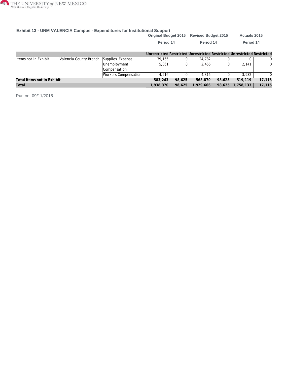

#### **Exhibit 13 - UNM VALENCIA Campus - Expenditures for Institutional Support**

|                            |                        |                             | <b>Original Budget 2015</b>                                             |        | <b>Revised Budget 2015</b> |        | <b>Actuals 2015</b> |        |
|----------------------------|------------------------|-----------------------------|-------------------------------------------------------------------------|--------|----------------------------|--------|---------------------|--------|
|                            |                        |                             | Period 14                                                               |        | Period 14                  |        | Period 14           |        |
|                            |                        |                             | Unrestricted Restricted Unrestricted Restricted Unrestricted Restricted |        |                            |        |                     |        |
| Items not in Exhibit       | Valencia County Branch | Supplies_Expense            | 39.155                                                                  |        | 24,782                     |        |                     |        |
|                            |                        | Unemployment                | 5.061                                                                   |        | 2.466                      | ΩI     | 2.141               |        |
|                            |                        | Compensation                |                                                                         |        |                            |        |                     |        |
|                            |                        | <b>Workers Compensation</b> | 4.216                                                                   |        | 4.316                      |        | 3.932               |        |
| Total Items not in Exhibit |                        |                             | 583,243                                                                 | 98,625 | 568,870                    | 98,625 | 519,119             | 17,115 |
| Total                      |                        |                             | 1,938,370                                                               | 98,625 | 1,929,666                  | 98,625 | 1,758,133           | 17,115 |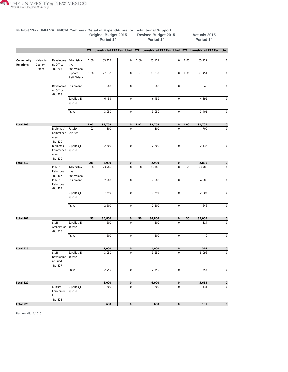

**Exhibit 13a - UNM VALENCIA Campus - Detail of Expenditures for Institutional Support**

|                        |                              |                                          |                                    | <b>Original Budget 2015</b><br>Period 14 |        |                |      | <b>Revised Budget 2015</b><br>Period 14 |                                                                                                 |              | <b>Actuals 2015</b><br>Period 14 |                |
|------------------------|------------------------------|------------------------------------------|------------------------------------|------------------------------------------|--------|----------------|------|-----------------------------------------|-------------------------------------------------------------------------------------------------|--------------|----------------------------------|----------------|
|                        |                              |                                          |                                    |                                          |        |                |      |                                         | FTE Unrestricted FTE Restricted FTE Unrestricted FTE Restricted FTE Unrestricted FTE Restricted |              |                                  |                |
| Community<br>Relations | Valencia<br>County<br>Branch | Developme<br>nt Office<br>-BU 208        | Administra<br>tive<br>Professional | 1.00                                     | 55,117 | $\mathbf{0}$   | 1.00 | 55,117                                  | 0                                                                                               | 1.00         | 55,117                           | $\overline{0}$ |
|                        |                              |                                          | Support<br>Staff Salary            | 1.00                                     | 27,332 | $\overline{0}$ | .97  | 27,332                                  | 0                                                                                               | 1.00         | 27,451                           | $\overline{0}$ |
|                        |                              | Developme<br>nt Office<br>-BU 208        | Equipment                          |                                          | 900    | 0              |      | 900                                     | $\overline{0}$                                                                                  |              | 846                              | $\overline{0}$ |
|                        |                              |                                          | Supplies_E<br>xpense               |                                          | 6,459  | 0              |      | 6,459                                   | $\overline{0}$                                                                                  |              | 4,892                            | $\overline{0}$ |
|                        |                              |                                          | Travel                             |                                          | 3,950  | 0              |      | 3,950                                   | $\overline{0}$                                                                                  |              | 3,401                            | 0              |
| Total 208              |                              |                                          |                                    | 2.00                                     | 93,758 | 0              | 1.97 | 93,758                                  | 0                                                                                               | 2.00         | 91,707                           | $\vert$ 0      |
|                        |                              | Diplomas/<br>Commence<br>ment<br>-BU 210 | Faculty<br>Salaries                | .01                                      | 300    | $\Omega$       |      | 300                                     | $\mathbf 0$                                                                                     |              | 700                              | 0              |
|                        |                              | Diplomas/<br>Commence<br>ment<br>-BU 210 | Supplies_E<br>xpense               |                                          | 2,600  | $\overline{0}$ |      | 2,600                                   | $\mathbf 0$                                                                                     |              | 2,136                            | $\overline{0}$ |
| Total 210              |                              |                                          |                                    | .01                                      | 2,900  | 0              |      | 2,900                                   | 0                                                                                               |              | 2,836                            | $\circ$        |
|                        |                              | Public<br>Relations<br>-BU 407           | Administra<br>tive<br>Professional | .50                                      | 23,705 | $\mathbf{0}$   | .50  | 23,705                                  | $\overline{0}$                                                                                  | .50          | 23,705                           | $\mathbf 0$    |
|                        |                              | Public<br>Relations<br>-BU 407           | Equipment                          |                                          | 2,900  | 0              |      | 2,900                                   | 0                                                                                               |              | 4,900                            | $\overline{0}$ |
|                        |                              |                                          | Supplies_E<br>xpense               |                                          | 7,695  | $\mathbf{0}$   |      | 7,695                                   | $\circ$                                                                                         |              | 2,805                            | $\overline{0}$ |
|                        |                              |                                          | Travel                             |                                          | 2,500  | 0              |      | 2,500                                   | 0                                                                                               |              | 646                              | $\vert$        |
| Total 407              |                              |                                          |                                    | .50                                      | 36,800 | 0              | .50  | 36,800                                  | 0                                                                                               | .50          | 32,056                           | $\overline{0}$ |
|                        |                              | Staff<br>Association<br>-BU 526          | Supplies_E<br>xpense               |                                          | 500    | $\Omega$       |      | 500                                     | $\Omega$                                                                                        |              | 314                              | $\overline{0}$ |
|                        |                              |                                          | Travel<br>$\mathbf{I}$             |                                          | 500    | 0              |      | 500                                     | $\mathbf 0$                                                                                     | $\mathbf{I}$ | $\overline{0}$                   | $\overline{0}$ |
| Total 526              |                              |                                          |                                    |                                          | 1,000  | 0              |      | 1,000                                   | $\overline{0}$                                                                                  |              | 314                              | $\circ$        |
|                        |                              | Staff<br>Developme<br>nt Fund<br>-BU 527 | Supplies_E<br>xpense               |                                          | 3,250  | $\overline{0}$ |      | 3,250                                   | $\mathbf 0$                                                                                     |              | 5,096                            | $\bf 0$        |
|                        |                              |                                          | Travel                             |                                          | 2,750  | 0              |      | 2,750                                   | $\boldsymbol{0}$                                                                                |              | 557                              | $\overline{0}$ |
| Total 527              |                              |                                          |                                    |                                          | 6,000  | 0              |      | 6,000                                   | $\mathsf{O}\xspace$                                                                             |              | 5,653                            | $\overline{0}$ |
|                        |                              | Cultural<br>Enrichmen<br>t<br>-BU 528    | Supplies_E<br>xpense               |                                          | 600    | $\overline{0}$ |      | 600                                     | $\overline{0}$                                                                                  |              | 131                              | $\overline{0}$ |
| Total 528              |                              |                                          |                                    |                                          | 600    | 0              |      | 600                                     | $\vert 0 \vert$                                                                                 |              | 131                              | 0              |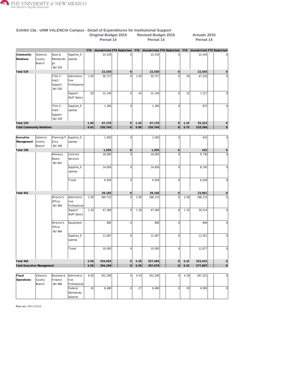

|                                   |                              |                                             |                                    |            | ongmar Daugot Loro<br>Period 14 |                                    |      | noviouu Duugut Loio<br>Period 14 |                |      | AVIDED F<br>Period 14 |                                 |
|-----------------------------------|------------------------------|---------------------------------------------|------------------------------------|------------|---------------------------------|------------------------------------|------|----------------------------------|----------------|------|-----------------------|---------------------------------|
|                                   |                              |                                             |                                    | <b>FTE</b> |                                 | <b>Unrestricted FTE Restricted</b> |      | FTE Unrestricted FTE Restricted  |                |      |                       | FTE Unrestricted FTE Restricted |
| Community<br>Relations            | Valencia<br>County<br>Branch | Dues &<br>Membershi<br>ps<br>-BU 529        | Supplies_E<br>xpense               |            | 22,530                          | $\mathbf 0$                        |      | 22,530                           | $\circ$        |      | 22,545                | $\Omega$                        |
| Total 529                         |                              |                                             |                                    |            | 22,530                          | $\mathsf{O}\xspace$                |      | 22,530                           | 0              |      | 22,545                | $\mathbf 0$                     |
|                                   |                              | Title V -<br>Instit<br>Support<br>-BU 530   | Administra<br>tive<br>Professional | 1.00       | 50,727                          | $\Omega$                           | 1.00 | 50,727                           | $\Omega$       | .93  | 47,224                | $\Omega$                        |
|                                   |                              |                                             | Support<br><b>Staff Salary</b>     | .50        | 15,149                          | $\mathbf 0$                        | .43  | 15,149                           | 0              | .32  | 7,227                 | $\mathbf 0$                     |
|                                   |                              | Title V -<br>Instit<br>Support<br>-BU 530   | Supplies_E<br>xpense               |            | 1,300                           | $\mathbf 0$                        |      | 1,300                            | 0              |      | 872                   | $\mathbf 0$                     |
| Total 530                         |                              |                                             |                                    | 1.50       | 67,176                          | $\overline{0}$                     | 1.43 | 67,176                           | 0              | 1.25 | 55,323                | $\mathsf{O}\xspace$             |
| <b>Total Community Relations</b>  |                              |                                             |                                    | 4.01       | 230,764                         | $\overline{0}$                     | 3.90 | 230,764                          | 0              | 3.75 | 210,566               | 0                               |
| Executive                         | Valencia                     | Planning/P                                  | Supplies_E                         |            | 1,050                           | $\mathbf 0$                        |      | 1,050                            | $\overline{0}$ |      | 425                   | $\overline{0}$                  |
| Management                        | County<br>Branch             | olicy<br>-BU 189                            | xpense                             |            |                                 |                                    |      |                                  |                |      |                       |                                 |
| Total 189                         |                              |                                             |                                    |            | 1,050                           | $\overline{0}$                     |      | 1,050                            | 0              |      | 425                   | $\mathsf{O}\xspace$             |
|                                   |                              | Advisory<br>Board<br>-BU 401                | Contract<br>Services               |            | 18,000                          | $\mathbf 0$                        |      | 18,000                           | $\mathbf{0}$   |      | 9,738                 | $\mathbf 0$                     |
|                                   |                              |                                             | Supplies_E<br>xpense               |            | 14,656                          | $\mathbf 0$                        |      | 14,656                           | $\mathbf{0}$   |      | 8,195                 | $\mathbf 0$                     |
|                                   |                              |                                             | Travel                             |            | 6,504                           | $\mathbf 0$                        |      | 6,504                            | $\overline{0}$ |      | 6,028                 | $\mathbf 0$                     |
| Total 401                         |                              |                                             |                                    |            | 39,160                          | $\mathsf{O}\xspace$                |      | 39,160                           | 0              |      | 23,961                | $\mathbf 0$                     |
|                                   |                              | Director's<br>Office<br>-BU 484             | Administra<br>tive<br>Professional | 2.00       | 184,723                         | $\overline{0}$                     | 2.00 | 188,133                          | $\Omega$       | 2.00 | 188,133               | $\mathbf 0$                     |
|                                   |                              |                                             | Support<br><b>Staff Salary</b>     | 1.50       | 47,369                          | $\mathbf 0$                        | 1.39 | 47,369                           | 0              | 1.32 | 39,514                | $\mathbf 0$                     |
|                                   |                              | Director's<br>Office<br>-BU 484             | Equipment                          |            | 900                             | $\mathbf 0$                        |      | 900                              | 0              |      | 846                   | $\mathbf 0$                     |
|                                   |                              |                                             | Supplies_E<br>xpense               |            | 11,067                          | $\mathbf 0$                        |      | 11,067                           | 0              |      | 12,051                | $\mathbf 0$                     |
|                                   |                              |                                             | Travel                             |            | 10,000                          | $\overline{0}$                     |      | 10,000                           | 0              |      | 12,877                | 0                               |
| Total 484                         |                              |                                             |                                    | 3.50       | 254,059                         | $\overline{0}$                     | 3.39 | 257,469                          | 0              | 3.32 | 253,422               | $\mathsf{O}\xspace$             |
| <b>Total Executive Management</b> |                              |                                             |                                    | 3.50       | 294,269                         | 0                                  | 3.39 | 297,679                          | 0              | 3.32 | 277,807               | $\overline{0}$                  |
|                                   |                              |                                             |                                    |            |                                 |                                    |      |                                  |                |      |                       |                                 |
| Fiscal<br>Operations              | Valencia<br>County<br>Branch | <b>Business &amp;</b><br>Finance<br>-BU 486 | Administra<br>tive<br>Professional | 6.00       | 352,294                         | $\mathbf 0$                        | 4.53 | 352,294                          | 0              | 4.39 | 287,251               | $\overline{0}$                  |

Federal [.10](/ibi_apps/WFServlet.ibfs?IBIF_webapp=/ibi_apps&IBIC_server=EDASERVE&IBIWF_msgviewer=OFF&IBIAPP_app=f_finance%20f_finance_shared%20f_accounts_receivable%20f_finance_freeze%20hr_finance%20student_shared%20f_upload_data%20baseapp&WF_STYLE=IBFS:/FILE/IBI_HTML_DIR/javaassist/intl/EN/combine_templates/ENSilver_Medium1%2Esty&&IBIMR_drill=IBFS,RUNFEX,IBIF_ex,true&IBIF_ex=/WFC/Repository/Finance_Domain/FEX/FMRSTRA_DrillDown_Report_Processor_Grp2%2Efex&CLICKED_ON=&WFFMT=PDF&Campus=VALENCIA&Exhibits=13a&PROGRAM=P13%25&BUD_CAT=Fiscal%20Operations&ORG_DESC=Valencia%20County%20Branch&BUD_CODE=486&BUD_DESC=Business%20%26%20Finance&ACCT_DESC1=Labor%20Expense&ACCT_DESC3=Federal%20Workstudy%20Salaries&Column=1&Fisc_Yr1=2015&Fisc_Yr2=2015&Fisc_Yr3=2015&Fisc_Pr1=14&Fisc_Pr2=14&Fisc_Pr3=14&Phase1=ORIGNL&Phase2=REVISE&Phase3=ACTUAL&unrestricted=06&restricted=16&db_in_use=ODSP) [6,400](/ibi_apps/WFServlet.ibfs?IBIF_webapp=/ibi_apps&IBIC_server=EDASERVE&IBIWF_msgviewer=OFF&IBIAPP_app=f_finance%20f_finance_shared%20f_accounts_receivable%20f_finance_freeze%20hr_finance%20student_shared%20f_upload_data%20baseapp&WF_STYLE=IBFS:/FILE/IBI_HTML_DIR/javaassist/intl/EN/combine_templates/ENSilver_Medium1%2Esty&&IBIMR_drill=IBFS,RUNFEX,IBIF_ex,true&IBIF_ex=/WFC/Repository/Finance_Domain/FEX/FMRSTRA_DrillDown_Report_Processor_Grp2%2Efex&CLICKED_ON=&WFFMT=PDF&Campus=VALENCIA&Exhibits=13a&PROGRAM=P13%25&BUD_CAT=Fiscal%20Operations&ORG_DESC=Valencia%20County%20Branch&BUD_CODE=486&BUD_DESC=Business%20%26%20Finance&ACCT_DESC1=Labor%20Expense&ACCT_DESC3=Federal%20Workstudy%20Salaries&Column=2&Fisc_Yr1=2015&Fisc_Yr2=2015&Fisc_Yr3=2015&Fisc_Pr1=14&Fisc_Pr2=14&Fisc_Pr3=14&Phase1=ORIGNL&Phase2=REVISE&Phase3=ACTUAL&unrestricted=06&restricted=16&db_in_use=ODSP) 0 [.27](/ibi_apps/WFServlet.ibfs?IBIF_webapp=/ibi_apps&IBIC_server=EDASERVE&IBIWF_msgviewer=OFF&IBIAPP_app=f_finance%20f_finance_shared%20f_accounts_receivable%20f_finance_freeze%20hr_finance%20student_shared%20f_upload_data%20baseapp&WF_STYLE=IBFS:/FILE/IBI_HTML_DIR/javaassist/intl/EN/combine_templates/ENSilver_Medium1%2Esty&&IBIMR_drill=IBFS,RUNFEX,IBIF_ex,true&IBIF_ex=/WFC/Repository/Finance_Domain/FEX/FMRSTRA_DrillDown_Report_Processor_Grp2%2Efex&CLICKED_ON=&WFFMT=PDF&Campus=VALENCIA&Exhibits=13a&PROGRAM=P13%25&BUD_CAT=Fiscal%20Operations&ORG_DESC=Valencia%20County%20Branch&BUD_CODE=486&BUD_DESC=Business%20%26%20Finance&ACCT_DESC1=Labor%20Expense&ACCT_DESC3=Federal%20Workstudy%20Salaries&Column=5&Fisc_Yr1=2015&Fisc_Yr2=2015&Fisc_Yr3=2015&Fisc_Pr1=14&Fisc_Pr2=14&Fisc_Pr3=14&Phase1=ORIGNL&Phase2=REVISE&Phase3=ACTUAL&unrestricted=06&restricted=16&db_in_use=ODSP) [6,400](/ibi_apps/WFServlet.ibfs?IBIF_webapp=/ibi_apps&IBIC_server=EDASERVE&IBIWF_msgviewer=OFF&IBIAPP_app=f_finance%20f_finance_shared%20f_accounts_receivable%20f_finance_freeze%20hr_finance%20student_shared%20f_upload_data%20baseapp&WF_STYLE=IBFS:/FILE/IBI_HTML_DIR/javaassist/intl/EN/combine_templates/ENSilver_Medium1%2Esty&&IBIMR_drill=IBFS,RUNFEX,IBIF_ex,true&IBIF_ex=/WFC/Repository/Finance_Domain/FEX/FMRSTRA_DrillDown_Report_Processor_Grp2%2Efex&CLICKED_ON=&WFFMT=PDF&Campus=VALENCIA&Exhibits=13a&PROGRAM=P13%25&BUD_CAT=Fiscal%20Operations&ORG_DESC=Valencia%20County%20Branch&BUD_CODE=486&BUD_DESC=Business%20%26%20Finance&ACCT_DESC1=Labor%20Expense&ACCT_DESC3=Federal%20Workstudy%20Salaries&Column=6&Fisc_Yr1=2015&Fisc_Yr2=2015&Fisc_Yr3=2015&Fisc_Pr1=14&Fisc_Pr2=14&Fisc_Pr3=14&Phase1=ORIGNL&Phase2=REVISE&Phase3=ACTUAL&unrestricted=06&restricted=16&db_in_use=ODSP) 0 [.29](/ibi_apps/WFServlet.ibfs?IBIF_webapp=/ibi_apps&IBIC_server=EDASERVE&IBIWF_msgviewer=OFF&IBIAPP_app=f_finance%20f_finance_shared%20f_accounts_receivable%20f_finance_freeze%20hr_finance%20student_shared%20f_upload_data%20baseapp&WF_STYLE=IBFS:/FILE/IBI_HTML_DIR/javaassist/intl/EN/combine_templates/ENSilver_Medium1%2Esty&&IBIMR_drill=IBFS,RUNFEX,IBIF_ex,true&IBIF_ex=/WFC/Repository/Finance_Domain/FEX/FMRSTRA_DrillDown_Report_Processor_Grp2%2Efex&CLICKED_ON=&WFFMT=PDF&Campus=VALENCIA&Exhibits=13a&PROGRAM=P13%25&BUD_CAT=Fiscal%20Operations&ORG_DESC=Valencia%20County%20Branch&BUD_CODE=486&BUD_DESC=Business%20%26%20Finance&ACCT_DESC1=Labor%20Expense&ACCT_DESC3=Federal%20Workstudy%20Salaries&Column=9&Fisc_Yr1=2015&Fisc_Yr2=2015&Fisc_Yr3=2015&Fisc_Pr1=14&Fisc_Pr2=14&Fisc_Pr3=14&Phase1=ORIGNL&Phase2=REVISE&Phase3=ACTUAL&unrestricted=06&restricted=16&db_in_use=ODSP) [4,565](/ibi_apps/WFServlet.ibfs?IBIF_webapp=/ibi_apps&IBIC_server=EDASERVE&IBIWF_msgviewer=OFF&IBIAPP_app=f_finance%20f_finance_shared%20f_accounts_receivable%20f_finance_freeze%20hr_finance%20student_shared%20f_upload_data%20baseapp&WF_STYLE=IBFS:/FILE/IBI_HTML_DIR/javaassist/intl/EN/combine_templates/ENSilver_Medium1%2Esty&&IBIMR_drill=IBFS,RUNFEX,IBIF_ex,true&IBIF_ex=/WFC/Repository/Finance_Domain/FEX/FMRSTRA_DrillDown_Report_Processor_Grp2%2Efex&CLICKED_ON=&WFFMT=PDF&Campus=VALENCIA&Exhibits=13a&PROGRAM=P13%25&BUD_CAT=Fiscal%20Operations&ORG_DESC=Valencia%20County%20Branch&BUD_CODE=486&BUD_DESC=Business%20%26%20Finance&ACCT_DESC1=Labor%20Expense&ACCT_DESC3=Federal%20Workstudy%20Salaries&Column=10&Fisc_Yr1=2015&Fisc_Yr2=2015&Fisc_Yr3=2015&Fisc_Pr1=14&Fisc_Pr2=14&Fisc_Pr3=14&Phase1=ORIGNL&Phase2=REVISE&Phase3=ACTUAL&unrestricted=06&restricted=16&db_in_use=ODSP) 0

**Exhibit 13a - UNM VALENCIA Campus - Detail of Expenditures for Institutional Support Original Budget 2015 Revised Budget 2015 Actuals 2015**

**Run on:** 09/11/2015

Workstudy Salaries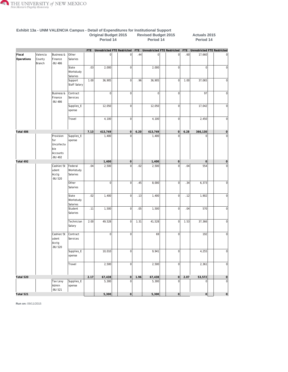

|                      |                              |                                                              |                                  | Period 14  |                             |  |                     | Period 14 |                                 |                | Period 14 |                                 |                     |
|----------------------|------------------------------|--------------------------------------------------------------|----------------------------------|------------|-----------------------------|--|---------------------|-----------|---------------------------------|----------------|-----------|---------------------------------|---------------------|
|                      |                              |                                                              |                                  | <b>FTE</b> | Unrestricted FTE Restricted |  |                     |           | FTE Unrestricted FTE Restricted |                |           | FTE Unrestricted FTE Restricted |                     |
| Fiscal<br>Operations | Valencia<br>County<br>Branch | <b>Business &amp;</b><br>Finance<br>-BU 486                  | Other<br>Salaries                |            | 0                           |  | $\mathbf 0$         | .44       | 0                               | $\overline{0}$ | .60       | 17,660                          | $\mathbf 0$         |
|                      |                              |                                                              | State<br>Workstudy<br>Salaries   | .03        | 2,000                       |  | $\mathbf 0$         |           | 2,000                           | $\overline{0}$ |           | $\overline{0}$                  | $\overline{0}$      |
|                      |                              |                                                              | Support<br>Staff Salary          | 1.00       | 36,905                      |  | $\mathbf 0$         | .96       | 36,905                          | $\overline{0}$ | 1.00      | 37,065                          | $\mathbf 0$         |
|                      |                              | <b>Business &amp;</b><br>Finance<br>-BU 486                  | Contract<br>Services             |            | 0                           |  | $\mathbf 0$         |           | $\overline{0}$                  | $\overline{0}$ |           | 97                              | $\mathbf 0$         |
|                      |                              |                                                              | Supplies_E<br>xpense             |            | 12,050                      |  | $\mathbf 0$         |           | 12,050                          | $\overline{0}$ |           | 17,042                          | $\mathbf 0$         |
|                      |                              |                                                              | Travel                           |            | 4,100                       |  | $\mathbf 0$         |           | 4,100                           | $\overline{0}$ |           | 2,450                           | $\mathbf 0$         |
| Total 486            |                              |                                                              |                                  | 7.13       | 413,749                     |  | $\mathsf{O}\xspace$ | 6.20      | 413,749                         | 0              | 6.28      | 366,130                         | $\circ$             |
|                      |                              | Provision<br>for<br>Uncollecta<br>ble<br>Accounts<br>-BU 492 | Supplies_E<br>xpense             |            | 1,400                       |  | $\overline{0}$      |           | 1,400                           | $\Omega$       |           | $\mathbf{0}$                    | $\overline{0}$      |
| Total 492            |                              |                                                              |                                  |            | 1,400                       |  | $\mathsf{O}\xspace$ |           | 1,400                           | $\Omega$       |           | $\mathsf{O}\xspace$             | $\mathsf{O}\xspace$ |
|                      |                              | Cashier/St<br>udent<br>Acctg<br>-BU 520                      | Federal<br>Workstudy<br>Salaries | .04        | 2,500                       |  | $\mathbf 0$         | .02       | 2,500                           | $\mathbf 0$    | .04       | 554                             | $\mathbf 0$         |
|                      |                              |                                                              | Other<br>Salaries                |            | 0                           |  | $\mathbf 0$         | .45       | 8,000                           | $\mathbf 0$    | .34       | 6,373                           | $\overline{0}$      |
|                      |                              |                                                              | State<br>Workstudy<br>Salaries   | .02        | 1,400                       |  | $\mathbf 0$         | .13       | 1,400                           | $\overline{0}$ | .12       | 1,902                           | $\mathbf 0$         |
|                      |                              |                                                              | Student<br>Salaries              | .11        | 1,500                       |  | $\mathbf 0$         | .05       | 1,500                           | $\mathbf 0$    | .04       | 570                             | $\mathbf 0$         |
|                      |                              |                                                              | Technician<br>Salary             | 2.00       | 49,528                      |  | $\bf{0}$            | 1.31      | 41,528                          | $\overline{0}$ | 1.53      | 37,366                          | $\mathbf 0$         |
|                      |                              | Cashier/St<br>udent<br>Acctg<br>-BU 520                      | Contract<br>Services             |            | 0                           |  | $\mathbf 0$         |           | 69                              | $\overline{0}$ |           | 192                             | $\overline{0}$      |
|                      |                              |                                                              | Supplies_E<br>xpense             |            | 10,010                      |  | 0                   |           | 9,941                           | 0              |           | 4,255                           | 0                   |
|                      |                              |                                                              | Travel                           |            | 2,500                       |  | $\overline{0}$      |           | 2,500                           | $\overline{0}$ |           | 2,361                           | $\overline{0}$      |
| Total 520            |                              |                                                              |                                  | 2.17       | 67,438                      |  | $\overline{0}$      | 1.96      | 67,438                          | $\vert$ 0      | 2.07      | 53,572                          | $\mathsf{O}\xspace$ |
|                      |                              | Tax Levy<br>Admin<br>-BU 521                                 | Supplies_E<br>xpense             |            | 5,300                       |  | $\mathbf 0$         |           | 5,300                           | $\mathbf 0$    |           | $\overline{0}$                  | $\overline{0}$      |
| Total 521            |                              |                                                              |                                  |            | 5,300                       |  | $\circ$             |           | 5,300                           | $\circ$        |           | 0                               | 0                   |

**Exhibit 13a - UNM VALENCIA Campus - Detail of Expenditures for Institutional Support Original Budget 2015 Revised Budget 2015 Actuals 2015**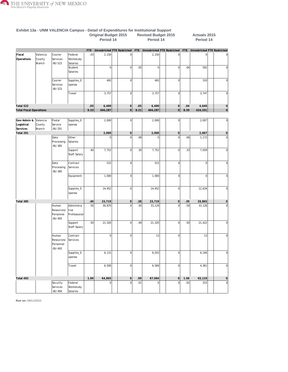

| Exhibit 13a - UNM VALENCIA Campus - Detail of Expenditures for Institutional Support |          |                             |                      |             |                             |                                  |             |                             |                   |             |                                    |                         |
|--------------------------------------------------------------------------------------|----------|-----------------------------|----------------------|-------------|-----------------------------|----------------------------------|-------------|-----------------------------|-------------------|-------------|------------------------------------|-------------------------|
|                                                                                      |          |                             |                      |             | <b>Original Budget 2015</b> |                                  |             | <b>Revised Budget 2015</b>  |                   |             | Actuals 2015                       |                         |
|                                                                                      |          |                             |                      |             | Period 14                   |                                  |             | Period 14                   |                   |             | Period 14                          |                         |
|                                                                                      |          |                             |                      |             |                             |                                  |             |                             |                   |             |                                    |                         |
|                                                                                      |          |                             |                      | <b>FTE</b>  | Unrestricted FTE Restricted |                                  | <b>FTE</b>  | Unrestricted FTE Restricted |                   | <b>FTE</b>  | <b>Unrestricted FTE Restricted</b> |                         |
| Fiscal                                                                               | Valencia | Courier                     | Federal              | .03         | 2,150                       | $\mathbf 0$                      |             | 2,150                       | $\mathbf 0$       |             | $\mathbf 0$                        | $\mathbf 0$             |
| Operations                                                                           | County   | Services                    | Workstudy            |             |                             |                                  |             |                             |                   |             |                                    |                         |
|                                                                                      | Branch   | <b>BU 523</b>               | Salaries             |             |                             |                                  |             |                             |                   |             |                                    |                         |
|                                                                                      |          |                             | Student              |             | 0                           | $\overline{0}$                   | .05         | 0                           | $\overline{0}$    | .04         | 592                                | $\mathbf 0$             |
|                                                                                      |          |                             | Salaries             |             |                             |                                  |             |                             |                   |             |                                    |                         |
|                                                                                      |          | Courier                     | Supplies_E           |             | 493                         | $\overline{0}$                   |             | 493                         | $\overline{0}$    |             | 310                                | $\mathbf 0$             |
|                                                                                      |          | Services                    | xpense               |             |                             |                                  |             |                             |                   |             |                                    |                         |
|                                                                                      |          | <b>BU 523</b>               |                      |             |                             |                                  |             |                             |                   |             |                                    |                         |
|                                                                                      |          |                             | Travel               |             | 3,757                       | $\overline{0}$                   |             | 3,757                       | $\mathbf{0}$      |             | 3,747                              | $\mathbf 0$             |
| Total 523                                                                            |          |                             |                      |             | 6,400                       | 0                                |             |                             | 0                 |             | 4,649                              |                         |
| <b>Total Fiscal Operations</b>                                                       |          |                             |                      | .03<br>9.33 | 494,287                     | 0                                | .05<br>8.21 | 6,400<br>494,287            | $\circ$           | .04<br>8.39 | 424,351                            | $\mathbf{0}$<br>$\circ$ |
|                                                                                      |          |                             |                      |             |                             |                                  |             |                             |                   |             |                                    |                         |
| Gen Admin &                                                                          | Valencia | Postal                      | Supplies_E           |             | 2,000                       | $\overline{0}$                   |             | 2,000                       | 0                 |             | 2,007                              | $\overline{0}$          |
| Logistical                                                                           | County   | Service                     | xpense               |             |                             |                                  |             |                             |                   |             |                                    |                         |
| Services                                                                             | Branch   | -BU 201                     |                      |             |                             |                                  |             |                             |                   |             |                                    |                         |
| Total 201                                                                            |          |                             |                      |             | 2,000                       | $\vert 0 \vert$                  |             | 2,000                       | 0                 |             | 2,007                              | $\mathbf 0$             |
|                                                                                      |          | Data                        | Other                |             | $\Omega$                    | $\mathbf 0$                      | .08         | $\overline{0}$              | $\mathbf 0$       | .06         | 1,172                              | $\mathbf 0$             |
|                                                                                      |          | Processing<br><b>BU 385</b> | Salaries             |             |                             |                                  |             |                             |                   |             |                                    |                         |
|                                                                                      |          |                             | Support              | .40         | 7,752                       | $\overline{0}$                   | .30         | 7,752                       | $\mathbf 0$       | .33         | 7,059                              | $\mathbf 0$             |
|                                                                                      |          |                             | Staff Salary         |             |                             |                                  |             |                             |                   |             |                                    |                         |
|                                                                                      |          | Data                        | Contract             |             | 515                         | $\overline{0}$                   |             | 515                         | $\overline{0}$    |             | $\mathbf 0$                        | $\mathbf 0$             |
|                                                                                      |          | Processing                  | Services             |             |                             |                                  |             |                             |                   |             |                                    |                         |
|                                                                                      |          | <b>BU 385</b>               |                      |             |                             |                                  |             |                             |                   |             |                                    |                         |
|                                                                                      |          |                             | Equipment            |             | 1,000                       | $\overline{0}$                   |             | 1,000                       | $\mathbf 0$       |             | $\mathbf 0$                        | $\overline{0}$          |
|                                                                                      |          |                             |                      |             |                             |                                  |             |                             |                   |             |                                    |                         |
|                                                                                      |          |                             | Supplies_E           |             | 14,452                      | $\overline{0}$                   |             | 14,452                      | $\overline{0}$    |             | 12,634                             | $\mathbf 0$             |
|                                                                                      |          |                             | xpense               |             |                             |                                  |             |                             |                   |             |                                    |                         |
|                                                                                      |          |                             |                      |             |                             |                                  |             |                             |                   |             |                                    |                         |
| Total 385                                                                            |          |                             |                      | .40         | 23,719                      | $\vert 0 \vert$                  | .38         | 23,719                      | 0                 | .39         | 20,865                             | $\mathbf 0$             |
|                                                                                      |          | Human                       | Administra           | .50         | 30,870                      | $\mathbf 0$                      | .50         | 33,129                      | $\Omega$          | .50         | 33,128                             | $\mathbf 0$             |
|                                                                                      |          | Resources/                  | tive                 |             |                             |                                  |             |                             |                   |             |                                    |                         |
|                                                                                      |          | Personnel<br><b>BU 493</b>  | Professional         |             |                             |                                  |             |                             |                   |             |                                    |                         |
|                                                                                      |          |                             | Support              | .50         | 21,320                      | $\overline{0}$                   | .49         | 21,320                      | $\overline{0}$    | .50         | 21,422                             | $\mathbf 0$             |
|                                                                                      |          |                             | Staff Salary         |             |                             |                                  |             |                             |                   |             |                                    |                         |
|                                                                                      |          | Human                       | Contract             |             | 0                           | $\overline{0}$                   |             | 13                          | $\overline{0}$    |             | 13                                 | $\mathbf 0$             |
|                                                                                      |          | Resources/                  | Services             |             |                             |                                  |             |                             |                   |             |                                    |                         |
|                                                                                      |          | Personnel                   |                      |             |                             |                                  |             |                             |                   |             |                                    |                         |
|                                                                                      |          | <b>BU 493</b>               |                      |             |                             |                                  |             |                             |                   |             |                                    |                         |
|                                                                                      |          |                             | Supplies_E           |             | 6, 115                      | $\overline{0}$                   |             | 6,033                       | $\overline{0}$    |             | 6,194                              | $\boldsymbol{0}$        |
|                                                                                      |          |                             | xpense               |             |                             |                                  |             |                             |                   |             |                                    |                         |
|                                                                                      |          |                             |                      |             |                             |                                  |             |                             |                   |             |                                    |                         |
|                                                                                      |          |                             | Travel               |             | 6,500                       | $\overline{0}$                   |             | 6,569                       | $\overline{0}$    |             | 4,361                              | $\overline{0}$          |
|                                                                                      |          |                             |                      |             |                             |                                  |             |                             |                   |             |                                    |                         |
| Total 493                                                                            |          |                             |                      | 1.00        | 64,805                      | $\overline{0}$<br>$\overline{0}$ | .99         | 67,064<br> 0                | 0 <br>$\mathbf 0$ | 1.00        | 65,119                             | $\mathsf{O}\xspace$     |
|                                                                                      |          | Security<br>Services        | Federal<br>Workstudy |             | $\overline{0}$              |                                  | .01         |                             |                   | .02         | 315                                | $\boldsymbol{0}$        |
|                                                                                      |          | <b>BU 494</b>               | Salaries             |             |                             |                                  |             |                             |                   |             |                                    |                         |
|                                                                                      |          |                             |                      |             |                             |                                  |             |                             |                   |             |                                    |                         |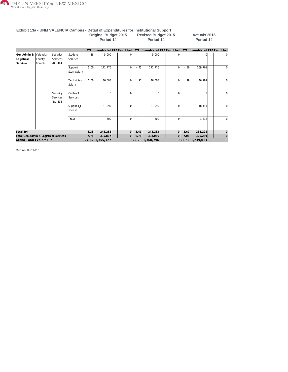

#### **Exhibit 13a - UNM VALENCIA Campus - Detail of Expenditures for Institutional Support Original Budget 2015 Revised Budget 2015 Actuals 2015 Period 14 Period 14 Period 14**

|                                       |                                       |                                 |                         | FTE  | Unrestricted FTE Restricted |                | FTE  | Unrestricted FTE Restricted |          | <b>FTE</b> | <b>Unrestricted FTE Restricted</b> |             |
|---------------------------------------|---------------------------------------|---------------------------------|-------------------------|------|-----------------------------|----------------|------|-----------------------------|----------|------------|------------------------------------|-------------|
| Gen Admin &<br>Logistical<br>Services | Valencia<br>County<br>Branch          | Security<br>Services<br>-BU 494 | Student<br>Salaries     | .38  | 5,000                       |                |      | 5,000                       |          |            |                                    |             |
|                                       |                                       |                                 | Support<br>Staff Salary | 5.00 | 171,776                     | $\Omega$       | 4.43 | 171,776                     | 0        | 4.66       | 169,701                            | 0           |
|                                       |                                       |                                 | Technician<br>Salary    | 1.00 | 46,008                      | $\Omega$       | .97  | 46,008                      |          | .99        | 46,792                             | $\Omega$    |
|                                       |                                       | Security<br>Services<br>-BU 494 | Contract<br>Services    |      | $\Omega$                    | <sup>0</sup>   |      | $\Omega$                    |          |            | 8                                  | $\Omega$    |
|                                       |                                       |                                 | Supplies_E<br>xpense    |      | 21,999                      | $\Omega$       |      | 21,999                      |          |            | 18,144                             | $\Omega$    |
|                                       |                                       |                                 | Travel                  |      | 500                         | $\Omega$       |      | 500                         |          |            | 3,338                              | $\Omega$    |
| Total 494                             |                                       |                                 |                         | 6.38 | 245,283                     | 0              | 5.41 | 245,283                     | $\Omega$ | 5.67       | 238,298                            |             |
|                                       | Total Gen Admin & Logistical Services |                                 |                         |      | 335,807<br>7.78             | $\overline{0}$ | 6.78 | 338,066                     | 0        | 7.06       | 326,289                            | $\mathbf 0$ |
| Grand Total Exhibit 13a               |                                       |                                 |                         |      | 24.62 1,355,127             |                |      | 0 22.28 1,360,796           |          |            | 0 22.52 1,239,013                  | $\Omega$    |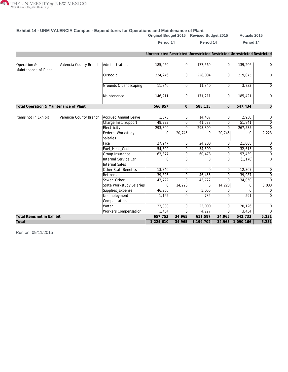

#### **Exhibit 14 - UNM VALENCIA Campus - Expenditures for Operations and Maintenance of Plant**

**Original Budget 2015 Revised Budget 2015 Actuals 2015**

Period 14 Period 14 Period 14

|                                        |                        |                              | Unrestricted Restricted Unrestricted Restricted Unrestricted Restricted |                |           |                |                  |                |
|----------------------------------------|------------------------|------------------------------|-------------------------------------------------------------------------|----------------|-----------|----------------|------------------|----------------|
| Operation &<br>Maintenance of Plant    | Valencia County Branch | Administration               | 185,060                                                                 | 0l             | 177,560   | 0              | 139,206          | 0              |
|                                        |                        | Custodial                    | 224,246                                                                 | 0              | 228,004   | 0l             | 219,075          | $\Omega$       |
|                                        |                        | Grounds & Landscaping        | 11,340                                                                  | $\Omega$       | 11,340    | $\Omega$       | 3,733            | $\Omega$       |
|                                        |                        | Maintenance                  | 146,211                                                                 | 0              | 171,211   | $\Omega$       | 185,421          | $\Omega$       |
| Total Operation & Maintenance of Plant |                        |                              | 566,857                                                                 | $\overline{0}$ | 588,115   | $\overline{O}$ | 547,434          | $\overline{0}$ |
|                                        |                        |                              |                                                                         |                |           |                |                  |                |
| Items not in Exhibit                   | Valencia County Branch | Accrued Annual Leave         | 1,573                                                                   | 0              | 14,437    | 0l             | 2,950            | 0              |
|                                        |                        | Charge Inst. Support         | 48,293                                                                  | 0              | 41,533    | $\Omega$       | 51,841           | $\overline{0}$ |
|                                        |                        | Electricity                  | 293,300                                                                 | $\Omega$       | 293,300   | $\Omega$       | 267,535          | $\Omega$       |
|                                        |                        | Federal Workstudy            | $\Omega$                                                                | 20,745         | $\Omega$  | 20,745         | $\Omega$         | 2,223          |
|                                        |                        | Salaries                     |                                                                         |                |           |                |                  |                |
|                                        |                        | Fica                         | 27,947                                                                  | 0              | 24,200    | $\Omega$       | 21,008           | $\mathbf 0$    |
|                                        |                        | Fuel_Heat_Cool               | 54,500                                                                  | 0              | 54,500    | $\Omega$       | 32,615           | $\overline{0}$ |
|                                        |                        | Group Insurance              | 63,377                                                                  | 0              | 60,478    | $\Omega$       | 57,439           | $\Omega$       |
|                                        |                        | Internal Service Ctr         | 0                                                                       | $\Omega$       | $\Omega$  | $\Omega$       | (1, 170)         | $\overline{0}$ |
|                                        |                        | Internal Sales               |                                                                         |                |           |                |                  |                |
|                                        |                        | Other Staff Benefits         | 13,340                                                                  | 0              | 0         | $\Omega$       | 12,307           | $\overline{0}$ |
|                                        |                        | Retirement                   | 39,826                                                                  | 0              | 46,455    | $\Omega$       | 39,987           | $\Omega$       |
|                                        |                        | Sewer Other                  | 43,722                                                                  | 0              | 43,722    | $\Omega$       | 34,050           | $\Omega$       |
|                                        |                        | State Workstudy Salaries     | 0                                                                       | 14,220         | $\Omega$  | 14,220         | 0                | 3,008          |
|                                        |                        | Supplies_Expense             | 46,256                                                                  | $\Omega$       | 5,000     |                | $\Omega$         | 0              |
|                                        |                        | Unemployment<br>Compensation | 1,165                                                                   | U              | 735       |                | 591              | $\Omega$       |
|                                        |                        | Water                        | 23,000                                                                  | 0              | 23,000    | $\Omega$       | 20,126           | $\Omega$       |
|                                        |                        | <b>Workers Compensation</b>  | 1,454                                                                   | $\overline{0}$ | 4,227     | $\overline{0}$ | 3,454            | $\Omega$       |
| Total Items not in Exhibit             |                        |                              | 657,753                                                                 | 34,965         | 611,587   | 34,965         | 542,733          | 5,231          |
| Total                                  |                        |                              | 1,224,610                                                               | 34,965         | 1,199,702 |                | 34,965 1,090,166 | 5,231          |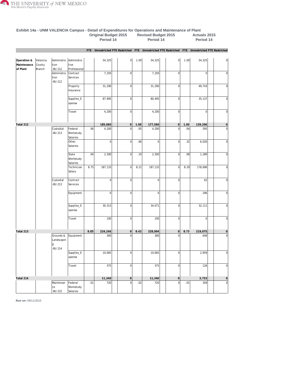

|                                        |                              |                                         |                                    | FTE  |                |                  |      |                | Unrestricted FTE Restricted FTE Unrestricted FTE Restricted FTE Unrestricted FTE Restricted |      |                |                |
|----------------------------------------|------------------------------|-----------------------------------------|------------------------------------|------|----------------|------------------|------|----------------|---------------------------------------------------------------------------------------------|------|----------------|----------------|
| Operation &<br>Maintenance<br>of Plant | Valencia<br>County<br>Branch | Administra<br>tion<br>-BU 212           | Administra<br>tive<br>Professional |      | 54,325         | 0                | 1.00 | 54,325         | 0                                                                                           | 1.00 | 54,325         | $\circ$        |
|                                        |                              | Administra<br>tion<br>-BU 212           | Contract<br>Services               |      | 7,250          | $\mathbf 0$      |      | 7,250          | $\overline{0}$                                                                              |      | $\overline{0}$ | $\mathbf 0$    |
|                                        |                              |                                         | Property<br>Insurance              |      | 31,290         | $\mathbf 0$      |      | 31,290         | $\overline{0}$                                                                              |      | 49,743         | $\mathbf 0$    |
|                                        |                              |                                         | Supplies_E<br>xpense               |      | 87,995         | $\mathbf 0$      |      | 80,495         | $\overline{0}$                                                                              |      | 35,137         | $\mathbf 0$    |
|                                        |                              |                                         | Travel                             |      | 4,200          | $\mathbf 0$      |      | 4,200          | $\overline{0}$                                                                              |      | $\overline{0}$ | $\mathbf 0$    |
| Total 212                              |                              |                                         |                                    |      | 185,060        | 0                | 1.00 | 177,560        | $\overline{0}$                                                                              | 1.00 | 139,206        | $\overline{0}$ |
|                                        |                              | Custodial<br>-BU 213                    | Federal<br>Workstudy<br>Salaries   | .06  | 4,200          | $\mathbf 0$      | .05  | 4,200          | $\overline{0}$                                                                              | .04  | 595            | $\mathbf 0$    |
|                                        |                              |                                         | Other<br>Salaries                  |      | $\mathbf 0$    | $\overline{0}$   | .06  | $\overline{0}$ | $\overline{0}$                                                                              | .32  | 6,026          | $\bf 0$        |
|                                        |                              |                                         | State<br>Workstudy<br>Salaries     | .04  | 2,500          | $\overline{0}$   | .10  | 2,500          | $\overline{0}$                                                                              | .08  | 1,289          | $\mathbf 0$    |
|                                        |                              |                                         | Technician<br>Salary               | 8.75 | 187,133        | $\overline{0}$   | 8.21 | 187,133        | $\overline{0}$                                                                              | 8.29 | 178,696        | $\mathbf 0$    |
|                                        |                              | Custodial<br>-BU 213                    | Contract<br>Services               |      | $\overline{0}$ | $\overline{0}$   |      | $\overline{0}$ | $\overline{0}$                                                                              |      | 62             | $\mathbf 0$    |
|                                        |                              |                                         | Equipment                          |      | $\overline{0}$ | $\boldsymbol{0}$ |      | $\overline{0}$ | $\vert 0 \vert$                                                                             |      | 296            | $\mathbf 0$    |
|                                        |                              |                                         | Supplies_E<br>xpense               |      | 30,313         | $\mathbf 0$      |      | 34,071         | $\overline{0}$                                                                              |      | 32,111         | $\mathbf 0$    |
|                                        |                              |                                         | Travel                             |      | 100            | $\mathbf 0$      |      | 100            | $\overline{0}$                                                                              |      | $\overline{0}$ | $\mathbf 0$    |
| Total 213                              |                              |                                         |                                    | 8.85 | 224,246        | 0                | 8.42 | 228,004        | $\overline{0}$                                                                              | 8.73 | 219,075        | $\overline{0}$ |
|                                        |                              | Grounds &<br>Landscapin<br>g<br>-BU 214 | Equipment                          |      | 300            | $\mathbf 0$      |      | 300            | $\mathbf 0$                                                                                 |      | 648            | $\mathbf 0$    |
|                                        |                              |                                         | Supplies_E<br>xpense               |      | 10,665         | U                |      | 10,665         | υ                                                                                           |      | 2,959          | U              |
|                                        |                              |                                         | Travel                             |      | 375            | 0                |      | 375            | $\overline{0}$                                                                              |      | 126            | $\overline{0}$ |
| Total 214                              |                              |                                         |                                    |      | 11,340         | 0                |      | 11,340         | 0                                                                                           |      | 3,733          | 0              |
|                                        |                              | Maintenan<br>ce<br>-BU 215              | Federal<br>Workstudy<br>Salaries   | .01  | 720            | 0                | .02  | 720            | $\overline{0}$                                                                              | .01  | 358            | 0              |

#### **Exhibit 14a - UNM VALENCIA Campus - Detail of Expenditures for Operations and Maintenance of Plant Original Budget 2015 Revised Budget 2015 Actuals 2015 Period 14 Period 14 Period 14**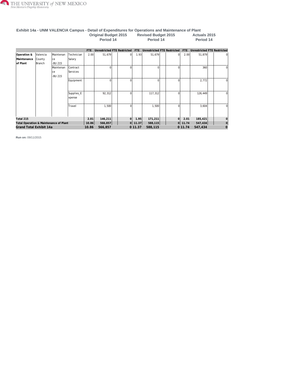

#### **Exhibit 14a - UNM VALENCIA Campus - Detail of Expenditures for Operations and Maintenance of Plant Original Budget 2015 Revised Budget 2015 Actuals 2015 Period 14 Period 14 Period 14**

|             |                                        |           |            | FTE     | Unrestricted FTE Restricted |                | FTE     | Unrestricted FTE Restricted |                | FTE     | Unrestricted FTE Restricted |              |
|-------------|----------------------------------------|-----------|------------|---------|-----------------------------|----------------|---------|-----------------------------|----------------|---------|-----------------------------|--------------|
| Operation & | Valencia                               | Maintenan | Technician | 2.00    | 51,679                      | $\Omega$       | 1.93    | 51,679                      | $\Omega$       | 2.00    | 51,879                      | $\Omega$     |
| Maintenance | County                                 | ce        | Salary     |         |                             |                |         |                             |                |         |                             |              |
| of Plant    | Branch                                 | -BU 215   |            |         |                             |                |         |                             |                |         |                             |              |
|             |                                        | Maintenan | lContract  |         | O                           |                |         | $\Omega$                    |                |         | 360                         | <sup>0</sup> |
|             |                                        | ce        | Services   |         |                             |                |         |                             |                |         |                             |              |
|             |                                        | -BU 215   |            |         |                             |                |         |                             |                |         |                             |              |
|             |                                        |           | Equipment  |         | $\Omega$                    | n              |         | $\Omega$                    |                |         | 2,772                       | $\Omega$     |
|             |                                        |           |            |         |                             |                |         |                             |                |         |                             |              |
|             |                                        |           |            |         |                             |                |         |                             |                |         |                             |              |
|             |                                        |           | Supplies_E |         | 92,312                      |                |         | 117,312                     |                |         | 126,449                     | $\Omega$     |
|             |                                        |           | xpense     |         |                             |                |         |                             |                |         |                             |              |
|             |                                        |           |            |         |                             |                |         |                             |                |         |                             |              |
|             |                                        |           | Travel     |         | 1,500                       |                |         | 1,500                       |                |         | 3,604                       | $\Omega$     |
|             |                                        |           |            |         |                             |                |         |                             |                |         |                             |              |
|             |                                        |           |            |         |                             |                |         |                             |                |         |                             |              |
| Total 215   |                                        |           |            | 2.01    | 146,211                     | $\overline{0}$ | 1.95    | 171,211                     | $\overline{0}$ | 2.01    | 185,421                     |              |
|             | Total Operation & Maintenance of Plant |           | 10.86      | 566,857 | 0                           | 11.37          | 588,115 | $\Omega$                    | 11.74          | 547,434 | $\Omega$                    |              |
|             | Grand Total Exhibit 14a                |           | 10.86      | 566,857 |                             | 0 11.37        | 588,115 |                             | 0 11.74        | 547,434 | $\overline{0}$              |              |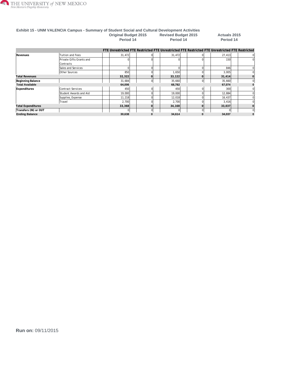

#### **Exhibit 15 - UNM VALENCIA Campus - Summary of Student Social and Cultural Development Activities Original Budget 2015 Revised Budget 2015 Actuals 2015 Period 14 Period 14 Period 14**

**FTE Unrestricted FTE Restricted FTE Unrestricted FTE Restricted FTE Unrestricted FTE Restricted Revenues** Tuition and Fees [31,472](/ibi_apps/WFServlet.ibfs?IBIF_webapp=/ibi_apps&IBIC_server=EDASERVE&IBIWF_msgviewer=OFF&IBIAPP_app=f_finance%20f_finance_shared%20f_accounts_receivable%20f_finance_freeze%20hr_finance%20student_shared%20f_upload_data%20baseapp&WF_STYLE=IBFS:/FILE/IBI_HTML_DIR/javaassist/intl/EN/combine_templates/ENSilver_Medium1%2Esty&&IBIMR_drill=IBFS,RUNFEX,IBIF_ex,true&IBIF_ex=/WFC/Repository/Finance_Domain/FEX/FMRSTRA_DrillDown_Report_Processor_Grp3%2Efex&CLICKED_ON=&WFFMT=PDF&Campus=VALENCIA&Exhibits=15&PROGRAM=P15%25&CATEGORY=Revenues&DESC1=Revenues&DESC3=Tuition%20and%20Fees&Column=2&Fisc_Yr1=2015&Fisc_Yr2=2015&Fisc_Yr3=2015&Fisc_Pr1=14&Fisc_Pr2=14&Fisc_Pr3=14&Phase1=ORIGNL&Phase2=REVISE&Phase3=ACTUAL&unrestricted=06&restricted=16&db_in_use=ODSP) 0 [31,472](/ibi_apps/WFServlet.ibfs?IBIF_webapp=/ibi_apps&IBIC_server=EDASERVE&IBIWF_msgviewer=OFF&IBIAPP_app=f_finance%20f_finance_shared%20f_accounts_receivable%20f_finance_freeze%20hr_finance%20student_shared%20f_upload_data%20baseapp&WF_STYLE=IBFS:/FILE/IBI_HTML_DIR/javaassist/intl/EN/combine_templates/ENSilver_Medium1%2Esty&&IBIMR_drill=IBFS,RUNFEX,IBIF_ex,true&IBIF_ex=/WFC/Repository/Finance_Domain/FEX/FMRSTRA_DrillDown_Report_Processor_Grp3%2Efex&CLICKED_ON=&WFFMT=PDF&Campus=VALENCIA&Exhibits=15&PROGRAM=P15%25&CATEGORY=Revenues&DESC1=Revenues&DESC3=Tuition%20and%20Fees&Column=6&Fisc_Yr1=2015&Fisc_Yr2=2015&Fisc_Yr3=2015&Fisc_Pr1=14&Fisc_Pr2=14&Fisc_Pr3=14&Phase1=ORIGNL&Phase2=REVISE&Phase3=ACTUAL&unrestricted=06&restricted=16&db_in_use=ODSP) 0 [27,413](/ibi_apps/WFServlet.ibfs?IBIF_webapp=/ibi_apps&IBIC_server=EDASERVE&IBIWF_msgviewer=OFF&IBIAPP_app=f_finance%20f_finance_shared%20f_accounts_receivable%20f_finance_freeze%20hr_finance%20student_shared%20f_upload_data%20baseapp&WF_STYLE=IBFS:/FILE/IBI_HTML_DIR/javaassist/intl/EN/combine_templates/ENSilver_Medium1%2Esty&&IBIMR_drill=IBFS,RUNFEX,IBIF_ex,true&IBIF_ex=/WFC/Repository/Finance_Domain/FEX/FMRSTRA_DrillDown_Report_Processor_Grp3%2Efex&CLICKED_ON=&WFFMT=PDF&Campus=VALENCIA&Exhibits=15&PROGRAM=P15%25&CATEGORY=Revenues&DESC1=Revenues&DESC3=Tuition%20and%20Fees&Column=10&Fisc_Yr1=2015&Fisc_Yr2=2015&Fisc_Yr3=2015&Fisc_Pr1=14&Fisc_Pr2=14&Fisc_Pr3=14&Phase1=ORIGNL&Phase2=REVISE&Phase3=ACTUAL&unrestricted=06&restricted=16&db_in_use=ODSP) 0 Private Gifts Grants and 0 0 0 0 [150](/ibi_apps/WFServlet.ibfs?IBIF_webapp=/ibi_apps&IBIC_server=EDASERVE&IBIWF_msgviewer=OFF&IBIAPP_app=f_finance%20f_finance_shared%20f_accounts_receivable%20f_finance_freeze%20hr_finance%20student_shared%20f_upload_data%20baseapp&WF_STYLE=IBFS:/FILE/IBI_HTML_DIR/javaassist/intl/EN/combine_templates/ENSilver_Medium1%2Esty&&IBIMR_drill=IBFS,RUNFEX,IBIF_ex,true&IBIF_ex=/WFC/Repository/Finance_Domain/FEX/FMRSTRA_DrillDown_Report_Processor_Grp3%2Efex&CLICKED_ON=&WFFMT=PDF&Campus=VALENCIA&Exhibits=15&PROGRAM=P15%25&CATEGORY=Revenues&DESC1=Revenues&DESC3=Private%20Gifts%20Grants%20and%20Contracts&Column=10&Fisc_Yr1=2015&Fisc_Yr2=2015&Fisc_Yr3=2015&Fisc_Pr1=14&Fisc_Pr2=14&Fisc_Pr3=14&Phase1=ORIGNL&Phase2=REVISE&Phase3=ACTUAL&unrestricted=06&restricted=16&db_in_use=ODSP) 0 **Contracts** Sales and Services 0 0 0 0 [846](/ibi_apps/WFServlet.ibfs?IBIF_webapp=/ibi_apps&IBIC_server=EDASERVE&IBIWF_msgviewer=OFF&IBIAPP_app=f_finance%20f_finance_shared%20f_accounts_receivable%20f_finance_freeze%20hr_finance%20student_shared%20f_upload_data%20baseapp&WF_STYLE=IBFS:/FILE/IBI_HTML_DIR/javaassist/intl/EN/combine_templates/ENSilver_Medium1%2Esty&&IBIMR_drill=IBFS,RUNFEX,IBIF_ex,true&IBIF_ex=/WFC/Repository/Finance_Domain/FEX/FMRSTRA_DrillDown_Report_Processor_Grp3%2Efex&CLICKED_ON=&WFFMT=PDF&Campus=VALENCIA&Exhibits=15&PROGRAM=P15%25&CATEGORY=Revenues&DESC1=Revenues&DESC3=Sales%20and%20Services&Column=10&Fisc_Yr1=2015&Fisc_Yr2=2015&Fisc_Yr3=2015&Fisc_Pr1=14&Fisc_Pr2=14&Fisc_Pr3=14&Phase1=ORIGNL&Phase2=REVISE&Phase3=ACTUAL&unrestricted=06&restricted=16&db_in_use=ODSP) 0 Other Sources | | [850](/ibi_apps/WFServlet.ibfs?IBIF_webapp=/ibi_apps&IBIC_server=EDASERVE&IBIWF_msgviewer=OFF&IBIAPP_app=f_finance%20f_finance_shared%20f_accounts_receivable%20f_finance_freeze%20hr_finance%20student_shared%20f_upload_data%20baseapp&WF_STYLE=IBFS:/FILE/IBI_HTML_DIR/javaassist/intl/EN/combine_templates/ENSilver_Medium1%2Esty&&IBIMR_drill=IBFS,RUNFEX,IBIF_ex,true&IBIF_ex=/WFC/Repository/Finance_Domain/FEX/FMRSTRA_DrillDown_Report_Processor_Grp3%2Efex&CLICKED_ON=&WFFMT=PDF&Campus=VALENCIA&Exhibits=15&PROGRAM=P15%25&CATEGORY=Revenues&DESC1=Revenues&DESC3=Other%20Sources&Column=2&Fisc_Yr1=2015&Fisc_Yr2=2015&Fisc_Yr3=2015&Fisc_Pr1=14&Fisc_Pr2=14&Fisc_Pr3=14&Phase1=ORIGNL&Phase2=REVISE&Phase3=ACTUAL&unrestricted=06&restricted=16&db_in_use=ODSP) | | 0| | [1,650](/ibi_apps/WFServlet.ibfs?IBIF_webapp=/ibi_apps&IBIC_server=EDASERVE&IBIWF_msgviewer=OFF&IBIAPP_app=f_finance%20f_finance_shared%20f_accounts_receivable%20f_finance_freeze%20hr_finance%20student_shared%20f_upload_data%20baseapp&WF_STYLE=IBFS:/FILE/IBI_HTML_DIR/javaassist/intl/EN/combine_templates/ENSilver_Medium1%2Esty&&IBIMR_drill=IBFS,RUNFEX,IBIF_ex,true&IBIF_ex=/WFC/Repository/Finance_Domain/FEX/FMRSTRA_DrillDown_Report_Processor_Grp3%2Efex&CLICKED_ON=&WFFMT=PDF&Campus=VALENCIA&Exhibits=15&PROGRAM=P15%25&CATEGORY=Revenues&DESC1=Revenues&DESC3=Other%20Sources&Column=6&Fisc_Yr1=2015&Fisc_Yr2=2015&Fisc_Yr3=2015&Fisc_Pr1=14&Fisc_Pr2=14&Fisc_Pr3=14&Phase1=ORIGNL&Phase2=REVISE&Phase3=ACTUAL&unrestricted=06&restricted=16&db_in_use=ODSP) | | 0| | [3,005](/ibi_apps/WFServlet.ibfs?IBIF_webapp=/ibi_apps&IBIC_server=EDASERVE&IBIWF_msgviewer=OFF&IBIAPP_app=f_finance%20f_finance_shared%20f_accounts_receivable%20f_finance_freeze%20hr_finance%20student_shared%20f_upload_data%20baseapp&WF_STYLE=IBFS:/FILE/IBI_HTML_DIR/javaassist/intl/EN/combine_templates/ENSilver_Medium1%2Esty&&IBIMR_drill=IBFS,RUNFEX,IBIF_ex,true&IBIF_ex=/WFC/Repository/Finance_Domain/FEX/FMRSTRA_DrillDown_Report_Processor_Grp3%2Efex&CLICKED_ON=&WFFMT=PDF&Campus=VALENCIA&Exhibits=15&PROGRAM=P15%25&CATEGORY=Revenues&DESC1=Revenues&DESC3=Other%20Sources&Column=10&Fisc_Yr1=2015&Fisc_Yr2=2015&Fisc_Yr3=2015&Fisc_Pr1=14&Fisc_Pr2=14&Fisc_Pr3=14&Phase1=ORIGNL&Phase2=REVISE&Phase3=ACTUAL&unrestricted=06&restricted=16&db_in_use=ODSP) | | 0 **Total Revenues 32,322 0 33,122 0 31,414 0 Beginning Balance** [31,684](/ibi_apps/WFServlet.ibfs?IBIF_webapp=/ibi_apps&IBIC_server=EDASERVE&IBIWF_msgviewer=OFF&IBIAPP_app=f_finance%20f_finance_shared%20f_accounts_receivable%20f_finance_freeze%20hr_finance%20student_shared%20f_upload_data%20baseapp&WF_STYLE=IBFS:/FILE/IBI_HTML_DIR/javaassist/intl/EN/combine_templates/ENSilver_Medium1%2Esty&&IBIMR_drill=IBFS,RUNFEX,IBIF_ex,true&IBIF_ex=/WFC/Repository/Finance_Domain/FEX/FMRSTRA_DrillDown_Report_Processor_Grp3%2Efex&CLICKED_ON=&WFFMT=PDF&Campus=VALENCIA&Exhibits=15&PROGRAM=P15%25&CATEGORY=Beginning%20Balance&DESC1=Reserves&DESC3=%20&Column=2&Fisc_Yr1=2015&Fisc_Yr2=2015&Fisc_Yr3=2015&Fisc_Pr1=14&Fisc_Pr2=14&Fisc_Pr3=14&Phase1=ORIGNL&Phase2=REVISE&Phase3=ACTUAL&unrestricted=06&restricted=16&db_in_use=ODSP) 0 [35,660](/ibi_apps/WFServlet.ibfs?IBIF_webapp=/ibi_apps&IBIC_server=EDASERVE&IBIWF_msgviewer=OFF&IBIAPP_app=f_finance%20f_finance_shared%20f_accounts_receivable%20f_finance_freeze%20hr_finance%20student_shared%20f_upload_data%20baseapp&WF_STYLE=IBFS:/FILE/IBI_HTML_DIR/javaassist/intl/EN/combine_templates/ENSilver_Medium1%2Esty&&IBIMR_drill=IBFS,RUNFEX,IBIF_ex,true&IBIF_ex=/WFC/Repository/Finance_Domain/FEX/FMRSTRA_DrillDown_Report_Processor_Grp3%2Efex&CLICKED_ON=&WFFMT=PDF&Campus=VALENCIA&Exhibits=15&PROGRAM=P15%25&CATEGORY=Beginning%20Balance&DESC1=Reserves&DESC3=%20&Column=6&Fisc_Yr1=2015&Fisc_Yr2=2015&Fisc_Yr3=2015&Fisc_Pr1=14&Fisc_Pr2=14&Fisc_Pr3=14&Phase1=ORIGNL&Phase2=REVISE&Phase3=ACTUAL&unrestricted=06&restricted=16&db_in_use=ODSP) 0 [35,660](/ibi_apps/WFServlet.ibfs?IBIF_webapp=/ibi_apps&IBIC_server=EDASERVE&IBIWF_msgviewer=OFF&IBIAPP_app=f_finance%20f_finance_shared%20f_accounts_receivable%20f_finance_freeze%20hr_finance%20student_shared%20f_upload_data%20baseapp&WF_STYLE=IBFS:/FILE/IBI_HTML_DIR/javaassist/intl/EN/combine_templates/ENSilver_Medium1%2Esty&&IBIMR_drill=IBFS,RUNFEX,IBIF_ex,true&IBIF_ex=/WFC/Repository/Finance_Domain/FEX/FMRSTRA_DrillDown_Report_Processor_Grp3%2Efex&CLICKED_ON=&WFFMT=PDF&Campus=VALENCIA&Exhibits=15&PROGRAM=P15%25&CATEGORY=Beginning%20Balance&DESC1=Reserves&DESC3=%20&Column=10&Fisc_Yr1=2015&Fisc_Yr2=2015&Fisc_Yr3=2015&Fisc_Pr1=14&Fisc_Pr2=14&Fisc_Pr3=14&Phase1=ORIGNL&Phase2=REVISE&Phase3=ACTUAL&unrestricted=06&restricted=16&db_in_use=ODSP) 0 **Total Available 64,006 68,782 67,074 0 Expenditures** Contract Services | | [450](/ibi_apps/WFServlet.ibfs?IBIF_webapp=/ibi_apps&IBIC_server=EDASERVE&IBIWF_msgviewer=OFF&IBIAPP_app=f_finance%20f_finance_shared%20f_accounts_receivable%20f_finance_freeze%20hr_finance%20student_shared%20f_upload_data%20baseapp&WF_STYLE=IBFS:/FILE/IBI_HTML_DIR/javaassist/intl/EN/combine_templates/ENSilver_Medium1%2Esty&&IBIMR_drill=IBFS,RUNFEX,IBIF_ex,true&IBIF_ex=/WFC/Repository/Finance_Domain/FEX/FMRSTRA_DrillDown_Report_Processor_Grp3%2Efex&CLICKED_ON=&WFFMT=PDF&Campus=VALENCIA&Exhibits=15&PROGRAM=P15%25&CATEGORY=Expenditures&DESC1=Other%20Expense&DESC3=Contract%20Services&Column=6&Fisc_Yr1=2015&Fisc_Yr2=2015&Fisc_Yr3=2015&Fisc_Pr1=14&Fisc_Pr2=14&Fisc_Pr3=14&Phase1=ORIGNL&Phase2=REVISE&Phase3=ACTUAL&unrestricted=06&restricted=16&db_in_use=ODSP) 0 450 | 9 | [300](/ibi_apps/WFServlet.ibfs?IBIF_webapp=/ibi_apps&IBIC_server=EDASERVE&IBIWF_msgviewer=OFF&IBIAPP_app=f_finance%20f_finance_shared%20f_accounts_receivable%20f_finance_freeze%20hr_finance%20student_shared%20f_upload_data%20baseapp&WF_STYLE=IBFS:/FILE/IBI_HTML_DIR/javaassist/intl/EN/combine_templates/ENSilver_Medium1%2Esty&&IBIMR_drill=IBFS,RUNFEX,IBIF_ex,true&IBIF_ex=/WFC/Repository/Finance_Domain/FEX/FMRSTRA_DrillDown_Report_Processor_Grp3%2Efex&CLICKED_ON=&WFFMT=PDF&Campus=VALENCIA&Exhibits=15&PROGRAM=P15%25&CATEGORY=Expenditures&DESC1=Other%20Expense&DESC3=Contract%20Services&Column=10&Fisc_Yr1=2015&Fisc_Yr2=2015&Fisc_Yr3=2015&Fisc_Pr1=14&Fisc_Pr2=14&Fisc_Pr3=14&Phase1=ORIGNL&Phase2=REVISE&Phase3=ACTUAL&unrestricted=06&restricted=16&db_in_use=ODSP) | 300 0 Student Awards and Aid [19,000](/ibi_apps/WFServlet.ibfs?IBIF_webapp=/ibi_apps&IBIC_server=EDASERVE&IBIWF_msgviewer=OFF&IBIAPP_app=f_finance%20f_finance_shared%20f_accounts_receivable%20f_finance_freeze%20hr_finance%20student_shared%20f_upload_data%20baseapp&WF_STYLE=IBFS:/FILE/IBI_HTML_DIR/javaassist/intl/EN/combine_templates/ENSilver_Medium1%2Esty&&IBIMR_drill=IBFS,RUNFEX,IBIF_ex,true&IBIF_ex=/WFC/Repository/Finance_Domain/FEX/FMRSTRA_DrillDown_Report_Processor_Grp3%2Efex&CLICKED_ON=&WFFMT=PDF&Campus=VALENCIA&Exhibits=15&PROGRAM=P15%25&CATEGORY=Expenditures&DESC1=Other%20Expense&DESC3=Student%20Awards%20and%20Aid&Column=6&Fisc_Yr1=2015&Fisc_Yr2=2015&Fisc_Yr3=2015&Fisc_Pr1=14&Fisc_Pr2=14&Fisc_Pr3=14&Phase1=ORIGNL&Phase2=REVISE&Phase3=ACTUAL&unrestricted=06&restricted=16&db_in_use=ODSP) 0 19,000 0 19,000 0 [12,884](/ibi_apps/WFServlet.ibfs?IBIF_webapp=/ibi_apps&IBIC_server=EDASERVE&IBIWF_msgviewer=OFF&IBIAPP_app=f_finance%20f_finance_shared%20f_accounts_receivable%20f_finance_freeze%20hr_finance%20student_shared%20f_upload_data%20baseapp&WF_STYLE=IBFS:/FILE/IBI_HTML_DIR/javaassist/intl/EN/combine_templates/ENSilver_Medium1%2Esty&&IBIMR_drill=IBFS,RUNFEX,IBIF_ex,true&IBIF_ex=/WFC/Repository/Finance_Domain/FEX/FMRSTRA_DrillDown_Report_Processor_Grp3%2Efex&CLICKED_ON=&WFFMT=PDF&Campus=VALENCIA&Exhibits=15&PROGRAM=P15%25&CATEGORY=Expenditures&DESC1=Other%20Expense&DESC3=Student%20Awards%20and%20Aid&Column=10&Fisc_Yr1=2015&Fisc_Yr2=2015&Fisc_Yr3=2015&Fisc_Pr1=14&Fisc_Pr2=14&Fisc_Pr3=14&Phase1=ORIGNL&Phase2=REVISE&Phase3=ACTUAL&unrestricted=06&restricted=16&db_in_use=ODSP) 0 0 Supplies\_Expense [11,218](/ibi_apps/WFServlet.ibfs?IBIF_webapp=/ibi_apps&IBIC_server=EDASERVE&IBIWF_msgviewer=OFF&IBIAPP_app=f_finance%20f_finance_shared%20f_accounts_receivable%20f_finance_freeze%20hr_finance%20student_shared%20f_upload_data%20baseapp&WF_STYLE=IBFS:/FILE/IBI_HTML_DIR/javaassist/intl/EN/combine_templates/ENSilver_Medium1%2Esty&&IBIMR_drill=IBFS,RUNFEX,IBIF_ex,true&IBIF_ex=/WFC/Repository/Finance_Domain/FEX/FMRSTRA_DrillDown_Report_Processor_Grp3%2Efex&CLICKED_ON=&WFFMT=PDF&Campus=VALENCIA&Exhibits=15&PROGRAM=P15%25&CATEGORY=Expenditures&DESC1=Other%20Expense&DESC3=Supplies_Expense&Column=2&Fisc_Yr1=2015&Fisc_Yr2=2015&Fisc_Yr3=2015&Fisc_Pr1=14&Fisc_Pr2=14&Fisc_Pr3=14&Phase1=ORIGNL&Phase2=REVISE&Phase3=ACTUAL&unrestricted=06&restricted=16&db_in_use=ODSP) 0 [12,018](/ibi_apps/WFServlet.ibfs?IBIF_webapp=/ibi_apps&IBIC_server=EDASERVE&IBIWF_msgviewer=OFF&IBIAPP_app=f_finance%20f_finance_shared%20f_accounts_receivable%20f_finance_freeze%20hr_finance%20student_shared%20f_upload_data%20baseapp&WF_STYLE=IBFS:/FILE/IBI_HTML_DIR/javaassist/intl/EN/combine_templates/ENSilver_Medium1%2Esty&&IBIMR_drill=IBFS,RUNFEX,IBIF_ex,true&IBIF_ex=/WFC/Repository/Finance_Domain/FEX/FMRSTRA_DrillDown_Report_Processor_Grp3%2Efex&CLICKED_ON=&WFFMT=PDF&Campus=VALENCIA&Exhibits=15&PROGRAM=P15%25&CATEGORY=Expenditures&DESC1=Other%20Expense&DESC3=Supplies_Expense&Column=6&Fisc_Yr1=2015&Fisc_Yr2=2015&Fisc_Yr3=2015&Fisc_Pr1=14&Fisc_Pr2=14&Fisc_Pr3=14&Phase1=ORIGNL&Phase2=REVISE&Phase3=ACTUAL&unrestricted=06&restricted=16&db_in_use=ODSP) 0 [16,437](/ibi_apps/WFServlet.ibfs?IBIF_webapp=/ibi_apps&IBIC_server=EDASERVE&IBIWF_msgviewer=OFF&IBIAPP_app=f_finance%20f_finance_shared%20f_accounts_receivable%20f_finance_freeze%20hr_finance%20student_shared%20f_upload_data%20baseapp&WF_STYLE=IBFS:/FILE/IBI_HTML_DIR/javaassist/intl/EN/combine_templates/ENSilver_Medium1%2Esty&&IBIMR_drill=IBFS,RUNFEX,IBIF_ex,true&IBIF_ex=/WFC/Repository/Finance_Domain/FEX/FMRSTRA_DrillDown_Report_Processor_Grp3%2Efex&CLICKED_ON=&WFFMT=PDF&Campus=VALENCIA&Exhibits=15&PROGRAM=P15%25&CATEGORY=Expenditures&DESC1=Other%20Expense&DESC3=Supplies_Expense&Column=10&Fisc_Yr1=2015&Fisc_Yr2=2015&Fisc_Yr3=2015&Fisc_Pr1=14&Fisc_Pr2=14&Fisc_Pr3=14&Phase1=ORIGNL&Phase2=REVISE&Phase3=ACTUAL&unrestricted=06&restricted=16&db_in_use=ODSP) 0 Travel [2,700](/ibi_apps/WFServlet.ibfs?IBIF_webapp=/ibi_apps&IBIC_server=EDASERVE&IBIWF_msgviewer=OFF&IBIAPP_app=f_finance%20f_finance_shared%20f_accounts_receivable%20f_finance_freeze%20hr_finance%20student_shared%20f_upload_data%20baseapp&WF_STYLE=IBFS:/FILE/IBI_HTML_DIR/javaassist/intl/EN/combine_templates/ENSilver_Medium1%2Esty&&IBIMR_drill=IBFS,RUNFEX,IBIF_ex,true&IBIF_ex=/WFC/Repository/Finance_Domain/FEX/FMRSTRA_DrillDown_Report_Processor_Grp3%2Efex&CLICKED_ON=&WFFMT=PDF&Campus=VALENCIA&Exhibits=15&PROGRAM=P15%25&CATEGORY=Expenditures&DESC1=Other%20Expense&DESC3=Travel&Column=2&Fisc_Yr1=2015&Fisc_Yr2=2015&Fisc_Yr3=2015&Fisc_Pr1=14&Fisc_Pr2=14&Fisc_Pr3=14&Phase1=ORIGNL&Phase2=REVISE&Phase3=ACTUAL&unrestricted=06&restricted=16&db_in_use=ODSP) 0 [2,700](/ibi_apps/WFServlet.ibfs?IBIF_webapp=/ibi_apps&IBIC_server=EDASERVE&IBIWF_msgviewer=OFF&IBIAPP_app=f_finance%20f_finance_shared%20f_accounts_receivable%20f_finance_freeze%20hr_finance%20student_shared%20f_upload_data%20baseapp&WF_STYLE=IBFS:/FILE/IBI_HTML_DIR/javaassist/intl/EN/combine_templates/ENSilver_Medium1%2Esty&&IBIMR_drill=IBFS,RUNFEX,IBIF_ex,true&IBIF_ex=/WFC/Repository/Finance_Domain/FEX/FMRSTRA_DrillDown_Report_Processor_Grp3%2Efex&CLICKED_ON=&WFFMT=PDF&Campus=VALENCIA&Exhibits=15&PROGRAM=P15%25&CATEGORY=Expenditures&DESC1=Other%20Expense&DESC3=Travel&Column=6&Fisc_Yr1=2015&Fisc_Yr2=2015&Fisc_Yr3=2015&Fisc_Pr1=14&Fisc_Pr2=14&Fisc_Pr3=14&Phase1=ORIGNL&Phase2=REVISE&Phase3=ACTUAL&unrestricted=06&restricted=16&db_in_use=ODSP) 0 [3,416](/ibi_apps/WFServlet.ibfs?IBIF_webapp=/ibi_apps&IBIC_server=EDASERVE&IBIWF_msgviewer=OFF&IBIAPP_app=f_finance%20f_finance_shared%20f_accounts_receivable%20f_finance_freeze%20hr_finance%20student_shared%20f_upload_data%20baseapp&WF_STYLE=IBFS:/FILE/IBI_HTML_DIR/javaassist/intl/EN/combine_templates/ENSilver_Medium1%2Esty&&IBIMR_drill=IBFS,RUNFEX,IBIF_ex,true&IBIF_ex=/WFC/Repository/Finance_Domain/FEX/FMRSTRA_DrillDown_Report_Processor_Grp3%2Efex&CLICKED_ON=&WFFMT=PDF&Campus=VALENCIA&Exhibits=15&PROGRAM=P15%25&CATEGORY=Expenditures&DESC1=Other%20Expense&DESC3=Travel&Column=10&Fisc_Yr1=2015&Fisc_Yr2=2015&Fisc_Yr3=2015&Fisc_Pr1=14&Fisc_Pr2=14&Fisc_Pr3=14&Phase1=ORIGNL&Phase2=REVISE&Phase3=ACTUAL&unrestricted=06&restricted=16&db_in_use=ODSP) 0 **Total Expenditures 33,368 0 34,168 0 33,037 0 Transfers (IN) or OUT and a contract to the contract of the contract of the contract of the contract of the contract of the contract of the contract of the contract of the contract of the contract of the contract of the Ending Balance 30,638 0 34,614 0 34,037 0**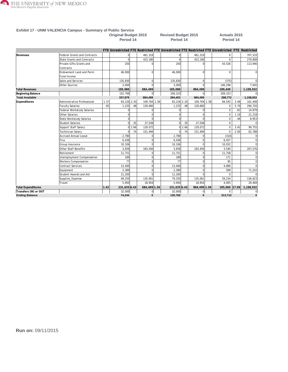

### **Exhibit 17 - UNM VALENCIA Campus - Summary of Public Service**

**Original Budget 2015 Revised Budget 2015 Actuals 2015 Period 14 Period 14 Period 14**

|                           |                                     |      |              |      |               |                |      |              | FTE Unrestricted FTE Restricted FTE Unrestricted FTE Restricted FTE Unrestricted FTE Restricted |       |                |
|---------------------------|-------------------------------------|------|--------------|------|---------------|----------------|------|--------------|-------------------------------------------------------------------------------------------------|-------|----------------|
| Revenues                  | <b>Federal Grants and Contracts</b> |      |              |      | 461,319       | 0              |      | 461,319      | 0                                                                                               |       | 707,533        |
|                           | <b>State Grants and Contracts</b>   |      | U            |      | 423,180       |                |      | 423,180      | $\Omega$                                                                                        |       | 279,808        |
|                           | Private Gifts Grants and            |      | 250          |      | $\Omega$      | 250            |      |              | 43,526                                                                                          |       | 113,946        |
|                           | Contracts                           |      |              |      |               |                |      |              |                                                                                                 |       |                |
|                           | Endowment Land and Perm             |      | 46.000       |      | $\Omega$      | 46.000         |      | $\Omega$     | $\Omega$                                                                                        |       |                |
|                           | Fund Income                         |      |              |      |               |                |      |              |                                                                                                 |       |                |
|                           | Sales and Services                  |      | 135,830      |      | $\Omega$      | 135,830        |      | $\Omega$     | (375)                                                                                           |       |                |
|                           | Other Sources                       |      | 3.000        |      |               | 3.000          |      |              | 146,298                                                                                         |       | 7,645          |
| <b>Total Revenues</b>     |                                     |      | 185,080      |      | 884,499       | 185,080        |      | 884,499      | 189,449                                                                                         |       | 1,108,932      |
| Beginning Balance         |                                     |      | 152,799      |      | $\Omega$      | 209,323        |      |              | 209,323                                                                                         |       | $\Omega$       |
| <b>Total Available</b>    |                                     |      | 337,879      |      | 884,499       | 394,403        |      | 884,499      | 398,772                                                                                         |       | 1,108,932      |
| Expenditures              | Administrative Professional         | 1.37 | 83,226 2.20  |      | 109, 764 1.36 | 83,226 2.20    |      | 109,764 1.38 | 84,593                                                                                          | 3.48  | 161,408        |
|                           | <b>Faculty Salaries</b>             | .05  | 1,225        | .48  | 129,660       | 1.225          | .48  | 129,660      | 0                                                                                               | 5.70  | 294,720        |
|                           | <b>Federal Workstudy Salaries</b>   |      |              |      | $\Omega$      | $\Omega$       |      | $\Omega$     | $\Omega$                                                                                        | .81   | 14,979         |
|                           | Other Salaries                      |      |              |      | $\Omega$      | $\Omega$       |      | $\Omega$     | $\Omega$                                                                                        | 1.19  | 21,218         |
|                           | State Workstudy Salaries            |      |              |      | $\Omega$      | $\mathbf 0$    |      | $\cap$       | 0                                                                                               | .49   | 8,953          |
|                           | <b>Student Salaries</b>             |      |              | .35  | 27,038        | $\Omega$       | .35  | 27,038       | 0                                                                                               |       | $\Omega$       |
|                           | Support Staff Salary                |      | $\Omega$     | 2.66 | 129,072       | $\overline{0}$ | 2.66 | 129,072      | 0                                                                                               | 3.42  | 99,755         |
|                           | Technician Salary                   |      |              | .74  | 151,494       | $\Omega$       | .74  | 151,494      | $\Omega$                                                                                        | 2.00  | 62,788         |
|                           | <b>Accrued Annual Leave</b>         |      | 2,780        |      | $\Omega$      | 2,780          |      | $\Omega$     | (310)                                                                                           |       | $\Omega$       |
|                           | Fica                                |      | 6.436        |      | $\Omega$      | 6,436          |      | $\Omega$     | 6,457                                                                                           |       | $\overline{0}$ |
|                           | Group Insurance                     |      | 10,106       |      | $\Omega$      | 10,106         |      | $\Omega$     | 10,032                                                                                          |       | $\Omega$       |
|                           | Other Staff Benefits                |      | 3,656        |      | 183,456       | 3,656          |      | 183,456      | 3,540                                                                                           |       | 207,576        |
|                           | Retirement                          |      | 11,751       |      | $\Omega$      | 11,751         |      |              | 11,758                                                                                          |       | $\Omega$       |
|                           | Unemployment Compensation           |      | 189          |      | $\Omega$      | 189            |      | Ωl           | 171                                                                                             |       | $\Omega$       |
|                           | Workers Compensation                |      | 77           |      | $\Omega$      | 77             |      | $\Omega$     | 85                                                                                              |       | $\Omega$       |
|                           | <b>Contract Services</b>            |      | 13,400       |      | $\mathbf 0$   | 13,400         |      | $\Omega$     | 4,896                                                                                           |       | $\Omega$       |
|                           | Equipment                           |      | 2,389        |      | $\Omega$      | 2,389          |      | $\Omega$     | 599                                                                                             |       | 71,243         |
|                           | Student Awards and Aid              |      | 21,200       |      | $\Omega$      | 11,200         |      | $\Omega$     | $\Omega$                                                                                        |       |                |
|                           | Supplies_Expense                    |      | 69,250       |      | 135,061       | 79,250         |      | 135,061      | 59,234                                                                                          |       | 136,823        |
|                           | Travel                              |      | 5,950        |      | 18,954        | 5,950          |      | 18,954       | 4,005                                                                                           |       | 29,469         |
| <b>Total Expenditures</b> |                                     | 1.42 | 231,635 6.43 |      | 884,499 1.36  | 231,635 6.43   |      | 884,499 1.38 | 185,060                                                                                         | 17.09 | 1,108,932      |
| Transfers (IN) or OUT     |                                     |      | 32,000       |      |               | 32,000         |      |              | 0                                                                                               |       | $\Omega$       |
| <b>Ending Balance</b>     |                                     |      | 74,244       |      | $\mathbf 0$   | 130,768        |      | $\bf{0}$     | 213,712                                                                                         |       | $\bf{0}$       |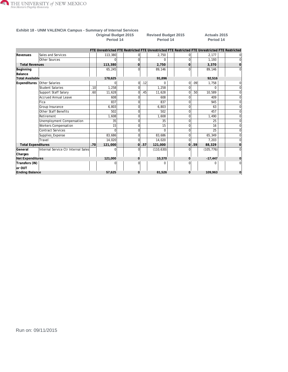

|                           | Exhibit 18 - UNM VALENCIA Campus - Summary of Internal Services |     |                                          |                |     |                                                                                                 |              |       |                                  |          |
|---------------------------|-----------------------------------------------------------------|-----|------------------------------------------|----------------|-----|-------------------------------------------------------------------------------------------------|--------------|-------|----------------------------------|----------|
|                           |                                                                 |     | <b>Original Budget 2015</b><br>Period 14 |                |     | <b>Revised Budget 2015</b><br>Period 14                                                         |              |       | <b>Actuals 2015</b><br>Period 14 |          |
|                           |                                                                 |     |                                          |                |     | FTE Unrestricted FTE Restricted FTE Unrestricted FTE Restricted FTE Unrestricted FTE Restricted |              |       |                                  |          |
| Revenues                  | Sales and Services                                              |     | 113,380                                  | 0              |     | 2,750                                                                                           | $\Omega$     |       | 2,177                            |          |
|                           | Other Sources                                                   |     |                                          | $\Omega$       |     | 0                                                                                               | $\Omega$     |       | 1.193                            |          |
| <b>Total Revenues</b>     |                                                                 |     | 113,380                                  | 0              |     | 2,750                                                                                           | $\mathbf 0$  |       | 3,370                            |          |
| Beginning                 |                                                                 |     | 65,245                                   | $\Omega$       |     | 89,146                                                                                          |              |       | 89,146                           |          |
| Balance                   |                                                                 |     |                                          |                |     |                                                                                                 |              |       |                                  |          |
| <b>Total Available</b>    |                                                                 |     | 178,625                                  |                |     | 91,896                                                                                          |              |       | 92,516                           |          |
| <b>Expenditures</b>       | Other Salaries                                                  |     |                                          | $\mathbf 0$    | .12 | O                                                                                               | 0            | .09   | 1,758                            | U        |
|                           | <b>Student Salaries</b>                                         | .10 | 1.258                                    | $\Omega$       |     | 1,258                                                                                           | $\Omega$     |       | $\Omega$                         |          |
|                           | Support Staff Salary                                            | .60 | 11,628                                   | $\Omega$       | .45 | 11,628                                                                                          | <sup>0</sup> | .50   | 10.589                           |          |
|                           | <b>Accrued Annual Leave</b>                                     |     | 608                                      | $\Omega$       |     | 608                                                                                             | $\Omega$     |       | 409                              |          |
|                           | Fica                                                            |     | 837                                      | 0              |     | 837                                                                                             | $\Omega$     |       | 945                              |          |
|                           | Group Insurance                                                 |     | 6,803                                    | $\Omega$       |     | 6,803                                                                                           | $\Omega$     |       | 63                               |          |
|                           | Other Staff Benefits                                            |     | 502                                      | $\Omega$       |     | 502                                                                                             | $\Omega$     |       | 457                              |          |
|                           | Retirement                                                      |     | 1.608                                    | $\Omega$       |     | 1,608                                                                                           | $\Omega$     |       | 1.490                            |          |
|                           | Unemployment Compensation                                       |     | 35                                       | 0              |     | 35                                                                                              | $\Omega$     |       | 25                               |          |
|                           | <b>Workers Compensation</b>                                     |     | 15                                       | $\Omega$       |     | 15                                                                                              | $\Omega$     |       | 16                               |          |
|                           | <b>Contract Services</b>                                        |     | $\Omega$                                 | $\Omega$       |     | 0                                                                                               | $\Omega$     |       | 25                               |          |
|                           | Supplies_Expense                                                |     | 83.686                                   | 0              |     | 83.686                                                                                          | $\Omega$     |       | 65,349                           |          |
|                           | Travel                                                          |     | 14.020                                   | $\Omega$       |     | 14,020                                                                                          | $\Omega$     |       | 7.203                            | U        |
| <b>Total Expenditures</b> |                                                                 | .70 | 121,000                                  | $\overline{0}$ | .57 | 121,000                                                                                         |              | 0 .59 | 88,329                           | $\Omega$ |
| lGeneral                  | Internal Service Ctr Internal Sales                             |     |                                          | O              |     | (110, 630)                                                                                      |              |       | (105, 776)                       |          |
| Charges                   |                                                                 |     |                                          |                |     |                                                                                                 |              |       |                                  |          |
| <b>Net Expenditures</b>   |                                                                 |     | 121,000                                  | 0              |     | 10,370                                                                                          | $\bf{0}$     |       | $-17,447$                        | $\bf{0}$ |
| Transfers (IN)<br>lor OUT |                                                                 |     |                                          |                |     | O                                                                                               |              |       |                                  |          |
| <b>Ending Balance</b>     |                                                                 |     | 57.625                                   | $\bf{0}$       |     | 81.526                                                                                          | $\bf{0}$     |       | 109.963                          | $\bf{0}$ |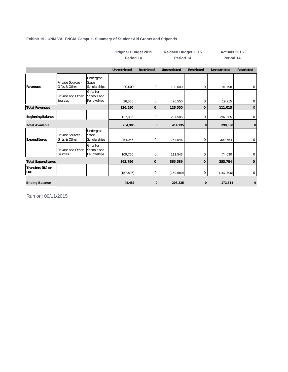#### **Exhibit 19 - UNM VALENCIA Campus- Summary of Student Aid Grants and Stipends**

|                           |                                    |                                         | Period 14    |             | Period 14           |             | Period 14    |                   |
|---------------------------|------------------------------------|-----------------------------------------|--------------|-------------|---------------------|-------------|--------------|-------------------|
|                           |                                    |                                         | Unrestricted | Restricted  | <b>Unrestricted</b> | Restricted  | Unrestricted | <b>Restricted</b> |
| <b>Revenues</b>           | Private Sources -<br>Gifts & Other | Undergrad -<br>State<br>Scholarships    | 100,000      | 0           | 100,000             | 0           | 91,798       | $\mathbf 0$       |
|                           | Private and Other<br>Sources       | Gifts for<br>Schools and<br>Fellowships | 26,550       | 0           | 26,550              | 0           | 19,215       | 0                 |
| <b>Total Revenues</b>     |                                    |                                         | 126,550      | $\mathbf 0$ | 126,550             | 0           | 111,013      | $\mathbf 0$       |
| <b>Beginning Balance</b>  |                                    |                                         | 127,836      | 0           | 287,585             | 0           | 287,585      | 0                 |
| <b>Total Available</b>    |                                    |                                         | 254,386      | 0           | 414,135             | 0           | 398,598      | 0                 |
| Expenditures              | Private Sources -<br>Gifts & Other | Undergrad -<br>State<br>Scholarships    | 254,046      | $\mathbf 0$ | 254,046             | $\mathbf 0$ | 309,754      | 0                 |
|                           | Private and Other<br>Sources       | Gifts for<br>Schools and<br>Fellowships | 109,750      | 0           | 111,543             | 0           | 74,030       | 0                 |
| <b>Total Expenditures</b> |                                    |                                         | 363,796      | 0           | 365,589             | 0           | 383,784      | 0                 |
| Transfers (IN) or<br>OUT  |                                    |                                         | (157, 896)   | 0           | (159, 689)          | 0           | (157, 700)   | 0                 |
| <b>Ending Balance</b>     |                                    |                                         | 48,486       | $\bf{0}$    | 208,235             | $\bf{0}$    | 172,514      | 0                 |

**Original Budget 2015 Revised Budget 2015 Actuals 2015**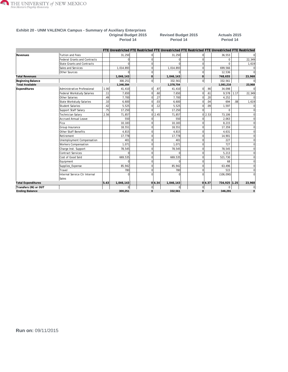

#### **Exhibit 20 - UNM VALENCIA Campus - Summary of Auxiliary Enterprises Original Budget 2015 Revised Budget 2015 Actuals 2015**

**Period 14 Period 14 Period 14**

|                           |                                     |      |           |                |        | FTE Unrestricted FTE Restricted FTE Unrestricted FTE Restricted FTE Unrestricted FTE Restricted |                     |        |            |                  |                |
|---------------------------|-------------------------------------|------|-----------|----------------|--------|-------------------------------------------------------------------------------------------------|---------------------|--------|------------|------------------|----------------|
| Revenues                  | <b>Tuition and Fees</b>             |      | 31,250    | $\overline{0}$ |        | 31,250                                                                                          | $\mathbf{0}$        |        | 36,553     |                  |                |
|                           | <b>Federal Grants and Contracts</b> |      | $\Omega$  | $\overline{0}$ |        |                                                                                                 | $\mathbf 0$         |        | $\Omega$   |                  | 22,349         |
|                           | <b>State Grants and Contracts</b>   |      | $\Omega$  | $\Omega$       |        |                                                                                                 | $\mathbf 0$         |        | $\Omega$   |                  | 1,619          |
|                           | Sales and Services                  |      | 1,014,893 | $\Omega$       |        | 1,014,893                                                                                       | $\Omega$            |        | 699,566    |                  |                |
|                           | Other Sources                       |      |           | $\Omega$       |        |                                                                                                 | $\Omega$            |        | 12,536     |                  |                |
| <b>Total Revenues</b>     |                                     |      | 1,046,143 | $\mathbf 0$    |        | 1,046,143                                                                                       | 0                   |        | 748,655    |                  | 23,968         |
| Beginning Balance         |                                     |      | 300,251   | $\overline{0}$ |        | 332,561                                                                                         | $\overline{0}$      |        | 332,561    |                  |                |
| <b>Total Available</b>    |                                     |      | 1,346,394 |                |        | 1,378,704                                                                                       |                     |        | 1,081,216  |                  | 23,968         |
| Expenditures              | Administrative Professional         | 1.00 | 41,410    | $\overline{0}$ | .87    | 41,410                                                                                          | $\overline{0}$      | .90    | 34,098     |                  |                |
|                           | Federal Workstudy Salaries          | .11  | 7,650     | $\overline{0}$ | .60    | 7,650                                                                                           | $\overline{0}$      | .61    | 9,578      | 1.17             | 22,349         |
|                           | Other Salaries                      | .49  | 7,700     | $\overline{0}$ | .27    | 7,700                                                                                           | $\overline{0}$      | .20    | 4,252      |                  |                |
|                           | <b>State Workstudy Salaries</b>     | .10  | 6,600     | 0              | .03    | 6,600                                                                                           | $\Omega$            | .04    | 694        | .08 <sub>1</sub> | 1,619          |
|                           | <b>Student Salaries</b>             | .42  | 5,525     | $\Omega$       | .12    | 5,525                                                                                           | $\Omega$            | .09    | 1,597      |                  |                |
|                           | Support Staff Salary                | .75  | 17,250    | $\Omega$       |        | 17,250                                                                                          | $\Omega$            |        | $\Omega$   |                  |                |
|                           | Technician Salary                   | 2.56 | 71,857    |                | 0 2.45 | 71,857                                                                                          |                     | 0 2.53 | 73,106     |                  |                |
|                           | <b>Accrued Annual Leave</b>         |      | 550       | $\overline{0}$ |        | 550                                                                                             | $\mathbf{0}$        |        | 2,063      |                  |                |
|                           | Fica                                |      | 10,183    | $\Omega$       |        | 10,183                                                                                          | $\Omega$            |        | 8,215      |                  |                |
|                           | Group Insurance                     |      | 18,551    | $\mathbf 0$    |        | 18,551                                                                                          | $\mathbf 0$         |        | 17,359     |                  |                |
|                           | Other Staff Benefits                |      | 4,815     | $\Omega$       |        | 4,815                                                                                           | $\Omega$            |        | 4,631      |                  |                |
|                           | Retirement                          |      | 17,778    | $\Omega$       |        | 17,778                                                                                          | $\mathbf 0$         |        | 14,901     |                  |                |
|                           | Unemployment Compensation           |      | 401       | $\Omega$       |        | 401                                                                                             | $\Omega$            |        | 227        |                  |                |
|                           | <b>Workers Compensation</b>         |      | 1,071     | $\Omega$       |        | 1,071                                                                                           | $\Omega$            |        | 727        |                  |                |
|                           | Charge Inst. Support                |      | 78,545    | $\Omega$       |        | 78,545                                                                                          | $\Omega$            |        | 78,545     |                  |                |
|                           | Contract Services                   |      | n         | $\Omega$       |        |                                                                                                 | $\Omega$            |        | 5,213      |                  |                |
|                           | Cost of Good Sold                   |      | 669,535   | $\mathbf 0$    |        | 669,535                                                                                         | $\mathbf 0$         |        | 521.730    |                  |                |
|                           | Equipment                           |      | $\Omega$  | $\Omega$       |        |                                                                                                 | $\mathbf 0$         |        | 68         |                  | $\Omega$       |
|                           | Supplies_Expense                    |      | 85,942    | $\Omega$       |        | 85,942                                                                                          | $\mathbf 0$         |        | 63,496     |                  |                |
|                           | Travel                              |      | 780       | $\Omega$       |        | 780                                                                                             | $\Omega$            |        | 515        |                  | $\Omega$       |
|                           | Internal Service Ctr Internal       |      | $\cap$    | $\Omega$       |        |                                                                                                 | $\cap$              |        | (106, 090) |                  |                |
|                           | Sales                               |      |           |                |        |                                                                                                 |                     |        |            |                  |                |
| <b>Total Expenditures</b> |                                     | 5.43 | 1,046,143 |                | 0 4.34 | 1,046,143                                                                                       |                     | 0 4.37 | 734,925    | 1.25             | 23,968         |
| Transfers (IN) or OUT     |                                     |      | $\Omega$  | $\overline{0}$ |        |                                                                                                 | $\mathsf{O}\xspace$ |        | $\Omega$   |                  | $\overline{0}$ |
| <b>Ending Balance</b>     |                                     |      | 300,251   | $\bf{0}$       |        | 332,561                                                                                         | 0                   |        | 346,291    |                  | $\bf{0}$       |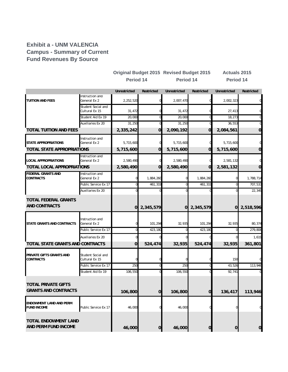#### **Exhibit a - UNM VALENCIA Campus - Summary of Current Fund Revenues By Source**

|                                                           |                                      |                     |                     | <b>Original Budget 2015 Revised Budget 2015</b> |                | <b>Actuals 2015</b> |                  |
|-----------------------------------------------------------|--------------------------------------|---------------------|---------------------|-------------------------------------------------|----------------|---------------------|------------------|
|                                                           |                                      | Period 14           |                     | Period 14                                       |                | Period 14           |                  |
|                                                           |                                      | <b>Unrestricted</b> | Restricted          | Unrestricted                                    | Restricted     | Unrestricted        | Restricted       |
| TUITION AND FEES                                          | Instruction and<br>General Ex 2      | 2,252,520           | O                   | 2,007,470                                       |                | 2,002,323           |                  |
|                                                           | Student Social and<br>Cultural Ex 15 | 31,472              |                     | 31,472                                          |                | 27,413              |                  |
|                                                           | Student Aid Ex 19                    | 20,000              |                     | 20,000                                          |                | 18,273              |                  |
| <b>TOTAL TUITION AND FEES</b>                             | Auxiliaries Ex 20                    | 31,250<br>2,335,242 | 0<br>$\overline{0}$ | 31,250<br>2,090,192                             | $\overline{O}$ | 36,553<br>2,084,561 | 0                |
| STATE APPROPRIATIONS                                      | Instruction and<br>General Ex 2      | 5,715,600           | 0                   | 5,715,600                                       |                | 5,715,600           |                  |
| TOTAL STATE APPROPRIATIONS                                |                                      | 5,715,600           | $\overline{0}$      | 5,715,600                                       | $\overline{0}$ | 5,715,600           | 0                |
| <b>LOCAL APPROPRIATIONS</b>                               | Instruction and<br>General Ex 2      | 2,580,490           | $\mathbf 0$         | 2,580,490                                       |                | 2,581,132           |                  |
| <b>TOTAL LOCAL APPROPRIATIONS</b>                         |                                      | 2,580,490           | $\overline{O}$      | 2,580,490                                       | $\overline{O}$ | 2,581,132           | $\mathbf 0$      |
| <b>FEDERAL GRANTS AND</b><br>CONTRACTS                    | Instruction and<br>General Ex 2      |                     | 1,884,260           | 0                                               | 1,884,260      | 0                   | 1,788,714        |
|                                                           | Public Service Ex 17                 |                     | 461,319             | ſ                                               | 461,319        | $\overline{0}$      | 707,533          |
|                                                           | Auxiliaries Ex 20                    |                     |                     | C                                               |                | 0                   | 22,349           |
| <b>TOTAL FEDERAL GRANTS</b><br><b>AND CONTRACTS</b>       |                                      | $\overline{0}$      | 2,345,579           | $\mathbf{O}$                                    | 2,345,579      |                     | 0 2,518,596      |
| STATE GRANTS AND CONTRACTS                                | Instruction and<br>General Ex 2      |                     | 101,294             | 32,935                                          | 101,294        | 32,935              | 80,374           |
|                                                           | Public Service Ex 17                 | ი                   | 423,180             | $\Omega$                                        | 423,180        | 0                   | 279,808          |
| TOTAL STATE GRANTS AND CONTRACTS                          | Auxiliaries Ex 20                    | $\overline{O}$      | 524,474             | 32,935                                          | 524,474        | 0<br>32,935         | 1,619<br>361,801 |
|                                                           |                                      |                     |                     |                                                 |                |                     |                  |
| PRIVATE GIFTS GRANTS AND<br><b>CONTRACTS</b>              | Student Social and<br>Cultural Ex 15 |                     |                     |                                                 |                | 150                 |                  |
|                                                           | Public Service Ex 17                 | 250                 |                     | 250                                             |                | 43,526              | 113,946          |
|                                                           | Student Aid Ex 19                    | 106,550             |                     | 106,550                                         |                | 92,741              |                  |
| <b>TOTAL PRIVATE GIFTS</b><br><b>GRANTS AND CONTRACTS</b> |                                      | 106,800             | $\mathbf 0$         | 106,800                                         | $\overline{0}$ | 136,417             | 113,946          |
| ENDOWMENT LAND AND PERM<br><b>FUND INCOME</b>             | Public Service Ex 17                 | 46,000              |                     | 46,000                                          |                | 0                   |                  |
| <b>TOTAL ENDOWMENT LAND</b><br>AND PERM FUND INCOME       |                                      | 46,000              | $\mathbf 0$         | 46,000                                          | $\overline{O}$ | $\pmb{0}$           | $\mathbf 0$      |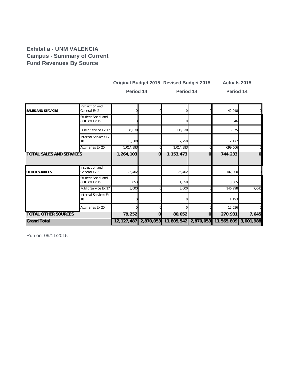#### **Exhibit a - UNM VALENCIA Campus - Summary of Current Fund Revenues By Source**

|                                 |                                      | Period 14      |                | <b>Original Budget 2015 Revised Budget 2015</b><br>Period 14 |             | <b>Actuals 2015</b><br>Period 14 |                |
|---------------------------------|--------------------------------------|----------------|----------------|--------------------------------------------------------------|-------------|----------------------------------|----------------|
| <b>SALES AND SERVICES</b>       | Instruction and<br>General Ex 2      |                |                |                                                              |             | 42,018                           |                |
|                                 | Student Social and<br>Cultural Ex 15 |                |                |                                                              |             | 846                              |                |
|                                 | Public Service Ex 17                 | 135,830        |                | 135,830                                                      |             | $-375$                           |                |
|                                 | <b>Internal Services Ex</b><br>18    | 113,380        |                | 2,750                                                        |             | 2,177                            |                |
|                                 | Auxiliaries Ex 20                    | 1,014,893      |                | 1,014,893                                                    |             | 699,566                          |                |
| <b>TOTAL SALES AND SERVICES</b> |                                      | 1,264,103      | $\overline{O}$ | 1,153,473                                                    | $\mathbf 0$ | 744,233                          | $\overline{0}$ |
| <b>OTHER SOURCES</b>            | Instruction and<br>General Ex 2      | 75,402         |                | 75,402                                                       |             | 107,900                          |                |
|                                 | Student Social and<br>Cultural Ex 15 | 850            |                | 1,650                                                        |             | 3,005                            |                |
|                                 | Public Service Ex 17                 | 3,000          |                | 3,000                                                        |             | 146,298                          | 7,645          |
|                                 | <b>Internal Services Ex</b><br>18    |                |                |                                                              |             | 1,193                            |                |
|                                 | Auxiliaries Ex 20                    |                |                |                                                              |             | 12,536                           |                |
| <b>TOTAL OTHER SOURCES</b>      | 79,252                               | $\overline{0}$ | 80,052         | $\overline{O}$                                               | 270,931     | 7,645                            |                |
| <b>Grand Total</b>              |                                      |                |                | 12,127,487 2,870,053 11,805,542 2,870,053                    |             | 11,565,809                       | 3,001,988      |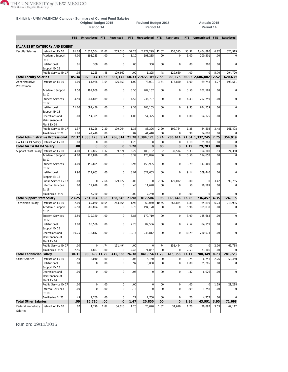

#### **Exhibit b - UNM VALENCIA Campus - Summary of Current Fund Salaries**

**Original Budget 2015 Revised Budget 2015 Actuals 2015 Period 14 Period 14 Period 14**

**FTE Unrestricted FTE Restricted FTE Unrestricted FTE Restricted FTE Unrestricted FTE Restricted**

|                                          | SALARIES BY CATEGORY AND EXHIBIT |       |                 |                  |                |                  |                       |       |                     |       |                  |      |                  |
|------------------------------------------|----------------------------------|-------|-----------------|------------------|----------------|------------------|-----------------------|-------|---------------------|-------|------------------|------|------------------|
| Faculty Salaries                         | Instruction Ex 10                | 81.28 | 2,823,504       | 12.07            | 253,515        | 57.23            | 2,772,299             | 12.07 | 253,515             | 53.92 | 2,404,880        | 6.82 | 325,919          |
|                                          | Academic Support                 | 4.00  | 198,285         | .00 <sub>1</sub> | $\mathbf 0$    | 3.10             | 198,285               | .00   | $\mathbf 0$         | 3.00  | 200.501          | .00  |                  |
|                                          | Ex 11                            |       |                 |                  |                |                  |                       |       |                     |       |                  |      |                  |
|                                          | Institutional                    | .01   | 300             | .00              | $\mathbf 0$    | .00 <sub>1</sub> | 300                   | .00   | $\mathbf 0$         | .00   | 700              | .00  |                  |
|                                          | Support Ex 13                    |       |                 |                  |                |                  |                       |       |                     |       |                  |      |                  |
|                                          | Public Service Ex 17             | .05   | 1,225           | .48              | 129,660        | .00 <sub>1</sub> | 1,225                 | 48    | 129,660             | .00   | $\Omega$         | 5.70 | 294,720          |
| Total Faculty Salaries                   |                                  | 85.34 | 3.023.314 12.55 |                  | 383,175        |                  | 60.33 2,972,109 12.55 |       | 383,175             | 56.92 | 2.606.082 12.52  |      | 620,639          |
| Administrative                           | Instruction Ex 10                | 1.00  | 64,988          | 3.54             | 176,850        | 1.00             | 73,091                | 3.54  | 176,850             | 1.00  | 69,743           | 4.27 | 193,511          |
| Professional                             |                                  |       |                 |                  |                |                  |                       |       |                     |       |                  |      |                  |
|                                          | Academic Support                 | 3.50  | 199.909         | .00 <sub>1</sub> | $\overline{0}$ | 3.50             | 202,167               | .00.  | $\overline{0}$      | 3.50  | 202.169          | .00  | $\mathbf 0$      |
|                                          | Ex 11                            |       |                 |                  |                |                  |                       |       |                     |       |                  |      |                  |
|                                          | <b>Student Services</b>          | 4.50  | 241,879         | .00 <sub>1</sub> | $\mathbf 0$    | 4.52             | 236,797               | .00   | $\Omega$            | 4.43  | 252,759          | .00  | $\bf 0$          |
|                                          | Ex 12                            |       |                 |                  |                |                  |                       |       |                     |       |                  |      |                  |
|                                          | Institutional                    | 11.00 | 697,436         | .00 <sub>1</sub> | $\overline{0}$ | 9.53             | 703,105               | .00   | $\mathbf 0$         | 9.33  | 634,559          | .00  | 0                |
|                                          | Support Ex 13                    |       |                 |                  |                |                  |                       |       |                     |       |                  |      |                  |
|                                          | Operations and                   | .00   | 54,325          | .00              | $\Omega$       | 1.00             | 54,325                | .00   | $\mathbf 0$         | 1.00  | 54,325           | .00  | 0                |
|                                          | Maintenance of                   |       |                 |                  |                |                  |                       |       |                     |       |                  |      |                  |
|                                          | Plant Ex 14                      |       |                 |                  |                |                  |                       |       |                     |       |                  |      |                  |
|                                          | Public Service Ex 17             | 1.37  | 83,226          | 2.20             | 109,764        | 1.36             | 83,226                | 2.20  | 109,764             | 1.38  | 84,593           | 3.48 | 161,408          |
|                                          | Auxiliaries Ex 20                | 1.00  | 41,410          | .00              | $\Omega$       | .87              | 41,410                | .00   | $\mathbf 0$         | .90   | 34,098           | .00  |                  |
| <b>Total Administrative Professional</b> |                                  | 22.37 | 1,383,173       | 5.74             | 286,614        |                  | 21.78 1,394,121       | 5.74  | 286,614             | 21.54 | 1,332,245        | 7.75 | 354,919          |
| GA TA RA PA Salary   Instruction Ex 10   |                                  | .00   | $\mathbf 0$     | .00              | $\mathbf 0$    | 1.28             | $\mathbf 0$           | .00   | $\mathbf 0$         | 1.19  | 29,783           | .00  | 0                |
| Total GA TA RA PA Salary                 |                                  | .00   | $\overline{0}$  | .00              | $\overline{0}$ | 1.28             | $\mathbf 0$           | .00   | $\mathbf 0$         | 1.19  | 29,783           | .00  | $\mathbf 0$      |
| Support Staff Salary Instruction Ex 10   |                                  | 4.00  | 119,882         | 1.32             | 39,574         | 5.22             | 183,132               | 1.32  | 39,574              | 5.33  | 154,300          | .93  | 24,360           |
|                                          | Academic Support                 | 4.00  | 123,896         | .00              | $\Omega$       | 3.39             | 123,896               | .00   | $\mathbf 0$         | 3.50  | 114,658          | .00  | 0                |
|                                          | Ex 11                            |       |                 |                  |                |                  |                       |       |                     |       |                  |      |                  |
|                                          | <b>Student Services</b>          | 4.00  | 150,805         | .00 <sub>1</sub> | $\Omega$       | 3.95             | 153,995               | .00   | $\mathbf 0$         | 3.79  | 147,469          | .00  | 0                |
|                                          | Ex 12                            |       |                 |                  |                |                  |                       |       |                     |       |                  |      |                  |
|                                          | Institutional                    | 9.90  | 327,603         | .00              | $\Omega$       | 8.97             | 327,603               | .00   | $\mathbf 0$         | 9.14  | 309,440          | .00  | $\mathbf 0$      |
|                                          | Support Ex 13                    |       |                 |                  |                |                  |                       |       |                     |       |                  |      |                  |
|                                          | Public Service Ex 17             | .00   | $\vert$         | 2.66             | 129,072        | .00              | $\vert$               | 2.66  | 129,072             | .00   | 0                | 3.42 | 99,755           |
|                                          | <b>Internal Services</b>         | .60   | 11,628          | .00              | $\mathbf 0$    | .45              | 11,628                | .00   | $\mathbf 0$         | .50   | 10,589           | .00  |                  |
|                                          | Ex 18                            |       |                 |                  |                |                  |                       |       |                     |       |                  |      |                  |
|                                          | Auxiliaries Ex 20                | .75   | 17,250          | .00              | $\Omega$       | .00              | 17,250                | .00   | $\Omega$            | .00   | $\Omega$         | .00  |                  |
| Total Support Staff Salary               |                                  | 23.25 | 751,064         | 3.98             | 168,646        | 21.98            | 817,504               | 3.98  | 168,646             | 22.26 | 736,457          | 4.35 | 124,115          |
| Technician Salary                        | Instruction Ex 10                | 2.00  | 69,060          | 10.55            | 263,864        | 1.93             | 69,060                | 10.55 | 263,864             | 1.88  | 65,819           | 6.73 | 218,935          |
|                                          | Academic Support                 | 6.50  | 209,094         | .00              | $\circ$        | 5.73             | 194,170               | .00   | $\overline{0}$      | 5.96  | 189,030          | .00  | 0                |
|                                          | Ex 11                            |       |                 |                  |                |                  |                       |       |                     |       |                  |      |                  |
|                                          | <b>Student Services</b>          | 5.50  | 219,340         | .00              | $\overline{0}$ | 3.85             | 179,719               | .00   | $\mathbf 0$         | 3.99  | 145,663          | .00  | $\mathbf 0$      |
|                                          | Ex 12                            |       |                 |                  |                |                  |                       |       |                     |       |                  |      |                  |
|                                          | Institutional                    | 3.00  | 95,536          | .00 <sub>1</sub> | $\overline{0}$ | 2.28             | 87,536                | .00   | $\mathbf 0$         | 2.52  | 84,159           | .00  | $\mathbf 0$      |
|                                          | Support Ex 13                    |       |                 |                  |                |                  |                       |       |                     |       |                  |      |                  |
|                                          | Operations and                   | 10.75 | 238,812         | .00 <sub>1</sub> | $\mathbf 0$    | 10.14            | 238,812               | .00   | $\mathbf 0$         | 10.29 | 230,574          | .00  | 0                |
|                                          | Maintenance of                   |       |                 |                  |                |                  |                       |       |                     |       |                  |      |                  |
|                                          | Plant Ex 14                      |       |                 |                  |                |                  |                       |       |                     |       |                  |      |                  |
|                                          | Public Service Ex 17             | .00   | $\mathbf 0$     | .74              | 151.494        | .00              | $\pmb{0}$             | .74   | 151,494             | .00   | 0                | 2.00 | 62,788           |
|                                          | Auxiliaries Ex 20                | 2.56  | 71,857          | .00 <sub>1</sub> | $\mathbf 0$    | 2.45             | 71,857                | .00   | $\bf 0$             | 2.53  | 73,106           | .00  | $\boldsymbol{0}$ |
| Total Technician Salary                  |                                  | 30.31 | 903,699 11.29   |                  | 415,358        | 26.38            | 841, 154 11.29        |       | 415,358             | 27.17 | 788,349          | 8.73 | 281,723          |
| Other Salaries                           | Instruction Ex 10                | .50   | 8,010           | .00 <sub>1</sub> | 0              | .05              | 5,150                 | .00   | $\pmb{0}$           | .25   | 6,751            | 2.76 | 50,450           |
|                                          | Institutional                    | .00   | 0               | .00 <sub>1</sub> | 0              | .97              | 8,000                 | .00   | $\mathbf 0$         | 1.00  | 25,205           | .00  | 0                |
|                                          | Support Ex 13                    |       |                 |                  |                |                  |                       |       |                     |       |                  |      |                  |
|                                          | Operations and                   | .00   | 0               | .00 <sub>1</sub> | 0              | .06              | $\overline{0}$        | .00   | $\bf 0$             | .32   | 6,026            | .00  | $\bf 0$          |
|                                          | Maintenance of                   |       |                 |                  |                |                  |                       |       |                     |       |                  |      |                  |
|                                          | Plant Ex 14                      |       |                 |                  |                |                  |                       |       |                     |       |                  |      |                  |
|                                          | Public Service Ex 17             | .00   | 0               | .00              | 0              | .00              | 0                     | .00   | $\boldsymbol{0}$    | .00   | $\boldsymbol{0}$ | 1.19 | 21,218           |
|                                          | Internal Services                | .00   | $\overline{0}$  | .00 <sub>1</sub> | $\mathbf{0}$   | .12              | $\overline{0}$        | .00   | $\mathbf 0$         | .09   | 1,758            | .00  |                  |
|                                          | Ex 18                            |       |                 |                  |                |                  |                       |       |                     |       |                  |      |                  |
|                                          | Auxiliaries Ex 20                | .49   | 7,700           | .00 <sub>1</sub> | 0              | .27              | 7,700                 | .00   | $\mathbf 0$         | .20   | 4,252            | .00  |                  |
| <b>Total Other Salaries</b>              |                                  | .99   | 15,710          | .00              | 0              | 1.47             | 20,850                | .00   | $\mathsf{O}\xspace$ | 1.86  | 43,991           | 3.95 | 71,668           |
| Federal Workstudy                        | Instruction Ex 10                | .07   | 4,770           | 1.82             | 34,610         | 1.20             | 20,070                | 1.82  | 34,610              | 1.20  | 20,897           | 3.53 | 67,112           |
| Salaries                                 |                                  |       |                 |                  |                |                  |                       |       |                     |       |                  |      |                  |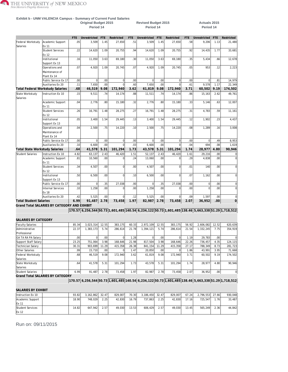#### **Exhibit b - UNM VALENCIA Campus - Summary of Current Fund Salaries**

**Period 14 Period 14 Period 14**

#### **Original Budget 2015 Revised Budget 2015 Actuals 2015**

|                                       |                                              | FTF   | Unrestricted | <b>FTE</b>       | Restricted     | <b>FTF</b> | Unrestricted   | <b>FTE</b> | Restricted     | FTE.  | Unrestricted                                                                                       | <b>FTE</b>       | Restricted     |
|---------------------------------------|----------------------------------------------|-------|--------------|------------------|----------------|------------|----------------|------------|----------------|-------|----------------------------------------------------------------------------------------------------|------------------|----------------|
| Federal Workstudy                     | Academic Support                             | .05   | 3,509        | 1.45             | 27,650         | .51        | 3,509          | 1.45       | 27,650         | .58   | 9,206                                                                                              | 1.13             | 21,480         |
| Salaries                              | <b>Ex 11</b>                                 |       |              |                  |                |            |                |            |                |       |                                                                                                    |                  |                |
|                                       | <b>Student Services</b>                      | .22   | 14,620       | 1.09             | 20,755         | .94        | 14,620         | 1.09       | 20,755         | .92   | 14,435                                                                                             | 1.77             | 33,681         |
|                                       | Ex 12                                        |       |              |                  |                |            |                |            |                |       |                                                                                                    |                  |                |
|                                       | Institutional                                | .16   | 11,050       | 3.63             | 69,180         | 30         | 11,050         | 3.63       | 69.180         | .35   | 5,434                                                                                              | .66              | 12,678         |
|                                       | Support Ex 13                                |       |              |                  |                |            |                |            |                |       |                                                                                                    |                  |                |
|                                       | Operations and                               | .07   | 4.920        | 1.09             | 20.745         | 07         | 4,920          | 1.09       | 20,745         | .05   | 953                                                                                                | .12              | 2,223          |
|                                       | Maintenance of                               |       |              |                  |                |            |                |            |                |       |                                                                                                    |                  |                |
|                                       | Plant Ex 14                                  |       |              |                  |                |            |                |            |                |       |                                                                                                    |                  |                |
|                                       | Public Service Ex 17                         | .00   | $\mathbf 0$  | .00              | $\bf 0$        | .00        | $\overline{0}$ | .00        | $\overline{0}$ | .00   | $\mathbf 0$                                                                                        | .81              | 14,979         |
|                                       | Auxiliaries Ex 20                            | .11   | 7.650        | .00              | $\Omega$       | .60        | 7.650          | .00        | $\Omega$       | .61   | 9.578                                                                                              | 1.17             | 22,349         |
|                                       | <b>Total Federal Workstudy Salaries</b>      | .68   | 46.519       | 9.08             | 172.940        | 3.62       | 61,819         | 9.08       | 172,940        | 3.71  | 60,502                                                                                             | 9.19             | 174,502        |
| State Workstudy<br>Salaries           | Instruction Ex 10                            | .15   | 9,511        | .74              | 14,174         | .88        | 11,511         | .74        | 14,174         | .86   | 15,163                                                                                             | 2.62             | 49,761         |
|                                       | Academic Support<br>Ex 11                    | .04   | 2,776        | .80              | 15,180         | 32         | 2,776          | .80        | 15,180         | .33   | 5,146                                                                                              | .63              | 12,007         |
|                                       | <b>Student Services</b>                      | .26   | 16.791       | 1.48             | 28.275         | .27        | 16.791         | 1.48       | 28.275         | .31   | 4.783                                                                                              | .59              | 11.161         |
|                                       | Ex 12                                        |       |              |                  |                |            |                |            |                |       |                                                                                                    |                  |                |
|                                       | Institutional                                | .05   | 3,400        | 1.54             | 29.445         | .13        | 3,400          | 1.54       | 29,445         | .12   | 1,902                                                                                              | .23              | 4,437          |
|                                       | Support Ex 13                                |       |              |                  |                |            |                |            |                |       |                                                                                                    |                  |                |
|                                       | Operations and                               | .04   | 2,500        | .75              | 14,220         | .10        | 2,500          | .75        | 14,220         | .08   | 1,289                                                                                              | .16              | 3,008          |
|                                       | Maintenance of                               |       |              |                  |                |            |                |            |                |       |                                                                                                    |                  |                |
|                                       | Plant Ex 14                                  |       |              |                  |                |            |                |            |                |       |                                                                                                    |                  |                |
|                                       | Public Service Ex 17                         | .00   | $\mathbf 0$  | .00 <sub>1</sub> | $\mathbf 0$    | .00.       | $\overline{0}$ | .00        | $\overline{0}$ | .00.  | $\mathbf 0$                                                                                        | .49              | 8,953          |
|                                       | Auxiliaries Ex 20                            | .10   | 6.600        | .00              | $\Omega$       | .03        | 6.600          | .00        | $\Omega$       | .04   | 694                                                                                                | .08              | 1.619          |
| <b>Total State Workstudy Salaries</b> |                                              | .64   | 41,578       | 5.31             | 101,294        | 1.73       | 43,578         | 5.31       | 101,294        | 1.74  | 28,977                                                                                             | 4.80             | 90,946         |
| <b>Student Salaries</b>               | Instruction Ex 10                            | 4.82  | 63,137       | 2.43             | 46,420         | 1.51       | 52,137         | 2.43       | 46,420         | 1.61  | 29,216                                                                                             | .00              | $\mathbf 0$    |
|                                       | Academic Support                             | .81   | 10,560       | .00 <sub>1</sub> | $\overline{0}$ | .24        | 13,060         | .00        | $\Omega$       | .29   | 4,838                                                                                              | .00              | $\mathbf 0$    |
|                                       | Ex 11                                        |       |              |                  |                |            |                |            |                |       |                                                                                                    |                  |                |
|                                       | <b>Student Services</b>                      | .34   | 4,507        | .00              | $\mathbf 0$    | 00         | 4,507          | .00        | $\Omega$       | .01   | 140                                                                                                | .00              | $\mathsf{O}$   |
|                                       | Ex 12                                        |       |              |                  |                |            |                |            |                |       |                                                                                                    |                  |                |
|                                       | Institutional                                | .50   | 6,500        | .00.             | $\Omega$       | .10        | 6,500          | .00        | $\Omega$       | .07   | 1.162                                                                                              | .00              | $\mathbf 0$    |
|                                       | Support Ex 13                                |       |              |                  |                |            |                |            |                |       |                                                                                                    |                  |                |
|                                       | Public Service Ex 17                         | .00   | $\mathbf 0$  | .35              | 27,038         | .00        | $\overline{0}$ | .35        | 27,038         | .00   | $\mathbf 0$                                                                                        | .00              | $\mathbf 0$    |
|                                       | <b>Internal Services</b>                     | .10   | 1,258        | .00              | Ó              | .00.       | 1,258          | .00        |                | .00.  | $\Omega$                                                                                           | .00              | $\mathbf 0$    |
|                                       | Ex 18                                        |       |              |                  |                |            |                |            |                |       |                                                                                                    |                  |                |
|                                       | Auxiliaries Ex 20                            | .42   | 5.525        | 00 <sub>1</sub>  | $\mathbf 0$    | .12        | 5.525          | .00        | $\overline{0}$ | .09   | 1.597                                                                                              | .00              | $\mathbf 0$    |
| <b>Total Student Salaries</b>         |                                              | 6.99  | 91,487       | 2.78             | 73,458         | 1.97       | 82,987         | 2.78       | 73.458         | 2.07  | 36,952                                                                                             | .00 <sub>1</sub> | $\overline{0}$ |
|                                       | Grand Total SALARIES BY CATEGORY AND EXHIBIT |       |              |                  |                |            |                |            |                |       |                                                                                                    |                  |                |
|                                       |                                              |       |              |                  |                |            |                |            |                |       | 170.57 6,256,544 50.73 1,601,485 140.54 6,234,122 50.73 1,601,485 138.46 5,663,338 51.29 1,718,512 |                  |                |
| SALARIES BY CATEGORY                  |                                              |       |              |                  |                |            |                |            |                |       |                                                                                                    |                  |                |
| <b>Faculty Salaries</b>               |                                              | 85.34 | 3,023,314    | 12.55            | 383,175        | 60.33      | 2,972,109      | 12.55      | 383,175        | 56.92 | 2,606,082                                                                                          | 12.52            | 620,639        |
| Administrative                        |                                              | 22.37 | 1,383,173    | 5.74             | 286,614        | 21.78      | 1,394,121      | 5.74       | 286,614        | 21.54 | 1,332,245                                                                                          | 7.75             | 354,919        |
| Professional                          |                                              |       |              |                  |                |            |                |            |                |       |                                                                                                    |                  |                |

| Administrative       | 22.37            | ,383,173 | 5.74             | 286.614 | 21.78   | 1.394.121 | 5.74             | 286.614 | 21.54 | 1,332,245 | 7.75 | 354,919  |
|----------------------|------------------|----------|------------------|---------|---------|-----------|------------------|---------|-------|-----------|------|----------|
| Professional         |                  |          |                  |         |         |           |                  |         |       |           |      |          |
| GA TA RA PA Salary   | .001             |          | .00              |         | ا 28. ، |           | .00 <sub>1</sub> |         | 1.19  | 29.783    | .00. | $\Omega$ |
| Support Staff Salary | 23.25            | 751.064  | 3.98             | 168.646 | 21.98   | 817,504   | 3.98             | 168.646 | 22.26 | 736,457   | 4.35 | 124,115  |
| Technician Salary    | 30.31            | 903.699  | 11.29            | 415,358 | 26.38   | 841.154   | 11.29            | 415.358 | 27.17 | 788.349   | 8.73 | 281,723  |
| Other Salaries       | .99              | 15.710   | .00 <sub>1</sub> |         | 1.47    | 20.850    | .00 <sub>1</sub> |         | 1.86  | 43.991    | 3.95 | 71.668   |
| Federal Workstudy    | .68 <sup>1</sup> | 46.519   | 9.08             | 172.940 | 3.62    | 61.819    | 9.08             | 172.940 | 3.71  | 60.502    | 9.19 | 174,502  |
| Salaries             |                  |          |                  |         |         |           |                  |         |       |           |      |          |
| State Workstudy      | .64              | 41.578   | 5.31             | 101.294 | 1.73    | 43.578    | 5.31             | 101.294 | 1.74  | 28.977    | 4.80 | 90,946   |
| Salaries             |                  |          |                  |         |         |           |                  |         |       |           |      |          |
| Student Salaries     | 6.99             | 91,487   | 2.78             | 73,458  | 1.97    | 82.987    | 2.78             | 73,458  | 2.07  | 36,952    | .00  | 0        |

**Grand Total SALARIES BY CATEGORY**

**170.57 6,256,544 50.73 1,601,485 140.54 6,234,122 50.73 1,601,485 138.46 5,663,338 51.29 1,718,512**

#### **SALARIES BY EXHIBIT**

| Instruction Ex 10 | 93.82 | 3.162.862 | 32.47 | 829,007 | 70.30 | 3.186.450 32.47 |      | 829.007 | 67.24 | 2.796.553 | 27.66  | 930.048 |
|-------------------|-------|-----------|-------|---------|-------|-----------------|------|---------|-------|-----------|--------|---------|
| Academic Support  | 18.90 | 748.029   | 2.25  | 42.830  | 16.79 | 737.863         | 2.25 | 42.830  | 17.16 | 725.547   | ا76، ، | 33,487  |
| <b>IEx 11</b>     |       |           |       |         |       |                 |      |         |       |           |        |         |
| Student Services  | 14.82 | 647.942   | 2.57  | 49.030  | 13.53 | 606.429         | 2.57 | 49.030  | 13.45 | 565.249   | 2.36   | 44.842  |
| Ex 12             |       |           |       |         |       |                 |      |         |       |           |        |         |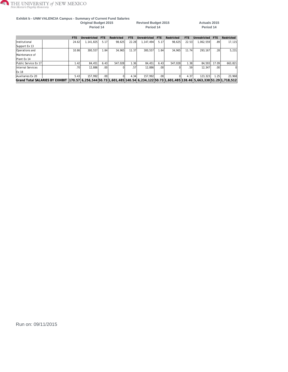

#### **Exhibit b - UNM VALENCIA Campus - Summary of Current Fund Salaries Original Budget 2015 Revised Budget 2015 Actuals 2015**

**Period 14 Period 14 Period 14**

|                                                                                                                                                | <b>FTE</b> | Unrestricted | <b>FTE</b>       | Restricted | FTE.  | Unrestricted | <b>FTE</b>       | Restricted | <b>FTE</b> | Unrestricted | FTF   | Restricted |
|------------------------------------------------------------------------------------------------------------------------------------------------|------------|--------------|------------------|------------|-------|--------------|------------------|------------|------------|--------------|-------|------------|
| Institutional                                                                                                                                  | 24.62      | 1.141.825    | 5.17             | 98.625     | 22.28 | 1.147.494    | 5.17             | 98.625     | 22.53      | 1.062.559    | .891  | 17,115     |
| Support Ex 13                                                                                                                                  |            |              |                  |            |       |              |                  |            |            |              |       |            |
| Operations and                                                                                                                                 | 10.86      | 300.557      | 1.84             | 34.965     | 11.37 | 300.557      | 1.84             | 34.965     | 11.74      | 293.167      | .28   | 5,231      |
| Maintenance of                                                                                                                                 |            |              |                  |            |       |              |                  |            |            |              |       |            |
| Plant Ex 14                                                                                                                                    |            |              |                  |            |       |              |                  |            |            |              |       |            |
| Public Service Ex 17                                                                                                                           | 1.42       | 84.451       | 6.43             | 547.028    | 1.36  | 84.451       | 6.43             | 547.028    | 1.38       | 84.593       | 17.09 | 663.821    |
| Internal Services                                                                                                                              | .70        | 12.886       | .00 <sub>1</sub> |            | .57'  | 12.886       | .00 <sub>l</sub> |            | .59'       | 12.347       | .001  | $\Omega$   |
| <b>Ex 18</b>                                                                                                                                   |            |              |                  |            |       |              |                  |            |            |              |       |            |
| Auxiliaries Ex 20                                                                                                                              | 5.43       | 157.992      | .00              |            | 4.34  | 157.992      | .00              |            | 4.37       | 123.323      | 1.25  | 23,968     |
| Grand Total SALARIES BY EXHIBIT  170.57  6,256,544  50.73  1,601,485  140.54  6,234,122  50.73  1,601,485  138.46  5,663,338  51.29  1,718,512 |            |              |                  |            |       |              |                  |            |            |              |       |            |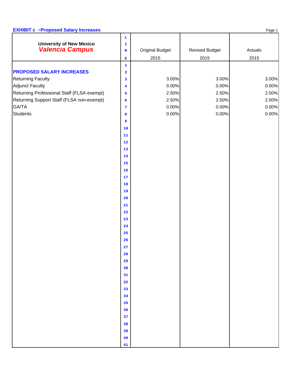#### **EXHIBIT c** ~Proposed Salary Increases **Page 1** Page 1

|                                                           | $\mathbf{L}$                                                                         |                        |                       |         |
|-----------------------------------------------------------|--------------------------------------------------------------------------------------|------------------------|-----------------------|---------|
| <b>University of New Mexico</b><br><b>Valencia Campus</b> | $\mathbf{T}$                                                                         | <b>Original Budget</b> | <b>Revised Budget</b> | Actuals |
|                                                           | $\mathbf N$                                                                          | 2015                   | 2015                  | 2015    |
|                                                           | $\mathbf{E}% _{t}\left( t\right) \equiv\mathbf{E}_{t}\left( t\right)$<br>$\mathbf 1$ |                        |                       |         |
| <b>PROPOSED SALARY INCREASES</b>                          |                                                                                      |                        |                       |         |
| <b>Returning Faculty</b>                                  | $\overline{\mathbf{2}}$<br>3                                                         | 3.00%                  | 3.00%                 | 3.00%   |
| <b>Adjunct Faculty</b>                                    | $\overline{\mathbf{4}}$                                                              | 0.00%                  | 0.00%                 | 0.00%   |
| Returning Professional Staff (FLSA exempt)                | 5                                                                                    | 2.50%                  | 2.50%                 | 2.50%   |
| Returning Support Staff (FLSA non-exempt)                 | $\epsilon$                                                                           | 2.50%                  | 2.50%                 | 2.50%   |
| GA/TA                                                     | 7                                                                                    | 0.00%                  | 0.00%                 | 0.00%   |
| <b>Students</b>                                           | 8                                                                                    | 0.00%                  | 0.00%                 | 0.00%   |
|                                                           | $\overline{9}$                                                                       |                        |                       |         |
|                                                           | $\bf{10}$                                                                            |                        |                       |         |
|                                                           | ${\bf 11}$                                                                           |                        |                       |         |
|                                                           | ${\bf 12}$                                                                           |                        |                       |         |
|                                                           | 13                                                                                   |                        |                       |         |
|                                                           | ${\bf 14}$                                                                           |                        |                       |         |
|                                                           | 15                                                                                   |                        |                       |         |
|                                                           | $16$                                                                                 |                        |                       |         |
|                                                           | 17                                                                                   |                        |                       |         |
|                                                           | 18                                                                                   |                        |                       |         |
|                                                           | 19                                                                                   |                        |                       |         |
|                                                           | 20                                                                                   |                        |                       |         |
|                                                           | 21                                                                                   |                        |                       |         |
|                                                           | 22                                                                                   |                        |                       |         |
|                                                           | 23                                                                                   |                        |                       |         |
|                                                           | 24                                                                                   |                        |                       |         |
|                                                           | 25                                                                                   |                        |                       |         |
|                                                           | 26                                                                                   |                        |                       |         |
|                                                           | 27                                                                                   |                        |                       |         |
|                                                           | 28                                                                                   |                        |                       |         |
|                                                           | 29                                                                                   |                        |                       |         |
|                                                           | 30                                                                                   |                        |                       |         |
|                                                           | 31                                                                                   |                        |                       |         |
|                                                           | 32                                                                                   |                        |                       |         |
|                                                           | 33                                                                                   |                        |                       |         |
|                                                           | 34                                                                                   |                        |                       |         |
|                                                           | 35                                                                                   |                        |                       |         |
|                                                           | 36                                                                                   |                        |                       |         |
|                                                           | 37                                                                                   |                        |                       |         |
|                                                           | 38                                                                                   |                        |                       |         |
|                                                           | 39                                                                                   |                        |                       |         |
|                                                           | 40                                                                                   |                        |                       |         |
|                                                           | 41                                                                                   |                        |                       |         |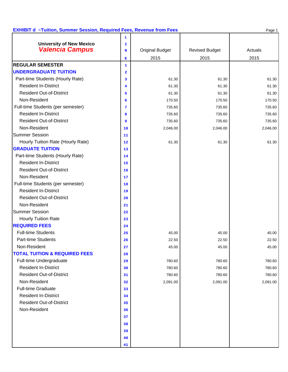#### **EXHIBIT d ~Tuition, Summer Session, Required Fees, Revenue from Fees Page 1** Page 1

|                                          | ъ                       |                        |                       |          |
|------------------------------------------|-------------------------|------------------------|-----------------------|----------|
| <b>University of New Mexico</b>          | I                       |                        |                       |          |
| <b>Valencia Campus</b>                   | N                       | <b>Original Budget</b> | <b>Revised Budget</b> | Actuals  |
|                                          | Е                       | 2015                   | 2015                  | 2015     |
| <b>REGULAR SEMESTER</b>                  | 1                       |                        |                       |          |
| <b>UNDERGRADUATE TUITION</b>             | $\overline{\mathbf{2}}$ |                        |                       |          |
| Part-time Students (Hourly Rate)         | 3                       | 61.30                  | 61.30                 | 61.30    |
| <b>Resident In-District</b>              | $\overline{\mathbf{4}}$ | 61.30                  | 61.30                 | 61.30    |
| <b>Resident Out-of-District</b>          | 5                       | 61.30                  | 61.30                 | 61.30    |
| Non-Resident                             | 6                       | 170.50                 | 170.50                | 170.50   |
| Full-time Students (per semester)        | 7                       | 735.60                 | 735.60                | 735.60   |
| <b>Resident In-District</b>              | 8                       | 735.60                 | 735.60                | 735.60   |
| <b>Resident Out-of-District</b>          | 9                       | 735.60                 | 735.60                | 735.60   |
| Non-Resident                             | 10                      | 2,046.00               | 2,046.00              | 2,046.00 |
| <b>Summer Session</b>                    | 11                      |                        |                       |          |
| Hourly Tuition Rate (Hourly Rate)        | 12                      | 61.30                  | 61.30                 | 61.30    |
| <b>GRADUATE TUITION</b>                  | 13                      |                        |                       |          |
| Part-time Students (Hourly Rate)         | 14                      |                        |                       |          |
| <b>Resident In-District</b>              | 15                      |                        |                       |          |
| <b>Resident Out-of-District</b>          | 16                      |                        |                       |          |
| Non-Resident                             | 17                      |                        |                       |          |
| Full-time Students (per semester)        | 18                      |                        |                       |          |
| <b>Resident In-District</b>              | 19                      |                        |                       |          |
| <b>Resident Out-of-District</b>          | 20                      |                        |                       |          |
| Non-Resident                             | 21                      |                        |                       |          |
| <b>Summer Session</b>                    | 22                      |                        |                       |          |
| <b>Hourly Tuition Rate</b>               | 23                      |                        |                       |          |
| <b>REQUIRED FEES</b>                     | 24                      |                        |                       |          |
| <b>Full-time Students</b>                | 25                      | 45.00                  | 45.00                 | 45.00    |
| <b>Part-time Students</b>                | 26                      | 22.50                  | 22.50                 | 22.50    |
| Non-Resident                             | 27                      | 45.00                  | 45.00                 | 45.00    |
| <b>TOTAL TUITION &amp; REQUIRED FEES</b> | 28                      |                        |                       |          |
| Full-time Undergraduate                  | 29                      | 780.60                 | 780.60                | 780.60   |
| <b>Resident In-District</b>              | 30                      | 780.60                 | 780.60                | 780.60   |
| <b>Resident Out-of-District</b>          | 31                      | 780.60                 | 780.60                | 780.60   |
| Non-Resident                             | 32                      | 2,091.00               | 2,091.00              | 2,091.00 |
| <b>Full-time Graduate</b>                | 33                      |                        |                       |          |
| <b>Resident In-District</b>              | 34                      |                        |                       |          |
| <b>Resident Out-of-District</b>          | 35                      |                        |                       |          |
| Non-Resident                             | 36                      |                        |                       |          |
|                                          | 37                      |                        |                       |          |
|                                          | 38                      |                        |                       |          |
|                                          | 39                      |                        |                       |          |
|                                          | 40                      |                        |                       |          |
|                                          | 41                      |                        |                       |          |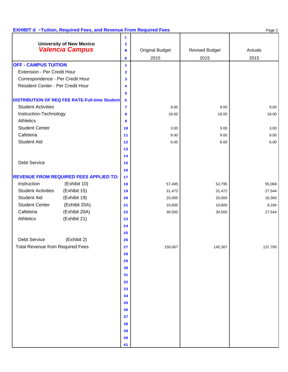#### **EXHIBIT d ~Tuition, Required Fees, and Revenue From Required Fees** Page 2

|                                                           | ъ                       |                        |                       |         |
|-----------------------------------------------------------|-------------------------|------------------------|-----------------------|---------|
| <b>University of New Mexico</b><br><b>Valencia Campus</b> | I                       |                        |                       |         |
|                                                           | N                       | <b>Original Budget</b> | <b>Revised Budget</b> | Actuals |
|                                                           | $\mathbf{E}$            | 2015                   | 2015                  | 2015    |
| <b>OFF - CAMPUS TUITION</b>                               | $\mathbf{1}$            |                        |                       |         |
| Extension - Per Credit Hour                               | $\overline{\mathbf{2}}$ |                        |                       |         |
| Correspondence - Per Credit Hour                          | 3                       |                        |                       |         |
| Resident Center - Per Credit Hour                         | $\overline{\mathbf{4}}$ |                        |                       |         |
|                                                           | 5                       |                        |                       |         |
| <b>DISTRIBUTION OF REQ FEE RATE-Full-time Student</b>     | 6                       |                        |                       |         |
| <b>Student Activities</b>                                 | 7                       | 9.00                   | 9.00                  | 9.00    |
| Instruction-Technology                                    | 8                       | 18.00                  | 18.00                 | 18.00   |
| Athletics                                                 | $\overline{9}$          |                        |                       |         |
| <b>Student Center</b>                                     | 10                      | 3.00                   | 3.00                  | 3.00    |
| Cafeteria                                                 | 11                      | 9.00                   | 9.00                  | 9.00    |
| <b>Student Aid</b>                                        | 12                      | 6.00                   | 6.00                  | 6.00    |
|                                                           | 13                      |                        |                       |         |
|                                                           | 14                      |                        |                       |         |
| Debt Service                                              | 15                      |                        |                       |         |
|                                                           | 16                      |                        |                       |         |
| <b>REVENUE FROM REQUIRED FEES APPLIED TO:</b>             | 17                      |                        |                       |         |
| Instruction<br>(Exhibit 10)                               | 18                      | 57,495                 | 52,795                | 55,068  |
| <b>Student Activities</b><br>(Exhibit 15)                 | 19                      | 31,472                 | 31,472                | 27,544  |
| <b>Student Aid</b><br>(Exhibit 19)                        | 20                      | 20,000                 | 20,000                | 18,360  |
| <b>Student Center</b><br>(Exhibit 20A)                    | 21                      | 10,600                 | 10,600                | 9,184   |
| (Exhibit 20A)<br>Cafeteria                                | 22                      | 30,500                 | 30,500                | 27,544  |
| Athletics<br>(Exhibit 21)                                 | 23                      |                        |                       |         |
|                                                           | 24                      |                        |                       |         |
|                                                           | 25                      |                        |                       |         |
| Debt Service<br>(Exhibit 2)                               | 26                      |                        |                       |         |
| <b>Total Revenue from Required Fees</b>                   | 27                      | 150,067                | 145,367               | 137,700 |
|                                                           | 28                      |                        |                       |         |
|                                                           | 29                      |                        |                       |         |
|                                                           | 30                      |                        |                       |         |
|                                                           | 31                      |                        |                       |         |
|                                                           | 32                      |                        |                       |         |
|                                                           | 33                      |                        |                       |         |
|                                                           | 34                      |                        |                       |         |
|                                                           | 35                      |                        |                       |         |
|                                                           | 36                      |                        |                       |         |
|                                                           | 37                      |                        |                       |         |
|                                                           | 38                      |                        |                       |         |
|                                                           | 39                      |                        |                       |         |
|                                                           | 40                      |                        |                       |         |
|                                                           | 41                      |                        |                       |         |